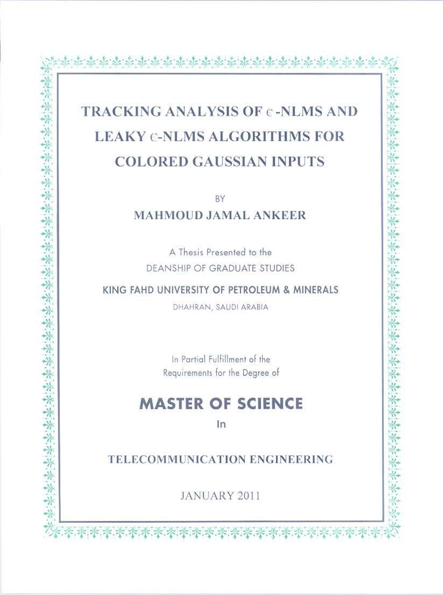## **TRACKING ANALYSIS OF c-NLMS AND LEAKY C-NLMS ALGORITHMS FOR COLORED GAUSSIAN INPUTS**

BY

**MAHMOUD JAMAL ANKEER** 

A Thesis Presented to the **DEANSHIP OF GRADUATE STUDIES** 

KING FAHD UNIVERSITY OF PETROLEUM & MINERALS

美米米米米米

Servite 等等等等的。

DHAHRAN, SAUDI ARABIA

In Partial Fulfillment of the Requirements for the Degree of

## **MASTER OF SCIENCE**

In

TELECOMMUNICATION ENGINEERING

JANUARY 2011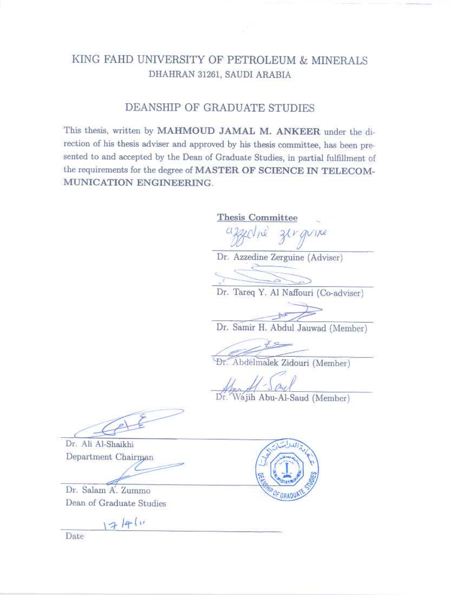### KING FAHD UNIVERSITY OF PETROLEUM & MINERALS DHAHRAN 31261, SAUDI ARABIA

#### DEANSHIP OF GRADUATE STUDIES

This thesis, written by MAHMOUD JAMAL M. ANKEER under the direction of his thesis adviser and approved by his thesis committee, has been presented to and accepted by the Dean of Graduate Studies, in partial fulfillment of the requirements for the degree of MASTER OF SCIENCE IN TELECOM-MUNICATION ENGINEERING.

Thesis Committee zirgvine Dr. Azzedine Zerguine (Adviser) Dr. Tareq Y. Al Naffouri (Co-adviser) Dr. Samir H. Abdul Jauwad (Member) Dr. Abdelmalek Zidouri (Member) Dr. Wajih Abu-Al-Saud (Member)

Dr. Ali Al-Shaikhi Department Chairman

Dr. Salam A. Zummo Dean of Graduate Studies

17/4/11

Date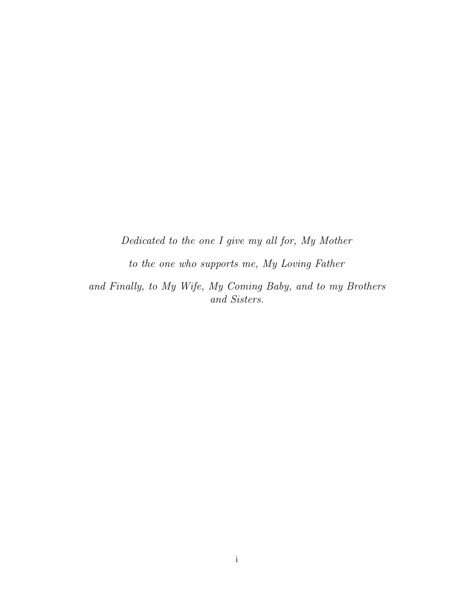Dedicated to the one I give my all for, My Mother

to the one who supports me, My Loving Father

and Finally, to My Wife, My Coming Baby, and to my Brothers and Sisters.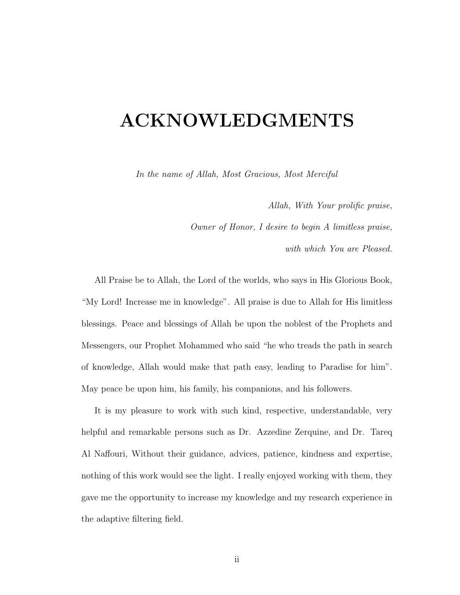## ACKNOWLEDGMENTS

In the name of Allah, Most Gracious, Most Merciful

Allah, With Your prolific praise,

Owner of Honor, I desire to begin A limitless praise,

with which You are Pleased.

All Praise be to Allah, the Lord of the worlds, who says in His Glorious Book, "My Lord! Increase me in knowledge". All praise is due to Allah for His limitless blessings. Peace and blessings of Allah be upon the noblest of the Prophets and Messengers, our Prophet Mohammed who said "he who treads the path in search of knowledge, Allah would make that path easy, leading to Paradise for him". May peace be upon him, his family, his companions, and his followers.

It is my pleasure to work with such kind, respective, understandable, very helpful and remarkable persons such as Dr. Azzedine Zerquine, and Dr. Tareq Al Naffouri, Without their guidance, advices, patience, kindness and expertise, nothing of this work would see the light. I really enjoyed working with them, they gave me the opportunity to increase my knowledge and my research experience in the adaptive filtering field.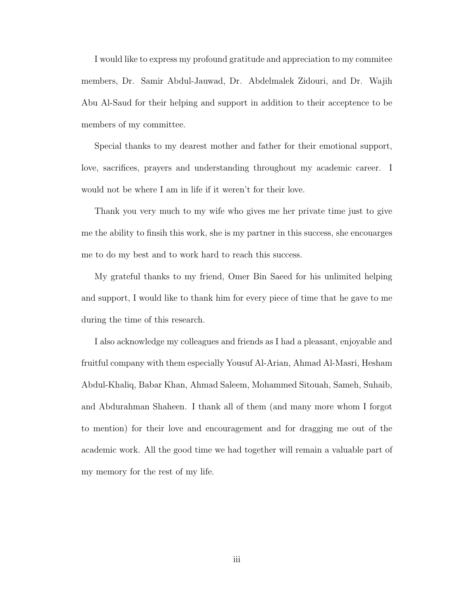I would like to express my profound gratitude and appreciation to my commitee members, Dr. Samir Abdul-Jauwad, Dr. Abdelmalek Zidouri, and Dr. Wajih Abu Al-Saud for their helping and support in addition to their acceptence to be members of my committee.

Special thanks to my dearest mother and father for their emotional support, love, sacrifices, prayers and understanding throughout my academic career. I would not be where I am in life if it weren't for their love.

Thank you very much to my wife who gives me her private time just to give me the ability to finsih this work, she is my partner in this success, she encouarges me to do my best and to work hard to reach this success.

My grateful thanks to my friend, Omer Bin Saeed for his unlimited helping and support, I would like to thank him for every piece of time that he gave to me during the time of this research.

I also acknowledge my colleagues and friends as I had a pleasant, enjoyable and fruitful company with them especially Yousuf Al-Arian, Ahmad Al-Masri, Hesham Abdul-Khaliq, Babar Khan, Ahmad Saleem, Mohammed Sitouah, Sameh, Suhaib, and Abdurahman Shaheen. I thank all of them (and many more whom I forgot to mention) for their love and encouragement and for dragging me out of the academic work. All the good time we had together will remain a valuable part of my memory for the rest of my life.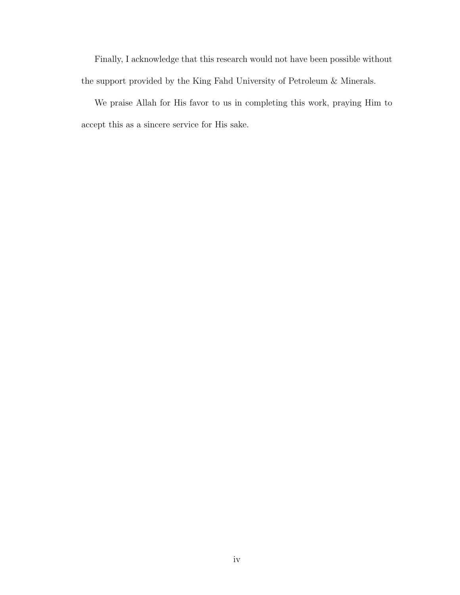Finally, I acknowledge that this research would not have been possible without the support provided by the King Fahd University of Petroleum & Minerals.

We praise Allah for His favor to us in completing this work, praying Him to accept this as a sincere service for His sake.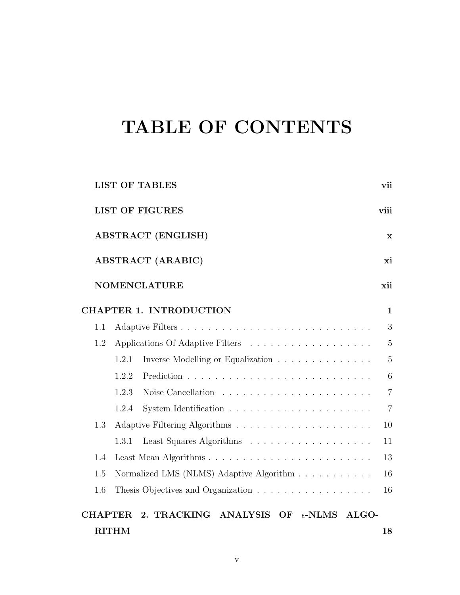## TABLE OF CONTENTS

| <b>LIST OF TABLES</b>                                  |             |  |  | vii            |  |
|--------------------------------------------------------|-------------|--|--|----------------|--|
| <b>LIST OF FIGURES</b><br>viii                         |             |  |  |                |  |
| <b>ABSTRACT (ENGLISH)</b>                              | $\mathbf x$ |  |  |                |  |
| <b>ABSTRACT</b> (ARABIC)                               |             |  |  | xi             |  |
| <b>NOMENCLATURE</b>                                    |             |  |  | xii            |  |
| <b>CHAPTER 1. INTRODUCTION</b>                         |             |  |  | $\mathbf{1}$   |  |
| 1.1                                                    |             |  |  | 3              |  |
| 1.2                                                    |             |  |  | 5              |  |
| Inverse Modelling or Equalization<br>1.2.1             |             |  |  | $\overline{5}$ |  |
| 1.2.2                                                  |             |  |  | 6              |  |
| 1.2.3                                                  |             |  |  | $\overline{7}$ |  |
| 1.2.4                                                  |             |  |  | $\overline{7}$ |  |
| 1.3                                                    |             |  |  | 10             |  |
| 1.3.1                                                  |             |  |  | 11             |  |
| 1.4                                                    |             |  |  | 13             |  |
| Normalized LMS (NLMS) Adaptive Algorithm<br>1.5        |             |  |  | 16             |  |
| 1.6                                                    |             |  |  | 16             |  |
| CHAPTER 2. TRACKING ANALYSIS OF $\epsilon$ -NLMS ALGO- |             |  |  |                |  |
| <b>RITHM</b>                                           |             |  |  | 18             |  |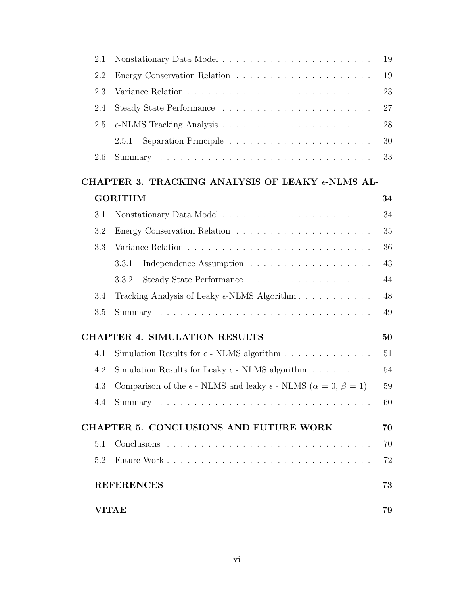| 2.1 |                                                                                             | 19     |
|-----|---------------------------------------------------------------------------------------------|--------|
| 2.2 |                                                                                             | 19     |
| 2.3 |                                                                                             | 23     |
| 2.4 |                                                                                             | 27     |
| 2.5 |                                                                                             | 28     |
|     | 2.5.1                                                                                       | 30     |
| 2.6 |                                                                                             | 33     |
|     | CHAPTER 3. TRACKING ANALYSIS OF LEAKY $\epsilon$ -NLMS AL-                                  |        |
|     | <b>GORITHM</b>                                                                              | 34     |
| 3.1 |                                                                                             | 34     |
| 3.2 |                                                                                             | 35     |
| 3.3 |                                                                                             | 36     |
|     | 3.3.1                                                                                       | 43     |
|     | 3.3.2                                                                                       | 44     |
| 3.4 | Tracking Analysis of Leaky $\epsilon$ -NLMS Algorithm                                       | 48     |
| 3.5 |                                                                                             | 49     |
|     | <b>CHAPTER 4. SIMULATION RESULTS</b>                                                        | 50     |
| 4.1 | Simulation Results for $\epsilon$ - NLMS algorithm                                          | 51     |
| 4.2 | Simulation Results for Leaky $\epsilon$ - NLMS algorithm                                    | 54     |
| 4.3 | Comparison of the $\epsilon$ - NLMS and leaky $\epsilon$ - NLMS ( $\alpha = 0, \beta = 1$ ) | $59\,$ |
|     |                                                                                             | 60     |
|     | <b>CHAPTER 5. CONCLUSIONS AND FUTURE WORK</b>                                               | 70     |
| 5.1 |                                                                                             | 70     |
| 5.2 |                                                                                             | 72     |
|     | <b>REFERENCES</b>                                                                           | 73     |
|     | <b>VITAE</b>                                                                                | 79     |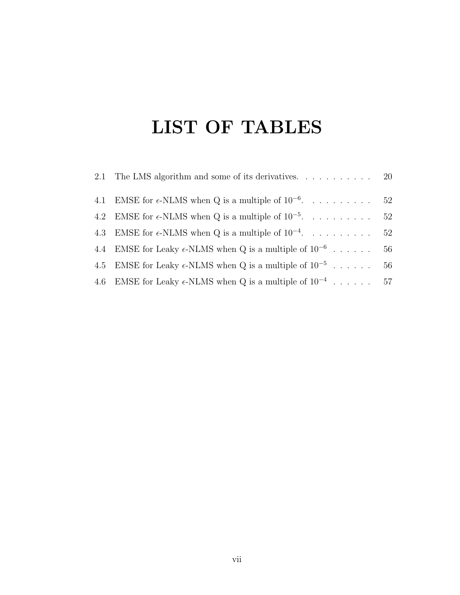## LIST OF TABLES

| 2.1 The LMS algorithm and some of its derivatives. $\dots \dots \dots \dots$ 20 |    |
|---------------------------------------------------------------------------------|----|
| 4.1 EMSE for $\epsilon$ -NLMS when Q is a multiple of $10^{-6}$ . 52            |    |
| 4.2 EMSE for $\epsilon$ -NLMS when Q is a multiple of $10^{-5}$ 52              |    |
| 4.3 EMSE for $\epsilon$ -NLMS when Q is a multiple of $10^{-4}$ 52              |    |
| 4.4 EMSE for Leaky $\epsilon$ -NLMS when Q is a multiple of $10^{-6}$           | 56 |
| 4.5 EMSE for Leaky $\epsilon$ -NLMS when Q is a multiple of $10^{-5}$ 56        |    |
| 4.6 EMSE for Leaky $\epsilon$ -NLMS when Q is a multiple of $10^{-4}$ 57        |    |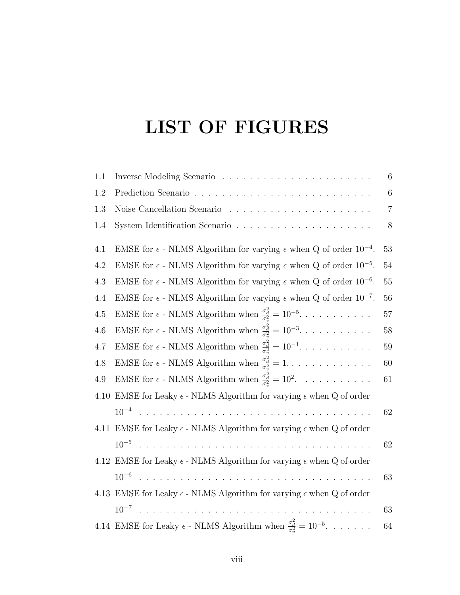## LIST OF FIGURES

| 1.1  |                                                                                                | 6               |
|------|------------------------------------------------------------------------------------------------|-----------------|
| 1.2  |                                                                                                | $6\phantom{.}6$ |
| 1.3  |                                                                                                | $\overline{7}$  |
| 1.4  |                                                                                                | $8\phantom{1}$  |
| 4.1  | EMSE for $\epsilon$ - NLMS Algorithm for varying $\epsilon$ when Q of order $10^{-4}$ .        | 53              |
| 4.2  | EMSE for $\epsilon$ - NLMS Algorithm for varying $\epsilon$ when Q of order $10^{-5}$ .        | 54              |
| 4.3  | EMSE for $\epsilon$ - NLMS Algorithm for varying $\epsilon$ when Q of order $10^{-6}$ .        | $55\,$          |
| 4.4  | EMSE for $\epsilon$ - NLMS Algorithm for varying $\epsilon$ when Q of order $10^{-7}$ .        | 56              |
| 4.5  | EMSE for $\epsilon$ - NLMS Algorithm when $\frac{\sigma_d^2}{\sigma_v^2} = 10^{-5}$            | 57              |
| 4.6  | EMSE for $\epsilon$ - NLMS Algorithm when $\frac{\sigma_d^2}{\sigma_s^2} = 10^{-3}$            | 58              |
| 4.7  | EMSE for $\epsilon$ - NLMS Algorithm when $\frac{\sigma_d^2}{\sigma_s^2} = 10^{-1}$            | 59              |
| 4.8  | EMSE for $\epsilon$ - NLMS Algorithm when $\frac{\sigma_d^2}{\sigma_s^2} = 1.$                 | 60              |
| 4.9  | EMSE for $\epsilon$ - NLMS Algorithm when $\frac{\sigma_d^2}{\sigma_v^2} = 10^2$ .             | 61              |
| 4.10 | EMSE for Leaky $\epsilon$ - NLMS Algorithm for varying $\epsilon$ when ${\bf Q}$ of order      |                 |
|      |                                                                                                | 62              |
|      | 4.11 EMSE for Leaky $\epsilon$ - NLMS Algorithm for varying $\epsilon$ when Q of order         |                 |
|      |                                                                                                | 62              |
|      | 4.12 EMSE for Leaky $\epsilon$ - NLMS Algorithm for varying $\epsilon$ when Q of order         |                 |
|      | $10^{-6}$                                                                                      | 63              |
|      | 4.13 EMSE for Leaky $\epsilon$ - NLMS Algorithm for varying $\epsilon$ when Q of order         |                 |
|      |                                                                                                | 63              |
|      | 4.14 EMSE for Leaky $\epsilon$ - NLMS Algorithm when $\frac{\sigma_d^2}{\sigma_x^2} = 10^{-5}$ | 64              |
|      |                                                                                                |                 |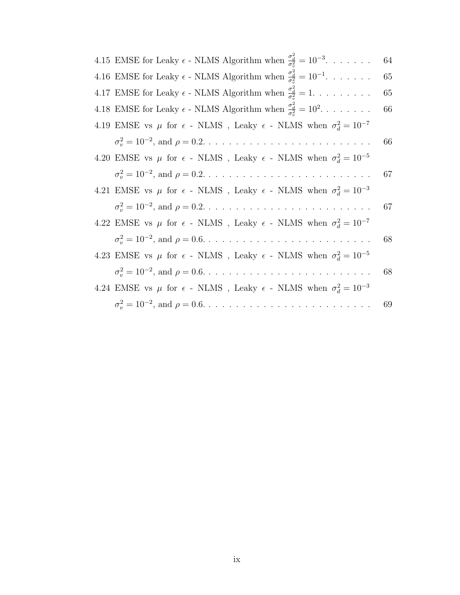| 4.15 EMSE for Leaky $\epsilon$ - NLMS Algorithm when $\frac{\sigma_d^2}{\sigma_z^2} = 10^{-3}$ | 64 |
|------------------------------------------------------------------------------------------------|----|
| 4.16 EMSE for Leaky $\epsilon$ - NLMS Algorithm when $\frac{\sigma_d^2}{\sigma_z^2} = 10^{-1}$ | 65 |
| 4.17 EMSE for Leaky $\epsilon$ - NLMS Algorithm when $\frac{\sigma_d^2}{\sigma^2} = 1$         | 65 |
| 4.18 EMSE for Leaky $\epsilon$ - NLMS Algorithm when $\frac{\sigma_d^2}{\sigma^2} = 10^2$      | 66 |
| 4.19 EMSE vs $\mu$ for $\epsilon$ - NLMS, Leaky $\epsilon$ - NLMS when $\sigma_d^2 = 10^{-7}$  |    |
|                                                                                                | 66 |
| 4.20 EMSE vs $\mu$ for $\epsilon$ - NLMS, Leaky $\epsilon$ - NLMS when $\sigma_d^2 = 10^{-5}$  |    |
|                                                                                                | 67 |
| 4.21 EMSE vs $\mu$ for $\epsilon$ - NLMS, Leaky $\epsilon$ - NLMS when $\sigma_d^2 = 10^{-3}$  |    |
|                                                                                                | 67 |
| 4.22 EMSE vs $\mu$ for $\epsilon$ - NLMS, Leaky $\epsilon$ - NLMS when $\sigma_d^2 = 10^{-7}$  |    |
|                                                                                                | 68 |
| 4.23 EMSE vs $\mu$ for $\epsilon$ - NLMS, Leaky $\epsilon$ - NLMS when $\sigma_d^2 = 10^{-5}$  |    |
|                                                                                                | 68 |
| 4.24 EMSE vs $\mu$ for $\epsilon$ - NLMS, Leaky $\epsilon$ - NLMS when $\sigma_d^2 = 10^{-3}$  |    |
|                                                                                                | 69 |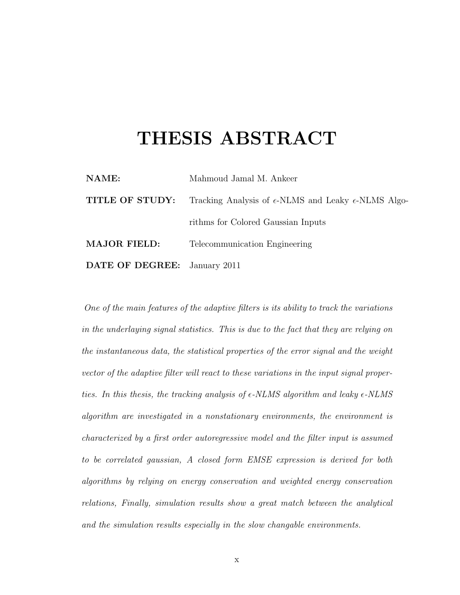## THESIS ABSTRACT

| NAME:                               | Mahmoud Jamal M. Ankeer                                                |
|-------------------------------------|------------------------------------------------------------------------|
| TITLE OF STUDY:                     | Tracking Analysis of $\epsilon$ -NLMS and Leaky $\epsilon$ -NLMS Algo- |
|                                     | rithms for Colored Gaussian Inputs                                     |
| <b>MAJOR FIELD:</b>                 | Telecommunication Engineering                                          |
| <b>DATE OF DEGREE:</b> January 2011 |                                                                        |

One of the main features of the adaptive filters is its ability to track the variations in the underlaying signal statistics. This is due to the fact that they are relying on the instantaneous data, the statistical properties of the error signal and the weight vector of the adaptive filter will react to these variations in the input signal properties. In this thesis, the tracking analysis of  $\epsilon$ -NLMS algorithm and leaky  $\epsilon$ -NLMS algorithm are investigated in a nonstationary environments, the environment is characterized by a first order autoregressive model and the filter input is assumed to be correlated gaussian, A closed form EMSE expression is derived for both algorithms by relying on energy conservation and weighted energy conservation relations, Finally, simulation results show a great match between the analytical and the simulation results especially in the slow changable environments.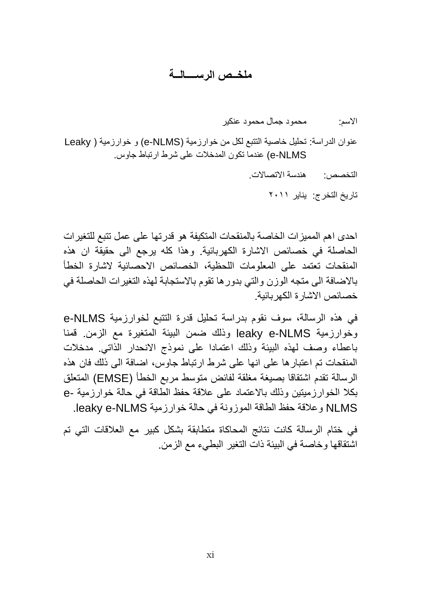### **ملخــص الرســــالــة**

الاسم: محمود جمال محمود عنكبر

عنوان الدراسة: تحليل خاصية النتبع لكل من خوارزمية (ALMS) و خوارزمية ( Leaky e-NLMS) عندما تكون المدخلات على شرط ارتباط جاوس.

التخصص: هندسة الاتصالات.

تاريخ التخرج: يناير ٢٠١١

احدي اهم المميزات الخاصة بالمنقحات المتكيفة هو قدرتها على عمل نتبع للتغيرات الحاصلة في خصائص الاشارة الكهربائية. وهذا كلّه يرجع الى حقيقة ان هذه المنقحات تعتمد على المعلومات اللحظية، الخصبائص الاحصائية لاشارة الخطأ بالاضبافة الى متجه الوزن والتي بدورها تقوم بالاستجابة لهذه التغيرات الحاصلة في خصبائص الاشبار ة الكهر بائية.

في هذه الرسالة، سوف نقوم بدراسة تحليل قدرة التتبع لخوارزمية e-NLMS وخوارزمية leaky e-NLMS وذلك ضمن البيئة المتغيرة مع الزمن.ٍ قمنا باعطاء وصف لهذه البيئة وذلك اعتمادا على نموذج الانحدار الذاتي. مدخلات المنقحات تم اعتبار ها على انها على شرط ارتباط جاوس، اضبافة الى ذلك فان هذه الرسالة تقدم اشتقاقا بصيغة مغلقة لفائض متوسط مربع الخطأ (EMSE) المتعلق بكلا الخوارزميتين وذلك بالاعتماد على علاقة حفظ الطاقة في حالة خوارزمية -e NLMS وعلاقة حفظ الطاقة الموزونة في حالة خوارزمية leaky e-NLMS.

في ختام الرسالة كانت نتائج المحاكاة متطابقة بشكل كبير مع العلاقات التي تم اشنقاقها و خاصية في البيئة ذات النغير البطيء مع الز من.ٍ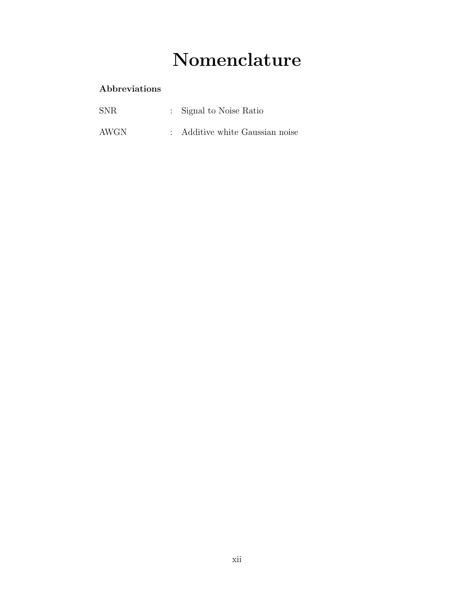## Nomenclature

### Abbreviations

| <b>SNR</b> | : Signal to Noise Ratio         |  |
|------------|---------------------------------|--|
| AWGN       | : Additive white Gaussian noise |  |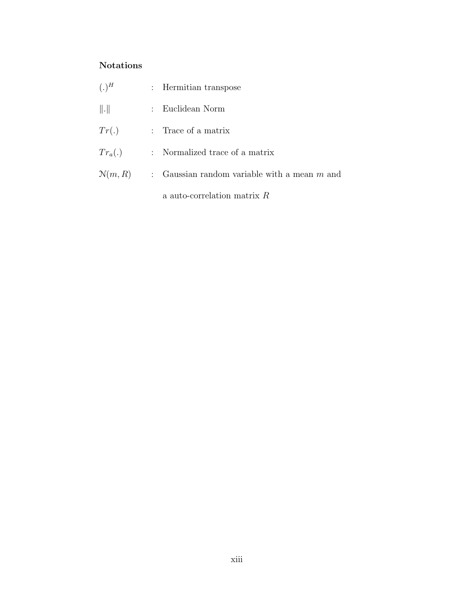#### Notations

| $(.)^H$             | : Hermitian transpose                          |
|---------------------|------------------------------------------------|
| $\ \cdot\ $         | : Euclidean Norm                               |
| Tr(.)               | : Trace of a matrix                            |
| $Tr_a(.)$           | : Normalized trace of a matrix                 |
| $\mathcal{N}(m, R)$ | : Gaussian random variable with a mean $m$ and |
|                     | a auto-correlation matrix $R$                  |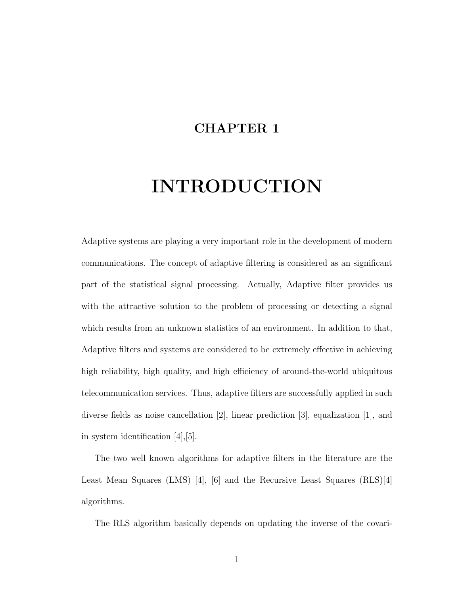### CHAPTER 1

## INTRODUCTION

Adaptive systems are playing a very important role in the development of modern communications. The concept of adaptive filtering is considered as an significant part of the statistical signal processing. Actually, Adaptive filter provides us with the attractive solution to the problem of processing or detecting a signal which results from an unknown statistics of an environment. In addition to that, Adaptive filters and systems are considered to be extremely effective in achieving high reliability, high quality, and high efficiency of around-the-world ubiquitous telecommunication services. Thus, adaptive filters are successfully applied in such diverse fields as noise cancellation [2], linear prediction [3], equalization [1], and in system identification [4],[5].

The two well known algorithms for adaptive filters in the literature are the Least Mean Squares (LMS) [4], [6] and the Recursive Least Squares (RLS)[4] algorithms.

The RLS algorithm basically depends on updating the inverse of the covari-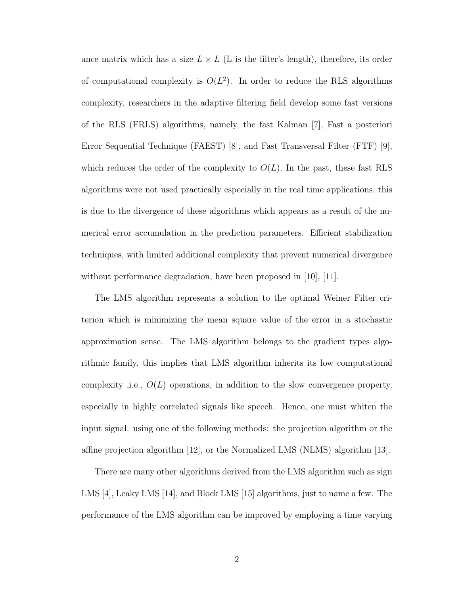ance matrix which has a size  $L \times L$  (L is the filter's length), therefore, its order of computational complexity is  $O(L^2)$ . In order to reduce the RLS algorithms complexity, researchers in the adaptive filtering field develop some fast versions of the RLS (FRLS) algorithms, namely, the fast Kalman [7], Fast a posteriori Error Sequential Technique (FAEST) [8], and Fast Transversal Filter (FTF) [9], which reduces the order of the complexity to  $O(L)$ . In the past, these fast RLS algorithms were not used practically especially in the real time applications, this is due to the divergence of these algorithms which appears as a result of the numerical error accumulation in the prediction parameters. Efficient stabilization techniques, with limited additional complexity that prevent numerical divergence without performance degradation, have been proposed in [10], [11].

The LMS algorithm represents a solution to the optimal Weiner Filter criterion which is minimizing the mean square value of the error in a stochastic approximation sense. The LMS algorithm belongs to the gradient types algorithmic family, this implies that LMS algorithm inherits its low computational complexity ,i.e.,  $O(L)$  operations, in addition to the slow convergence property, especially in highly correlated signals like speech. Hence, one must whiten the input signal. using one of the following methods: the projection algorithm or the affine projection algorithm [12], or the Normalized LMS (NLMS) algorithm [13].

There are many other algorithms derived from the LMS algorithm such as sign LMS [4], Leaky LMS [14], and Block LMS [15] algorithms, just to name a few. The performance of the LMS algorithm can be improved by employing a time varying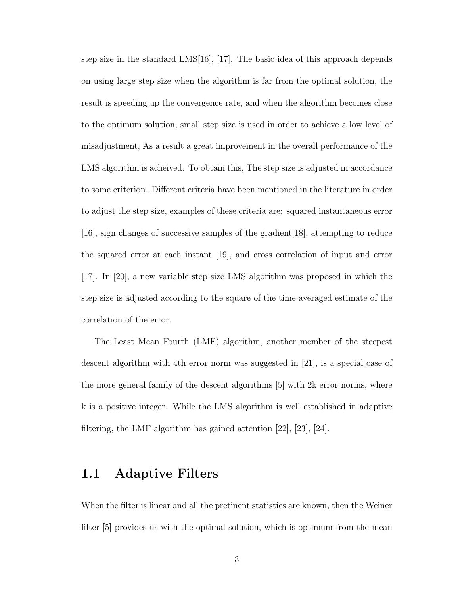step size in the standard LMS[16], [17]. The basic idea of this approach depends on using large step size when the algorithm is far from the optimal solution, the result is speeding up the convergence rate, and when the algorithm becomes close to the optimum solution, small step size is used in order to achieve a low level of misadjustment, As a result a great improvement in the overall performance of the LMS algorithm is acheived. To obtain this, The step size is adjusted in accordance to some criterion. Different criteria have been mentioned in the literature in order to adjust the step size, examples of these criteria are: squared instantaneous error [16], sign changes of successive samples of the gradient[18], attempting to reduce the squared error at each instant [19], and cross correlation of input and error [17]. In [20], a new variable step size LMS algorithm was proposed in which the step size is adjusted according to the square of the time averaged estimate of the correlation of the error.

The Least Mean Fourth (LMF) algorithm, another member of the steepest descent algorithm with 4th error norm was suggested in [21], is a special case of the more general family of the descent algorithms [5] with 2k error norms, where k is a positive integer. While the LMS algorithm is well established in adaptive filtering, the LMF algorithm has gained attention [22], [23], [24].

### 1.1 Adaptive Filters

When the filter is linear and all the pretinent statistics are known, then the Weiner filter [5] provides us with the optimal solution, which is optimum from the mean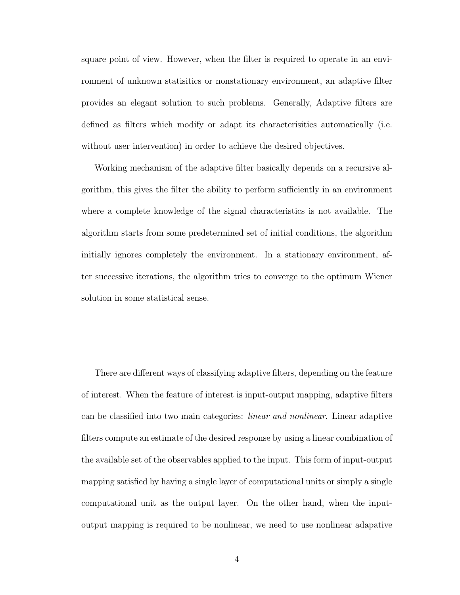square point of view. However, when the filter is required to operate in an environment of unknown statisitics or nonstationary environment, an adaptive filter provides an elegant solution to such problems. Generally, Adaptive filters are defined as filters which modify or adapt its characterisitics automatically (i.e. without user intervention) in order to achieve the desired objectives.

Working mechanism of the adaptive filter basically depends on a recursive algorithm, this gives the filter the ability to perform sufficiently in an environment where a complete knowledge of the signal characteristics is not available. The algorithm starts from some predetermined set of initial conditions, the algorithm initially ignores completely the environment. In a stationary environment, after successive iterations, the algorithm tries to converge to the optimum Wiener solution in some statistical sense.

There are different ways of classifying adaptive filters, depending on the feature of interest. When the feature of interest is input-output mapping, adaptive filters can be classified into two main categories: linear and nonlinear. Linear adaptive filters compute an estimate of the desired response by using a linear combination of the available set of the observables applied to the input. This form of input-output mapping satisfied by having a single layer of computational units or simply a single computational unit as the output layer. On the other hand, when the inputoutput mapping is required to be nonlinear, we need to use nonlinear adapative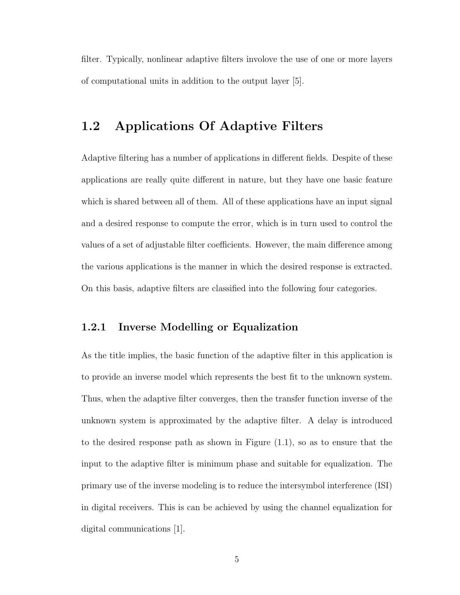filter. Typically, nonlinear adaptive filters involove the use of one or more layers of computational units in addition to the output layer [5].

### 1.2 Applications Of Adaptive Filters

Adaptive filtering has a number of applications in different fields. Despite of these applications are really quite different in nature, but they have one basic feature which is shared between all of them. All of these applications have an input signal and a desired response to compute the error, which is in turn used to control the values of a set of adjustable filter coefficients. However, the main difference among the various applications is the manner in which the desired response is extracted. On this basis, adaptive filters are classified into the following four categories.

#### 1.2.1 Inverse Modelling or Equalization

As the title implies, the basic function of the adaptive filter in this application is to provide an inverse model which represents the best fit to the unknown system. Thus, when the adaptive filter converges, then the transfer function inverse of the unknown system is approximated by the adaptive filter. A delay is introduced to the desired response path as shown in Figure (1.1), so as to ensure that the input to the adaptive filter is minimum phase and suitable for equalization. The primary use of the inverse modeling is to reduce the intersymbol interference (ISI) in digital receivers. This is can be achieved by using the channel equalization for digital communications [1].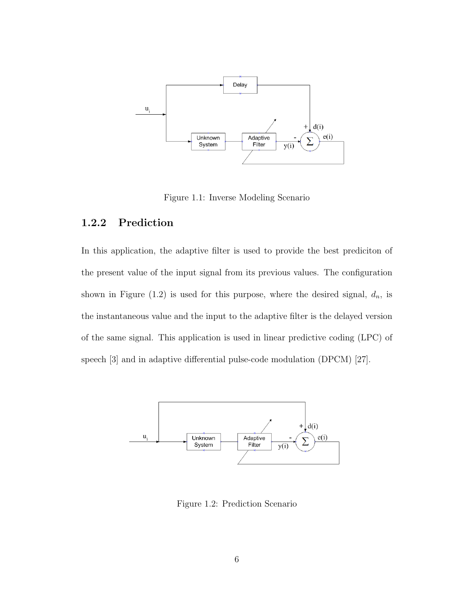

Figure 1.1: Inverse Modeling Scenario

#### 1.2.2 Prediction

In this application, the adaptive filter is used to provide the best prediciton of the present value of the input signal from its previous values. The configuration shown in Figure (1.2) is used for this purpose, where the desired signal,  $d_n$ , is the instantaneous value and the input to the adaptive filter is the delayed version of the same signal. This application is used in linear predictive coding (LPC) of speech [3] and in adaptive differential pulse-code modulation (DPCM) [27].



Figure 1.2: Prediction Scenario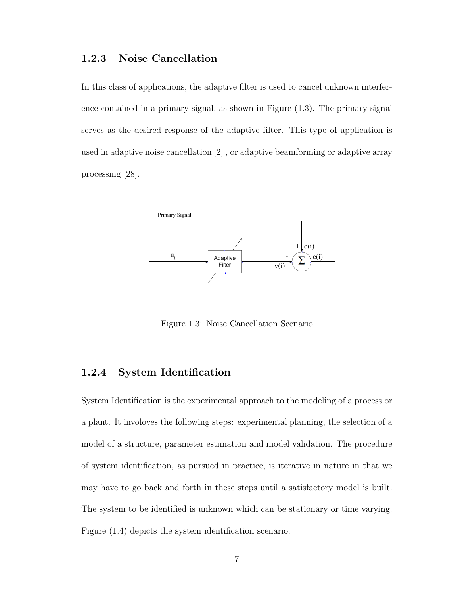#### 1.2.3 Noise Cancellation

In this class of applications, the adaptive filter is used to cancel unknown interference contained in a primary signal, as shown in Figure (1.3). The primary signal serves as the desired response of the adaptive filter. This type of application is used in adaptive noise cancellation [2] , or adaptive beamforming or adaptive array processing [28].



Figure 1.3: Noise Cancellation Scenario

#### 1.2.4 System Identification

System Identification is the experimental approach to the modeling of a process or a plant. It involoves the following steps: experimental planning, the selection of a model of a structure, parameter estimation and model validation. The procedure of system identification, as pursued in practice, is iterative in nature in that we may have to go back and forth in these steps until a satisfactory model is built. The system to be identified is unknown which can be stationary or time varying. Figure (1.4) depicts the system identification scenario.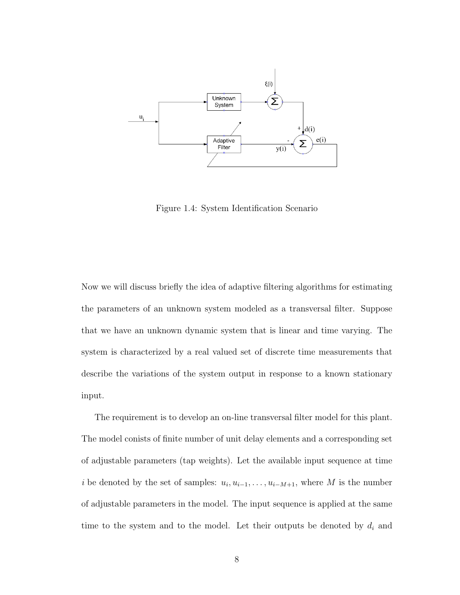

Figure 1.4: System Identification Scenario

Now we will discuss briefly the idea of adaptive filtering algorithms for estimating the parameters of an unknown system modeled as a transversal filter. Suppose that we have an unknown dynamic system that is linear and time varying. The system is characterized by a real valued set of discrete time measurements that describe the variations of the system output in response to a known stationary input.

The requirement is to develop an on-line transversal filter model for this plant. The model conists of finite number of unit delay elements and a corresponding set of adjustable parameters (tap weights). Let the available input sequence at time *i* be denoted by the set of samples:  $u_i, u_{i-1}, \ldots, u_{i-M+1}$ , where M is the number of adjustable parameters in the model. The input sequence is applied at the same time to the system and to the model. Let their outputs be denoted by  $d_i$  and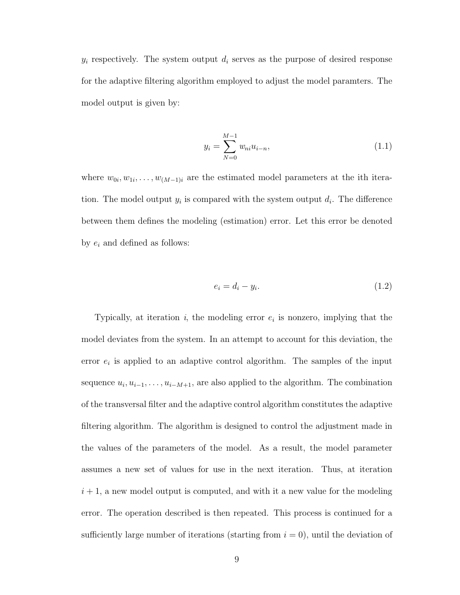$y_i$  respectively. The system output  $d_i$  serves as the purpose of desired response for the adaptive filtering algorithm employed to adjust the model paramters. The model output is given by:

$$
y_i = \sum_{N=0}^{M-1} w_{ni} u_{i-n},
$$
\n(1.1)

where  $w_{0i}, w_{1i}, \ldots, w_{(M-1)i}$  are the estimated model parameters at the ith iteration. The model output  $y_i$  is compared with the system output  $d_i$ . The difference between them defines the modeling (estimation) error. Let this error be denoted by  $e_i$  and defined as follows:

$$
e_i = d_i - y_i. \tag{1.2}
$$

Typically, at iteration  $i$ , the modeling error  $e_i$  is nonzero, implying that the model deviates from the system. In an attempt to account for this deviation, the error  $e_i$  is applied to an adaptive control algorithm. The samples of the input sequence  $u_i, u_{i-1}, \ldots, u_{i-M+1}$ , are also applied to the algorithm. The combination of the transversal filter and the adaptive control algorithm constitutes the adaptive filtering algorithm. The algorithm is designed to control the adjustment made in the values of the parameters of the model. As a result, the model parameter assumes a new set of values for use in the next iteration. Thus, at iteration  $i + 1$ , a new model output is computed, and with it a new value for the modeling error. The operation described is then repeated. This process is continued for a sufficiently large number of iterations (starting from  $i = 0$ ), until the deviation of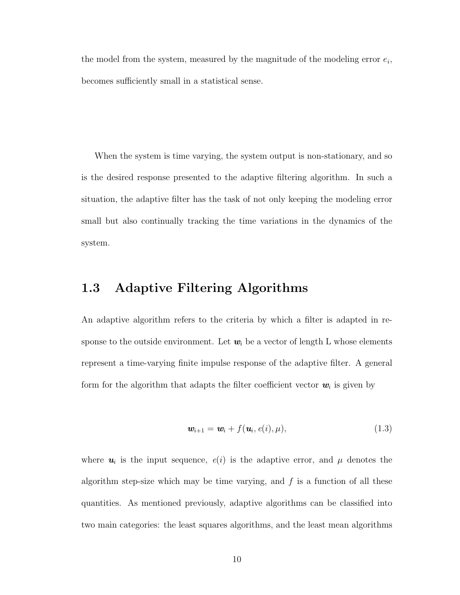the model from the system, measured by the magnitude of the modeling error  $e_i$ , becomes sufficiently small in a statistical sense.

When the system is time varying, the system output is non-stationary, and so is the desired response presented to the adaptive filtering algorithm. In such a situation, the adaptive filter has the task of not only keeping the modeling error small but also continually tracking the time variations in the dynamics of the system.

### 1.3 Adaptive Filtering Algorithms

An adaptive algorithm refers to the criteria by which a filter is adapted in response to the outside environment. Let  $w_i$  be a vector of length L whose elements represent a time-varying finite impulse response of the adaptive filter. A general form for the algorithm that adapts the filter coefficient vector  $w_i$  is given by

$$
\mathbf{w}_{i+1} = \mathbf{w}_i + f(\mathbf{u}_i, e(i), \mu), \tag{1.3}
$$

where  $u_i$  is the input sequence,  $e(i)$  is the adaptive error, and  $\mu$  denotes the algorithm step-size which may be time varying, and  $f$  is a function of all these quantities. As mentioned previously, adaptive algorithms can be classified into two main categories: the least squares algorithms, and the least mean algorithms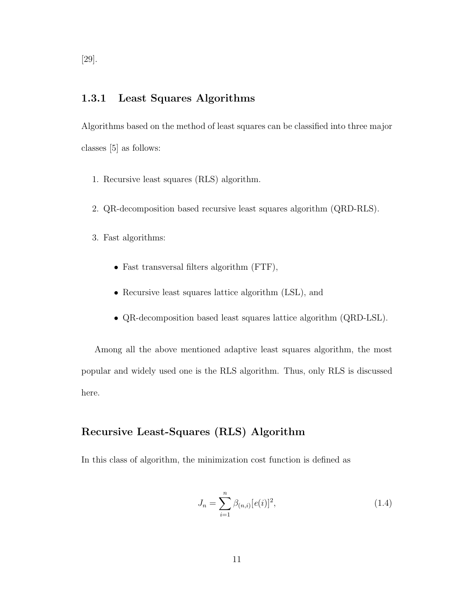#### 1.3.1 Least Squares Algorithms

Algorithms based on the method of least squares can be classified into three major classes [5] as follows:

- 1. Recursive least squares (RLS) algorithm.
- 2. QR-decomposition based recursive least squares algorithm (QRD-RLS).
- 3. Fast algorithms:
	- Fast transversal filters algorithm (FTF),
	- Recursive least squares lattice algorithm (LSL), and
	- QR-decomposition based least squares lattice algorithm (QRD-LSL).

Among all the above mentioned adaptive least squares algorithm, the most popular and widely used one is the RLS algorithm. Thus, only RLS is discussed here.

#### Recursive Least-Squares (RLS) Algorithm

In this class of algorithm, the minimization cost function is defined as

$$
J_n = \sum_{i=1}^n \beta_{(n,i)} [e(i)]^2,
$$
\n(1.4)

[29].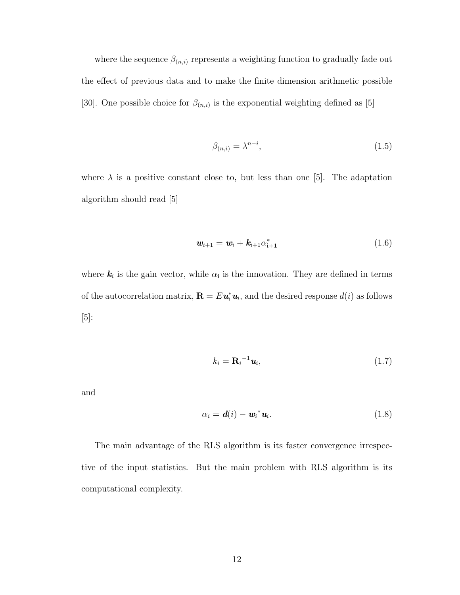where the sequence  $\beta_{(n,i)}$  represents a weighting function to gradually fade out the effect of previous data and to make the finite dimension arithmetic possible [30]. One possible choice for  $\beta_{(n,i)}$  is the exponential weighting defined as [5]

$$
\beta_{(n,i)} = \lambda^{n-i},\tag{1.5}
$$

where  $\lambda$  is a positive constant close to, but less than one [5]. The adaptation algorithm should read [5]

$$
\mathbf{w}_{i+1} = \mathbf{w}_i + \mathbf{k}_{i+1} \alpha_{i+1}^* \tag{1.6}
$$

where  $k_i$  is the gain vector, while  $\alpha_i$  is the innovation. They are defined in terms of the autocorrelation matrix,  $\mathbf{R} = E \mathbf{u}_i^* \mathbf{u}_i$ , and the desired response  $d(i)$  as follows [5]:

$$
k_i = \mathbf{R}_i^{-1} \mathbf{u}_i, \tag{1.7}
$$

and

$$
\alpha_i = \mathbf{d}(i) - \mathbf{w}_i^* \mathbf{u}_i. \tag{1.8}
$$

The main advantage of the RLS algorithm is its faster convergence irrespective of the input statistics. But the main problem with RLS algorithm is its computational complexity.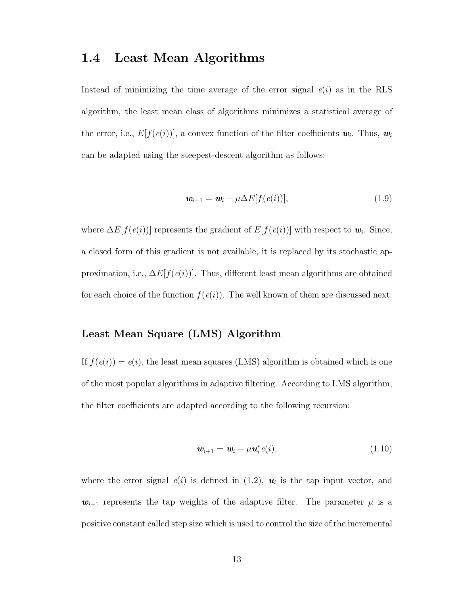### 1.4 Least Mean Algorithms

Instead of minimizing the time average of the error signal  $e(i)$  as in the RLS algorithm, the least mean class of algorithms minimizes a statistical average of the error, i.e.,  $E[f(e(i))]$ , a convex function of the filter coefficients  $w_i$ . Thus,  $w_i$ can be adapted using the steepest-descent algorithm as follows:

$$
\mathbf{w}_{i+1} = \mathbf{w}_i - \mu \Delta E[f(e(i))], \tag{1.9}
$$

where  $\Delta E[f(e(i))]$  represents the gradient of  $E[f(e(i))]$  with respect to  $w_i$ . Since, a closed form of this gradient is not available, it is replaced by its stochastic approximation, i.e.,  $\Delta E[f(e(i))]$ . Thus, different least mean algorithms are obtained for each choice of the function  $f(e(i))$ . The well known of them are discussed next.

#### Least Mean Square (LMS) Algorithm

If  $f(e(i)) = e(i)$ , the least mean squares (LMS) algorithm is obtained which is one of the most popular algorithms in adaptive filtering. According to LMS algorithm, the filter coefficients are adapted according to the following recursion:

$$
\mathbf{w}_{i+1} = \mathbf{w}_i + \mu \mathbf{u}_i^* e(i), \qquad (1.10)
$$

where the error signal  $e(i)$  is defined in  $(1.2)$ ,  $u_i$  is the tap input vector, and  $w_{i+1}$  represents the tap weights of the adaptive filter. The parameter  $\mu$  is a positive constant called step size which is used to control the size of the incremental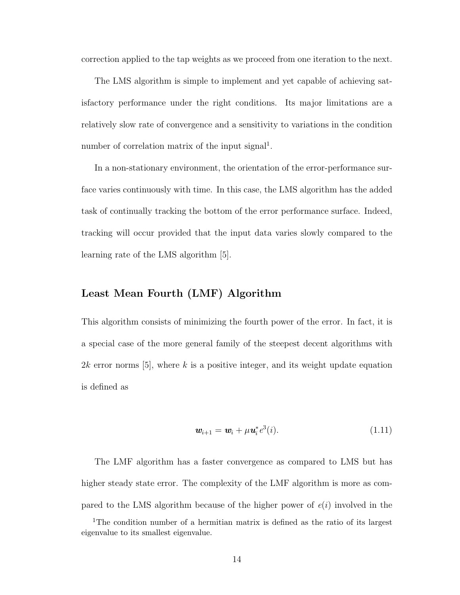correction applied to the tap weights as we proceed from one iteration to the next.

The LMS algorithm is simple to implement and yet capable of achieving satisfactory performance under the right conditions. Its major limitations are a relatively slow rate of convergence and a sensitivity to variations in the condition number of correlation matrix of the input signal<sup>1</sup>.

In a non-stationary environment, the orientation of the error-performance surface varies continuously with time. In this case, the LMS algorithm has the added task of continually tracking the bottom of the error performance surface. Indeed, tracking will occur provided that the input data varies slowly compared to the learning rate of the LMS algorithm [5].

#### Least Mean Fourth (LMF) Algorithm

This algorithm consists of minimizing the fourth power of the error. In fact, it is a special case of the more general family of the steepest decent algorithms with 2k error norms  $[5]$ , where k is a positive integer, and its weight update equation is defined as

$$
\mathbf{w}_{i+1} = \mathbf{w}_i + \mu \mathbf{u}_i^* e^3(i). \tag{1.11}
$$

The LMF algorithm has a faster convergence as compared to LMS but has higher steady state error. The complexity of the LMF algorithm is more as compared to the LMS algorithm because of the higher power of  $e(i)$  involved in the

<sup>&</sup>lt;sup>1</sup>The condition number of a hermitian matrix is defined as the ratio of its largest eigenvalue to its smallest eigenvalue.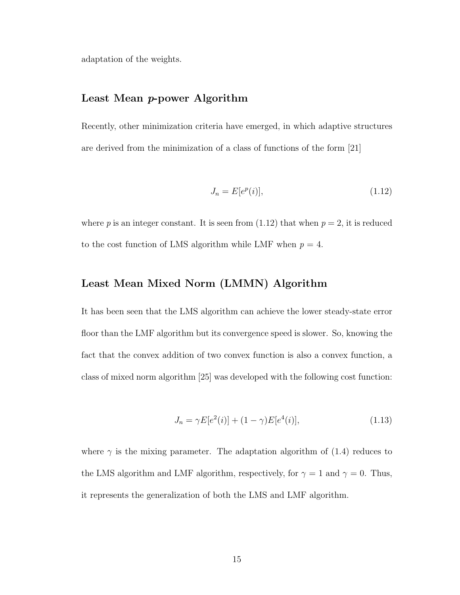adaptation of the weights.

#### Least Mean p-power Algorithm

Recently, other minimization criteria have emerged, in which adaptive structures are derived from the minimization of a class of functions of the form [21]

$$
J_n = E[e^p(i)],\tag{1.12}
$$

where p is an integer constant. It is seen from  $(1.12)$  that when  $p = 2$ , it is reduced to the cost function of LMS algorithm while LMF when  $p = 4$ .

#### Least Mean Mixed Norm (LMMN) Algorithm

It has been seen that the LMS algorithm can achieve the lower steady-state error floor than the LMF algorithm but its convergence speed is slower. So, knowing the fact that the convex addition of two convex function is also a convex function, a class of mixed norm algorithm [25] was developed with the following cost function:

$$
J_n = \gamma E[e^2(i)] + (1 - \gamma)E[e^4(i)],\tag{1.13}
$$

where  $\gamma$  is the mixing parameter. The adaptation algorithm of (1.4) reduces to the LMS algorithm and LMF algorithm, respectively, for  $\gamma = 1$  and  $\gamma = 0$ . Thus, it represents the generalization of both the LMS and LMF algorithm.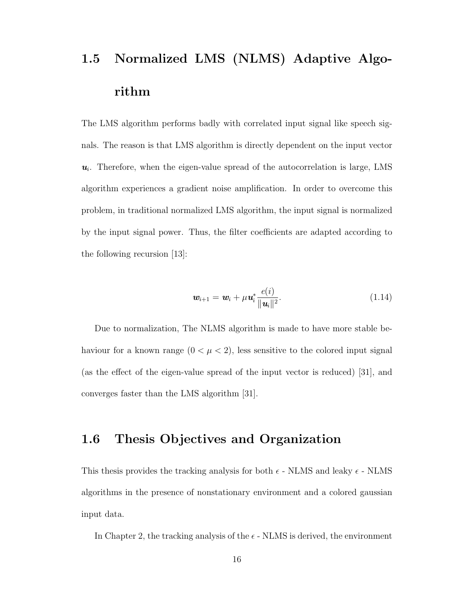## 1.5 Normalized LMS (NLMS) Adaptive Algorithm

The LMS algorithm performs badly with correlated input signal like speech signals. The reason is that LMS algorithm is directly dependent on the input vector  $u_i$ . Therefore, when the eigen-value spread of the autocorrelation is large, LMS algorithm experiences a gradient noise amplification. In order to overcome this problem, in traditional normalized LMS algorithm, the input signal is normalized by the input signal power. Thus, the filter coefficients are adapted according to the following recursion [13]:

$$
\mathbf{w}_{i+1} = \mathbf{w}_i + \mu \mathbf{u}_i^* \frac{e(i)}{\|\mathbf{u}_i\|^2}.
$$
 (1.14)

Due to normalization, The NLMS algorithm is made to have more stable behaviour for a known range  $(0 < \mu < 2)$ , less sensitive to the colored input signal (as the effect of the eigen-value spread of the input vector is reduced) [31], and converges faster than the LMS algorithm [31].

### 1.6 Thesis Objectives and Organization

This thesis provides the tracking analysis for both  $\epsilon$  - NLMS and leaky  $\epsilon$  - NLMS algorithms in the presence of nonstationary environment and a colored gaussian input data.

In Chapter 2, the tracking analysis of the  $\epsilon$  - NLMS is derived, the environment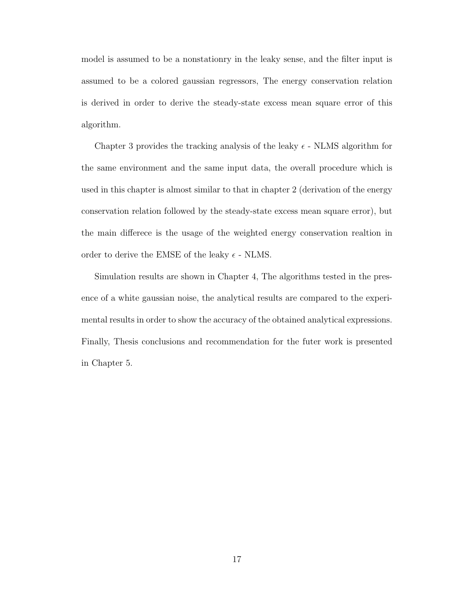model is assumed to be a nonstationry in the leaky sense, and the filter input is assumed to be a colored gaussian regressors, The energy conservation relation is derived in order to derive the steady-state excess mean square error of this algorithm.

Chapter 3 provides the tracking analysis of the leaky  $\epsilon$  - NLMS algorithm for the same environment and the same input data, the overall procedure which is used in this chapter is almost similar to that in chapter 2 (derivation of the energy conservation relation followed by the steady-state excess mean square error), but the main differece is the usage of the weighted energy conservation realtion in order to derive the EMSE of the leaky  $\epsilon$  - NLMS.

Simulation results are shown in Chapter 4, The algorithms tested in the presence of a white gaussian noise, the analytical results are compared to the experimental results in order to show the accuracy of the obtained analytical expressions. Finally, Thesis conclusions and recommendation for the futer work is presented in Chapter 5.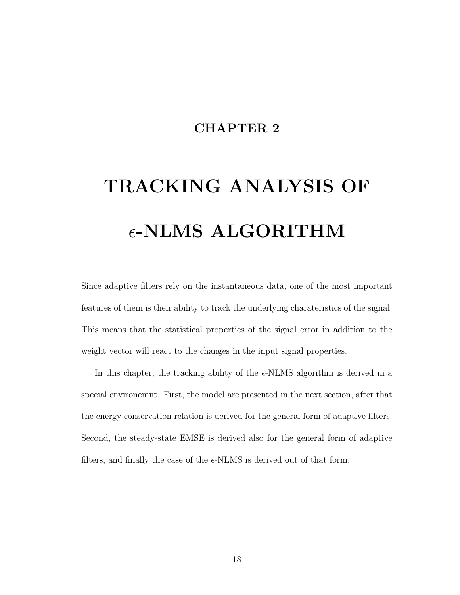### CHAPTER 2

# TRACKING ANALYSIS OF  $\epsilon$ -NLMS ALGORITHM

Since adaptive filters rely on the instantaneous data, one of the most important features of them is their ability to track the underlying charateristics of the signal. This means that the statistical properties of the signal error in addition to the weight vector will react to the changes in the input signal properties.

In this chapter, the tracking ability of the  $\epsilon$ -NLMS algorithm is derived in a special environemnt. First, the model are presented in the next section, after that the energy conservation relation is derived for the general form of adaptive filters. Second, the steady-state EMSE is derived also for the general form of adaptive filters, and finally the case of the  $\epsilon$ -NLMS is derived out of that form.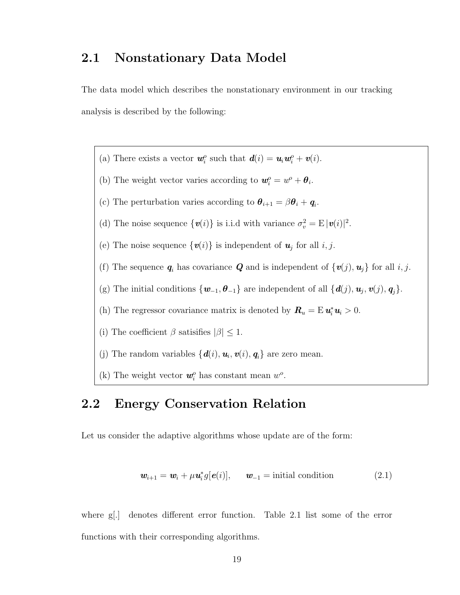#### 2.1 Nonstationary Data Model

The data model which describes the nonstationary environment in our tracking analysis is described by the following:

(a) There exists a vector  $\mathbf{w}_i^o$  such that  $\mathbf{d}(i) = \mathbf{u}_i \mathbf{w}_i^o + \mathbf{v}(i)$ . (b) The weight vector varies according to  $\mathbf{w}_i^o = w^o + \theta_i$ . (c) The perturbation varies according to  $\theta_{i+1} = \beta \theta_i + \mathbf{q}_i$ . (d) The noise sequence  $\{v(i)\}\$ is i.i.d with variance  $\sigma_v^2 = E |\dot{v}(i)|^2$ . (e) The noise sequence  $\{v(i)\}\$ is independent of  $u_j$  for all  $i, j$ . (f) The sequence  $q_i$  has covariance  $Q$  and is independent of  $\{v(j), u_j\}$  for all i, j. (g) The initial conditions  $\{w_{-1}, \theta_{-1}\}\$ are independent of all  $\{d(j), u_j, v(j), q_j\}$ . (h) The regressor covariance matrix is denoted by  $\mathbf{R}_u = \mathbf{E} \,\mathbf{u}_i^* \mathbf{u}_i > 0$ . (i) The coefficient  $\beta$  satisifies  $|\beta| \leq 1$ . (j) The random variables  $\{d(i), u_i, v(i), q_i\}$  are zero mean. (k) The weight vector  $w_i^o$  has constant mean  $w_o^o$ .

## 2.2 Energy Conservation Relation

Let us consider the adaptive algorithms whose update are of the form:

$$
\mathbf{w}_{i+1} = \mathbf{w}_i + \mu \mathbf{u}_i^* g[\mathbf{e}(i)], \qquad \mathbf{w}_{-1} = \text{initial condition} \tag{2.1}
$$

where g[.] denotes different error function. Table 2.1 list some of the error functions with their corresponding algorithms.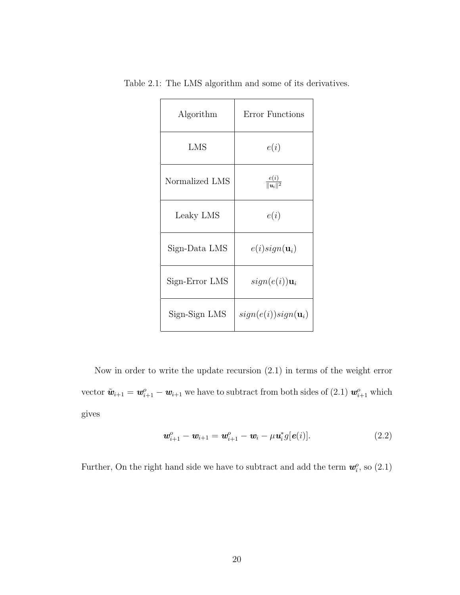| Algorithm      | Error Functions                |
|----------------|--------------------------------|
| LMS            | e(i)                           |
| Normalized LMS | $\frac{e(i)}{\ u_i\ ^2}$       |
| Leaky LMS      | e(i)                           |
| Sign-Data LMS  | $e(i)sign(\mathbf{u}_i)$       |
| Sign-Error LMS | $sign(e(i))\mathbf{u}_i$       |
| Sign-Sign LMS  | $sign(e(i))sign(\mathbf{u}_i)$ |

Table 2.1: The LMS algorithm and some of its derivatives.

Now in order to write the update recursion (2.1) in terms of the weight error vector  $\tilde{\mathbf{w}}_{i+1} = \mathbf{w}_{i+1}^o - \mathbf{w}_{i+1}$  we have to subtract from both sides of (2.1)  $\mathbf{w}_{i+1}^o$  which gives

$$
\mathbf{w}_{i+1}^o - \mathbf{w}_{i+1} = \mathbf{w}_{i+1}^o - \mathbf{w}_i - \mu \mathbf{u}_i^* g[\mathbf{e}(i)]. \qquad (2.2)
$$

Further, On the right hand side we have to subtract and add the term  $w_i^o$ , so  $(2.1)$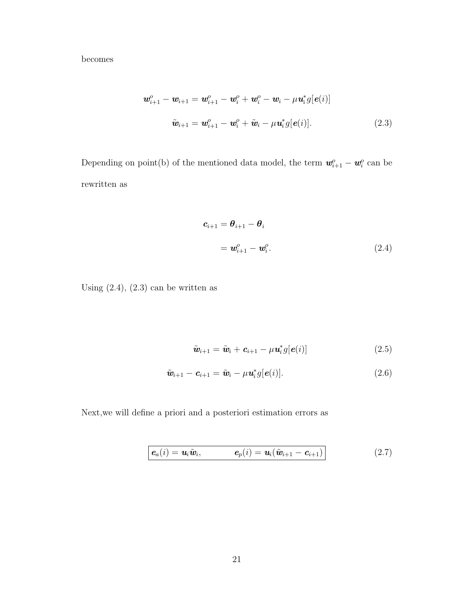becomes

$$
\mathbf{w}_{i+1}^o - \mathbf{w}_{i+1} = \mathbf{w}_{i+1}^o - \mathbf{w}_i^o + \mathbf{w}_i^o - \mathbf{w}_i - \mu \mathbf{u}_i^* g[\mathbf{e}(i)]
$$
  

$$
\tilde{\mathbf{w}}_{i+1} = \mathbf{w}_{i+1}^o - \mathbf{w}_i^o + \tilde{\mathbf{w}}_i - \mu \mathbf{u}_i^* g[\mathbf{e}(i)].
$$
 (2.3)

Depending on point(b) of the mentioned data model, the term  $w_{i+1}^o - w_i^o$  can be rewritten as

$$
\mathbf{c}_{i+1} = \boldsymbol{\theta}_{i+1} - \boldsymbol{\theta}_i
$$
  
=  $\mathbf{w}_{i+1}^o - \mathbf{w}_i^o$ . (2.4)

Using  $(2.4)$ ,  $(2.3)$  can be written as

$$
\tilde{\boldsymbol{w}}_{i+1} = \tilde{\boldsymbol{w}}_i + \boldsymbol{c}_{i+1} - \mu \boldsymbol{u}_i^* g[\boldsymbol{e}(i)] \qquad (2.5)
$$

$$
\tilde{\boldsymbol{w}}_{i+1} - \boldsymbol{c}_{i+1} = \tilde{\boldsymbol{w}}_i - \mu \boldsymbol{u}_i^* g[\boldsymbol{e}(i)]. \qquad (2.6)
$$

Next,we will define a priori and a posteriori estimation errors as

$$
\boldsymbol{e}_{a}(i) = \boldsymbol{u}_{i}\tilde{\boldsymbol{w}}_{i}, \qquad \boldsymbol{e}_{p}(i) = \boldsymbol{u}_{i}(\tilde{\boldsymbol{w}}_{i+1} - \boldsymbol{c}_{i+1}) \qquad (2.7)
$$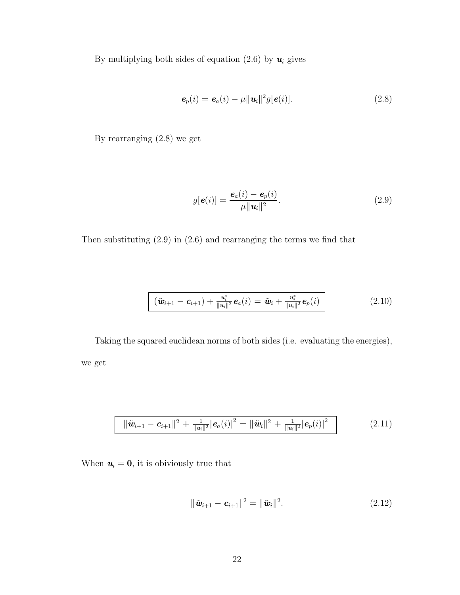By multiplying both sides of equation (2.6) by  $u_i$  gives

$$
\mathbf{e}_p(i) = \mathbf{e}_a(i) - \mu ||\mathbf{u}_i||^2 g[\mathbf{e}(i)]. \tag{2.8}
$$

By rearranging (2.8) we get

$$
g[\boldsymbol{e}(i)] = \frac{\boldsymbol{e}_a(i) - \boldsymbol{e}_p(i)}{\mu ||\boldsymbol{u}_i||^2}.
$$
\n(2.9)

Then substituting (2.9) in (2.6) and rearranging the terms we find that

$$
\boxed{(\tilde{\mathbf{w}}_{i+1}-\mathbf{c}_{i+1})+\frac{\mathbf{u}_i^*}{\|\mathbf{u}_i\|^2}\mathbf{e}_a(i)}=\tilde{\mathbf{w}}_i+\frac{\mathbf{u}_i^*}{\|\mathbf{u}_i\|^2}\mathbf{e}_p(i)}
$$
(2.10)

Taking the squared euclidean norms of both sides (i.e. evaluating the energies), we get

$$
\|\tilde{\mathbf{w}}_{i+1} - \mathbf{c}_{i+1}\|^2 + \frac{1}{\|\mathbf{u}_i\|^2} |\mathbf{e}_a(i)|^2 = \|\tilde{\mathbf{w}}_i\|^2 + \frac{1}{\|\mathbf{u}_i\|^2} |\mathbf{e}_p(i)|^2
$$
\n(2.11)

When  $u_i = 0$ , it is obiviously true that

$$
\|\tilde{\bm{w}}_{i+1} - \bm{c}_{i+1}\|^2 = \|\tilde{\bm{w}}_i\|^2. \tag{2.12}
$$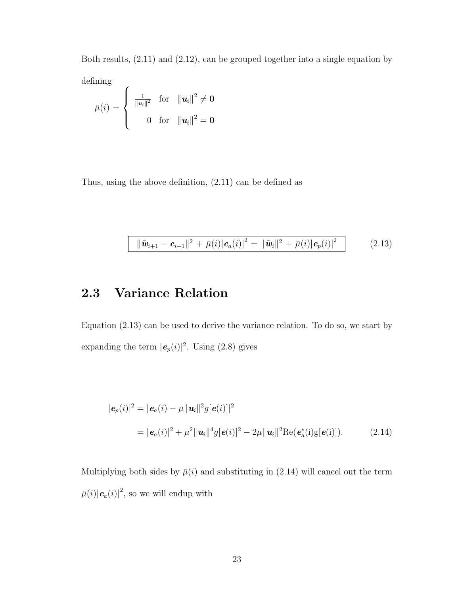Both results, (2.11) and (2.12), can be grouped together into a single equation by defining  $\epsilon$ 

$$
\bar{\mu}(i) = \begin{cases} \frac{1}{\|u_i\|^2} & \text{for} \quad \|\boldsymbol{u}_i\|^2 \neq \mathbf{0} \\ 0 & \text{for} \quad \|\boldsymbol{u}_i\|^2 = \mathbf{0} \end{cases}
$$

Thus, using the above definition, (2.11) can be defined as

$$
\|\tilde{\mathbf{w}}_{i+1} - \mathbf{c}_{i+1}\|^2 + \bar{\mu}(i) |\mathbf{e}_a(i)|^2 = \|\tilde{\mathbf{w}}_i\|^2 + \bar{\mu}(i) |\mathbf{e}_p(i)|^2 \qquad (2.13)
$$

#### 2.3 Variance Relation

L

Equation (2.13) can be used to derive the variance relation. To do so, we start by expanding the term  $|e_p(i)|^2$ . Using (2.8) gives

$$
|\mathbf{e}_p(i)|^2 = |\mathbf{e}_a(i) - \mu ||\mathbf{u}_i||^2 g[\mathbf{e}(i)]^2
$$
  
=  $|\mathbf{e}_a(i)|^2 + \mu^2 ||\mathbf{u}_i||^4 g[\mathbf{e}(i)]^2 - 2\mu ||\mathbf{u}_i||^2 \text{Re}(\mathbf{e}_a^*(i)g[\mathbf{e}(i)]).$  (2.14)

Multiplying both sides by  $\bar{\mu}(i)$  and substituting in (2.14) will cancel out the term  $\bar{\mu}(i)|\mathbf{e}_a(i)|^2$ , so we will endup with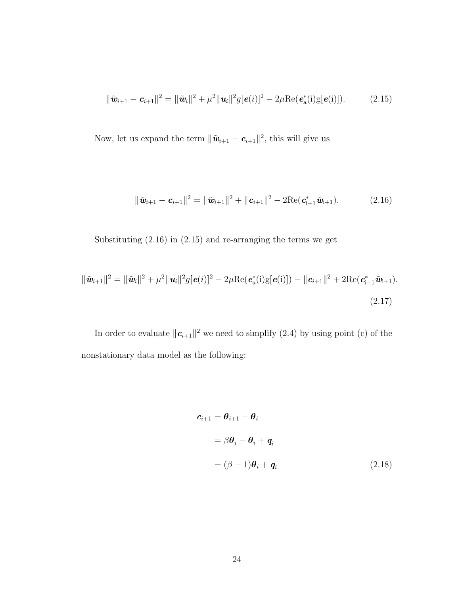$$
\|\tilde{\mathbf{w}}_{i+1} - \mathbf{c}_{i+1}\|^2 = \|\tilde{\mathbf{w}}_i\|^2 + \mu^2 \|\mathbf{u}_i\|^2 g[\mathbf{e}(i)]^2 - 2\mu \text{Re}(\mathbf{e}_a^*(i)g[\mathbf{e}(i)]). \tag{2.15}
$$

Now, let us expand the term  $\|\tilde{\mathbf{w}}_{i+1} - \mathbf{c}_{i+1}\|^2$ , this will give us

$$
\|\tilde{\mathbf{w}}_{i+1} - \mathbf{c}_{i+1}\|^2 = \|\tilde{\mathbf{w}}_{i+1}\|^2 + \|\mathbf{c}_{i+1}\|^2 - 2\text{Re}(\mathbf{c}_{i+1}^*\tilde{\mathbf{w}}_{i+1}).
$$
\n(2.16)

Substituting (2.16) in (2.15) and re-arranging the terms we get

$$
\|\tilde{\mathbf{w}}_{i+1}\|^2 = \|\tilde{\mathbf{w}}_i\|^2 + \mu^2 \|\mathbf{u}_i\|^2 g[\mathbf{e}(i)]^2 - 2\mu \text{Re}(\mathbf{e}_a^*(i)g[\mathbf{e}(i)]) - \|\mathbf{c}_{i+1}\|^2 + 2\text{Re}(\mathbf{c}_{i+1}^*\tilde{\mathbf{w}}_{i+1}).
$$
\n(2.17)

In order to evaluate  $||c_{i+1}||^2$  we need to simplify (2.4) by using point (c) of the nonstationary data model as the following:

$$
\mathbf{c}_{i+1} = \boldsymbol{\theta}_{i+1} - \boldsymbol{\theta}_i
$$
  
=  $\beta \boldsymbol{\theta}_i - \boldsymbol{\theta}_i + \boldsymbol{q}_i$   
=  $(\beta - 1)\boldsymbol{\theta}_i + \boldsymbol{q}_i$  (2.18)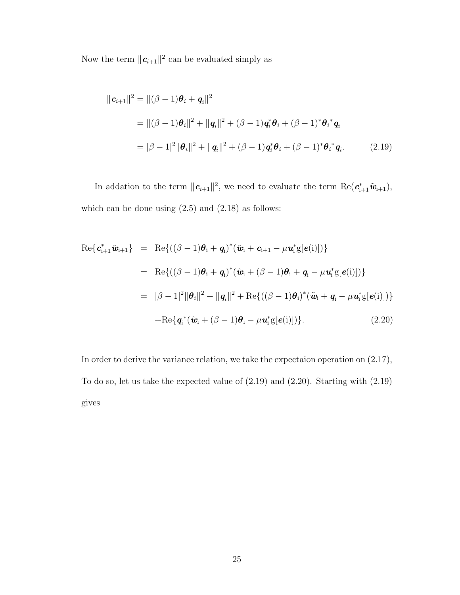Now the term  $\|\mathbf{c}_{i+1}\|^2$  can be evaluated simply as

$$
\|\mathbf{c}_{i+1}\|^2 = \|(\beta - 1)\boldsymbol{\theta}_i + \mathbf{q}_i\|^2
$$
  
= 
$$
\|(\beta - 1)\boldsymbol{\theta}_i\|^2 + \|\mathbf{q}_i\|^2 + (\beta - 1)\mathbf{q}_i^*\boldsymbol{\theta}_i + (\beta - 1)^*\boldsymbol{\theta}_i^*\mathbf{q}_i
$$
  
= 
$$
|\beta - 1|^2 \|\boldsymbol{\theta}_i\|^2 + \|\mathbf{q}_i\|^2 + (\beta - 1)\mathbf{q}_i^*\boldsymbol{\theta}_i + (\beta - 1)^*\boldsymbol{\theta}_i^*\mathbf{q}_i.
$$
 (2.19)

In addation to the term  $||c_{i+1}||^2$ , we need to evaluate the term  $\text{Re}(c_{i+1}^*\tilde{w}_{i+1}),$ which can be done using  $(2.5)$  and  $(2.18)$  as follows:

$$
\begin{array}{rcl}\n\text{Re}\{\pmb{c}_{i+1}^*\tilde{\pmb{w}}_{i+1}\} & = & \text{Re}\{((\beta-1)\pmb{\theta}_i+\pmb{q}_i)^*(\tilde{\pmb{w}}_i+\pmb{c}_{i+1}-\mu\pmb{u}_i^*\text{g}[\pmb{e}(i)])\} \\
& = & \text{Re}\{((\beta-1)\pmb{\theta}_i+\pmb{q}_i)^*(\tilde{\pmb{w}}_i+(\beta-1)\pmb{\theta}_i+\pmb{q}_i-\mu\pmb{u}_i^*\text{g}[\pmb{e}(i)])\} \\
& = & |\beta-1|^2 \|\pmb{\theta}_i\|^2 + \|\pmb{q}_i\|^2 + \text{Re}\{((\beta-1)\pmb{\theta}_i)^*(\tilde{\pmb{w}}_i+\pmb{q}_i-\mu\pmb{u}_i^*\text{g}[\pmb{e}(i)])\} \\
& + \text{Re}\{\pmb{q}_i^*(\tilde{\pmb{w}}_i+(\beta-1)\pmb{\theta}_i-\mu\pmb{u}_i^*\text{g}[\pmb{e}(i)])\}.\n\end{array} \tag{2.20}
$$

In order to derive the variance relation, we take the expectaion operation on (2.17), To do so, let us take the expected value of (2.19) and (2.20). Starting with (2.19) gives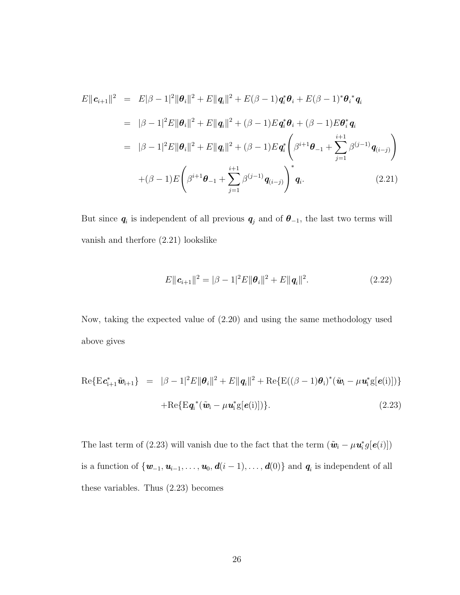$$
E||\mathbf{c}_{i+1}||^2 = E|\beta - 1|^2 ||\boldsymbol{\theta}_i||^2 + E||\mathbf{q}_i||^2 + E(\beta - 1)\mathbf{q}_i^* \boldsymbol{\theta}_i + E(\beta - 1)^* \boldsymbol{\theta}_i^* \mathbf{q}_i
$$
  
\n
$$
= |\beta - 1|^2 E||\boldsymbol{\theta}_i||^2 + E||\mathbf{q}_i||^2 + (\beta - 1)E\mathbf{q}_i^* \boldsymbol{\theta}_i + (\beta - 1)E\mathbf{\theta}_i^* \mathbf{q}_i
$$
  
\n
$$
= |\beta - 1|^2 E||\boldsymbol{\theta}_i||^2 + E||\mathbf{q}_i||^2 + (\beta - 1)E\mathbf{q}_i^* \left(\beta^{i+1} \boldsymbol{\theta}_{-1} + \sum_{j=1}^{i+1} \beta^{(j-1)} \mathbf{q}_{(i-j)}\right)
$$
  
\n
$$
+ (\beta - 1)E\left(\beta^{i+1} \boldsymbol{\theta}_{-1} + \sum_{j=1}^{i+1} \beta^{(j-1)} \mathbf{q}_{(i-j)}\right)^* \mathbf{q}_i.
$$
 (2.21)

But since  $q_i$  is independent of all previous  $q_j$  and of  $\theta_{-1}$ , the last two terms will vanish and therfore (2.21) lookslike

$$
E\|\mathbf{c}_{i+1}\|^2 = |\beta - 1|^2 E \|\mathbf{\theta}_i\|^2 + E \|\mathbf{q}_i\|^2. \tag{2.22}
$$

Now, taking the expected value of (2.20) and using the same methodology used above gives

$$
\begin{array}{rcl}\n\text{Re}\{\mathrm{E}\mathbf{c}_{i+1}^*\tilde{\mathbf{w}}_{i+1}\} & = & |\beta - 1|^2 E \|\boldsymbol{\theta}_i\|^2 + E \|\mathbf{q}_i\|^2 + \text{Re}\{\mathrm{E}((\beta - 1)\boldsymbol{\theta}_i)^*(\tilde{\mathbf{w}}_i - \mu \mathbf{u}_i^*\mathrm{g}[\boldsymbol{e}(i)])\} \\
& & + \text{Re}\{\mathrm{E}\mathbf{q}_i^*(\tilde{\mathbf{w}}_i - \mu \mathbf{u}_i^*\mathrm{g}[\boldsymbol{e}(i)])\}.\n\end{array} \tag{2.23}
$$

The last term of (2.23) will vanish due to the fact that the term  $(\tilde{\mathbf{w}}_i - \mu \mathbf{u}_i^* g[\mathbf{e}(i)])$ is a function of  $\{w_{-1}, u_{i-1}, \ldots, u_0, d(i-1), \ldots, d(0)\}\$  and  $q_i$  is independent of all these variables. Thus (2.23) becomes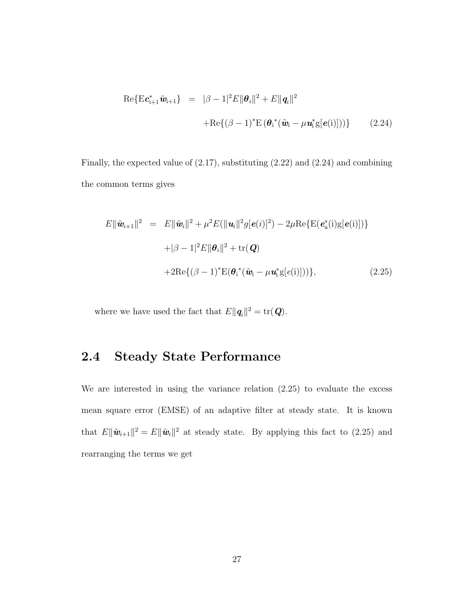$$
\operatorname{Re}\{\mathrm{E} \mathbf{c}_{i+1}^* \tilde{\mathbf{w}}_{i+1}\} = |\beta - 1|^2 E \|\mathbf{\theta}_i\|^2 + E \|\mathbf{q}_i\|^2
$$

$$
+ \operatorname{Re}\{(\beta - 1)^* \mathrm{E} (\mathbf{\theta}_i^* (\tilde{\mathbf{w}}_i - \mu \mathbf{u}_i^* \mathrm{g}[\mathbf{e}(i)]))\}
$$
(2.24)

Finally, the expected value of (2.17), substituting (2.22) and (2.24) and combining the common terms gives

$$
E\|\tilde{\boldsymbol{w}}_{i+1}\|^2 = E\|\tilde{\boldsymbol{w}}_i\|^2 + \mu^2 E(\|\boldsymbol{u}_i\|^2 g[\boldsymbol{e}(i)]^2) - 2\mu \text{Re}\{\text{E}(\boldsymbol{e}_a^*(i)g[\boldsymbol{e}(i)])\}
$$
  
+|\beta - 1|^2 E\|\boldsymbol{\theta}\_i\|^2 + \text{tr}(\boldsymbol{Q})  
+2\text{Re}\{(\beta - 1)^\* \text{E}(\boldsymbol{\theta}\_i^\*(\tilde{\boldsymbol{w}}\_i - \mu \boldsymbol{u}\_i^\* g[\boldsymbol{e}(i)]))\}, \qquad (2.25)

where we have used the fact that  $E\|\mathbf{q}_i\|^2 = \text{tr}(\mathbf{Q})$ .

# 2.4 Steady State Performance

We are interested in using the variance relation (2.25) to evaluate the excess mean square error (EMSE) of an adaptive filter at steady state. It is known that  $E\|\tilde{\mathbf{w}}_{i+1}\|^2 = E\|\tilde{\mathbf{w}}_i\|^2$  at steady state. By applying this fact to (2.25) and rearranging the terms we get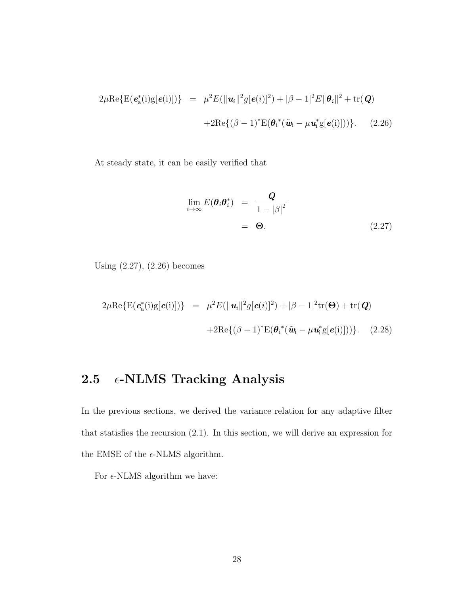$$
2\mu \text{Re}\{\text{E}(\boldsymbol{e}_{\text{a}}^{*}(i)g[\boldsymbol{e}(i)])\} = \mu^{2}E(\|\boldsymbol{u}_{i}\|^{2}g[\boldsymbol{e}(i)]^{2}) + |\beta - 1|^{2}E\|\boldsymbol{\theta}_{i}\|^{2} + \text{tr}(\boldsymbol{Q})
$$

$$
+ 2\text{Re}\{(\beta - 1)^{*}\text{E}(\boldsymbol{\theta}_{i}^{*}(\tilde{\boldsymbol{w}}_{i} - \mu \boldsymbol{u}_{i}^{*}g[\boldsymbol{e}(i)]))\}.
$$
 (2.26)

At steady state, it can be easily verified that

$$
\lim_{i \to \infty} E(\boldsymbol{\theta}_i \boldsymbol{\theta}_i^*) = \frac{Q}{1 - |\beta|^2}
$$
  
=  $\Theta$ . (2.27)

Using (2.27), (2.26) becomes

$$
2\mu \text{Re}\{\text{E}(\boldsymbol{e}_{\text{a}}^{*}(i)g[\boldsymbol{e}(i)])\} = \mu^{2}E(\|\boldsymbol{u}_{i}\|^{2}g[\boldsymbol{e}(i)]^{2}) + |\beta - 1|^{2}\text{tr}(\boldsymbol{\Theta}) + \text{tr}(\boldsymbol{Q})
$$

$$
+ 2\text{Re}\{(\beta - 1)^{*}\text{E}(\boldsymbol{\theta}_{i}^{*}(\tilde{\boldsymbol{w}}_{i} - \mu \boldsymbol{u}_{i}^{*}g[\boldsymbol{e}(i)]))\}.
$$
 (2.28)

# 2.5  $\epsilon$ -NLMS Tracking Analysis

In the previous sections, we derived the variance relation for any adaptive filter that statisfies the recursion (2.1). In this section, we will derive an expression for the EMSE of the  $\epsilon$ -NLMS algorithm.

For  $\epsilon$ -NLMS algorithm we have: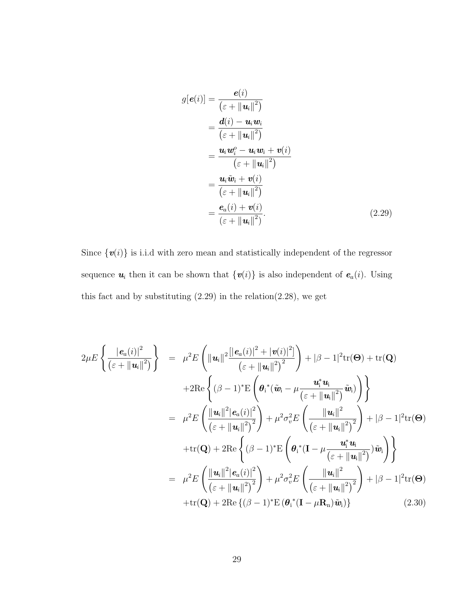$$
g[e(i)] = \frac{e(i)}{(\varepsilon + ||\mathbf{u}_i||^2)}
$$
  
= 
$$
\frac{d(i) - \mathbf{u}_i \mathbf{w}_i}{(\varepsilon + ||\mathbf{u}_i||^2)}
$$
  
= 
$$
\frac{\mathbf{u}_i \mathbf{w}_i^o - \mathbf{u}_i \mathbf{w}_i + \mathbf{v}(i)}{(\varepsilon + ||\mathbf{u}_i||^2)}
$$
  
= 
$$
\frac{\mathbf{u}_i \tilde{\mathbf{w}}_i + \mathbf{v}(i)}{(\varepsilon + ||\mathbf{u}_i||^2)}
$$
  
= 
$$
\frac{\mathbf{e}_a(i) + \mathbf{v}(i)}{(\varepsilon + ||\mathbf{u}_i||^2)}
$$
 (2.29)

Since  $\{v(i)\}$  is i.i.d with zero mean and statistically independent of the regressor sequence  $u_i$  then it can be shown that  $\{v(i)\}\$ is also independent of  $e_a(i)$ . Using this fact and by substituting  $(2.29)$  in the relation $(2.28)$ , we get

$$
2\mu E\left\{\frac{|\boldsymbol{e}_{a}(i)|^{2}}{(\varepsilon+\|\boldsymbol{u}_{i}\|^{2})}\right\} = \mu^{2} E\left(\|\boldsymbol{u}_{i}\|^{2}\frac{[|\boldsymbol{e}_{a}(i)|^{2}+|\boldsymbol{v}(i)|^{2}]}{(\varepsilon+\|\boldsymbol{u}_{i}\|^{2})^{2}}\right)+|\beta-1|^{2} \text{tr}(\boldsymbol{\Theta})+\text{tr}(\mathbf{Q})
$$

$$
+2 \text{Re}\left\{(\beta-1)^{*} \text{E}\left(\boldsymbol{\theta}_{i}^{*}(\tilde{\boldsymbol{w}}_{i}-\mu\frac{\boldsymbol{u}_{i}^{*}\boldsymbol{u}_{i}}{(\varepsilon+\|\boldsymbol{u}_{i}\|^{2})}\tilde{\boldsymbol{w}}_{i})\right)\right\}
$$

$$
= \mu^{2} E\left(\frac{\|\boldsymbol{u}_{i}\|^{2}|\boldsymbol{e}_{a}(i)|^{2}}{(\varepsilon+\|\boldsymbol{u}_{i}\|^{2})^{2}}\right)+\mu^{2} \sigma_{v}^{2} E\left(\frac{\|\boldsymbol{u}_{i}\|^{2}}{(\varepsilon+\|\boldsymbol{u}_{i}\|^{2})^{2}}\right)+|\beta-1|^{2} \text{tr}(\boldsymbol{\Theta})
$$

$$
+\text{tr}(\mathbf{Q})+2 \text{Re}\left\{(\beta-1)^{*} \text{E}\left(\boldsymbol{\theta}_{i}^{*}(\mathbf{I}-\mu\frac{\boldsymbol{u}_{i}^{*}\boldsymbol{u}_{i}}{(\varepsilon+\|\boldsymbol{u}_{i}\|^{2})}\right)\tilde{\boldsymbol{w}}_{i}\right)\right\}
$$

$$
= \mu^{2} E\left(\frac{\|\boldsymbol{u}_{i}\|^{2}|\boldsymbol{e}_{a}(i)|^{2}}{(\varepsilon+\|\boldsymbol{u}_{i}\|^{2})^{2}}\right)+\mu^{2} \sigma_{v}^{2} E\left(\frac{\|\boldsymbol{u}_{i}\|^{2}}{(\varepsilon+\|\boldsymbol{u}_{i}\|^{2})^{2}}\right)+|\beta-1|^{2} \text{tr}(\boldsymbol{\Theta})
$$

$$
+\text{tr}(\mathbf{Q})+2 \text{Re}\left\{(\beta-1)^{*} \text{E}\left(\boldsymbol{\theta}_{i}^{*}(\mathbf{I}-\mu\mathbf{R}_{n})\tilde{\boldsymbol{w}}_{i})\right\}\right\}
$$
(2.30)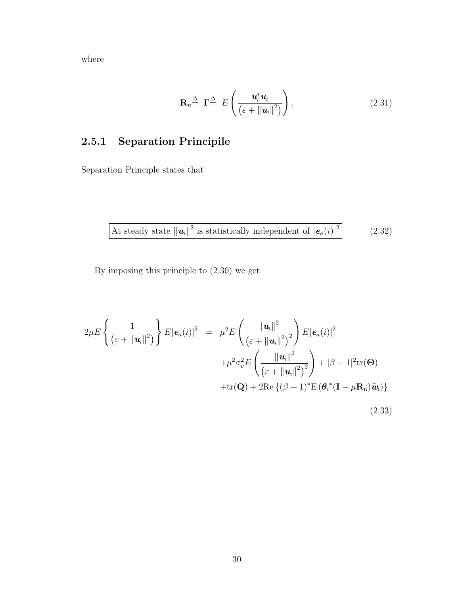where

$$
\mathbf{R}_n \triangleq \mathbf{\Gamma} \triangleq E \left( \frac{\mathbf{u}_i^* \mathbf{u}_i}{\left( \varepsilon + \|\mathbf{u}_i\|^2 \right)} \right). \tag{2.31}
$$

# 2.5.1 Separation Principile

Separation Principle states that

At steady state 
$$
||\mathbf{u}_i||^2
$$
 is statistically independent of  $|\mathbf{e}_a(i)|^2$  (2.32)

By imposing this principle to (2.30) we get

$$
2\mu E\left\{\frac{1}{\left(\varepsilon+\|\mathbf{u}_{i}\|^{2}\right)}\right\}E|\mathbf{e}_{a}(i)|^{2} = \mu^{2}E\left(\frac{\|\mathbf{u}_{i}\|^{2}}{\left(\varepsilon+\|\mathbf{u}_{i}\|^{2}\right)^{2}}\right)E|\mathbf{e}_{a}(i)|^{2} + \mu^{2}\sigma_{v}^{2}E\left(\frac{\|\mathbf{u}_{i}\|^{2}}{\left(\varepsilon+\|\mathbf{u}_{i}\|^{2}\right)^{2}}\right) + |\beta-1|^{2}\text{tr}(\Theta) + \text{tr}(\mathbf{Q}) + 2\text{Re}\left\{\left(\beta-1\right)^{*}\text{E}\left(\theta_{i}^{*}(\mathbf{I}-\mu\mathbf{R}_{n})\tilde{\mathbf{u}}_{i}\right)\right\}
$$
\n(2.33)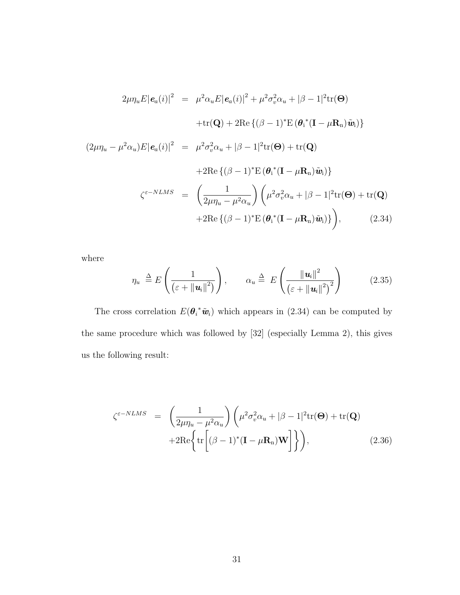$$
2\mu\eta_u E |\mathbf{e}_a(i)|^2 = \mu^2 \alpha_u E |\mathbf{e}_a(i)|^2 + \mu^2 \sigma_v^2 \alpha_u + |\beta - 1|^2 \text{tr}(\Theta)
$$

$$
+ \text{tr}(\mathbf{Q}) + 2 \text{Re}\left\{ (\beta - 1)^* E (\boldsymbol{\theta}_i^* (\mathbf{I} - \mu \mathbf{R}_n) \tilde{\mathbf{w}}_i) \right\}
$$

$$
(2\mu\eta_u - \mu^2 \alpha_u) E |\mathbf{e}_a(i)|^2 = \mu^2 \sigma_v^2 \alpha_u + |\beta - 1|^2 \text{tr}(\Theta) + \text{tr}(\mathbf{Q})
$$

$$
+ 2 \text{Re}\left\{ (\beta - 1)^* E (\boldsymbol{\theta}_i^* (\mathbf{I} - \mu \mathbf{R}_n) \tilde{\mathbf{w}}_i) \right\}
$$

$$
\zeta^{\varepsilon - NLMS} = \left( \frac{1}{2\mu\eta_u - \mu^2 \alpha_u} \right) \left( \mu^2 \sigma_v^2 \alpha_u + |\beta - 1|^2 \text{tr}(\Theta) + \text{tr}(\mathbf{Q})
$$

$$
+ 2 \text{Re}\left\{ (\beta - 1)^* E (\boldsymbol{\theta}_i^* (\mathbf{I} - \mu \mathbf{R}_n) \tilde{\mathbf{w}}_i) \right\} \right), \qquad (2.34)
$$

where

$$
\eta_u \triangleq E\left(\frac{1}{\left(\varepsilon + \|\mathbf{u}_i\|^2\right)}\right), \qquad \alpha_u \triangleq E\left(\frac{\|\mathbf{u}_i\|^2}{\left(\varepsilon + \|\mathbf{u}_i\|^2\right)^2}\right) \tag{2.35}
$$

The cross correlation  $E(\theta_i^* \tilde{w}_i)$  which appears in (2.34) can be computed by the same procedure which was followed by [32] (especially Lemma 2), this gives us the following result:

$$
\zeta^{\varepsilon - NLMS} = \left( \frac{1}{2\mu \eta_u - \mu^2 \alpha_u} \right) \left( \mu^2 \sigma_v^2 \alpha_u + |\beta - 1|^2 \text{tr}(\Theta) + \text{tr}(\mathbf{Q}) \right)
$$

$$
+ 2 \text{Re} \left\{ \text{tr} \left[ (\beta - 1)^* (\mathbf{I} - \mu \mathbf{R}_n) \mathbf{W} \right] \right\} \right), \tag{2.36}
$$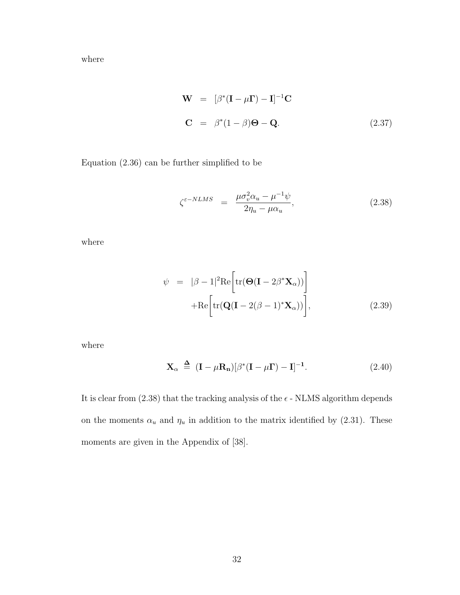where

$$
\mathbf{W} = [\beta^*(\mathbf{I} - \mu \mathbf{\Gamma}) - \mathbf{I}]^{-1} \mathbf{C}
$$
  

$$
\mathbf{C} = \beta^*(1 - \beta) \mathbf{\Theta} - \mathbf{Q}.
$$
 (2.37)

Equation (2.36) can be further simplified to be

$$
\zeta^{\varepsilon - NLMS} = \frac{\mu \sigma_v^2 \alpha_u - \mu^{-1} \psi}{2\eta_u - \mu \alpha_u},
$$
\n(2.38)

where

$$
\psi = |\beta - 1|^2 \text{Re}\left[\text{tr}(\mathbf{\Theta}(\mathbf{I} - 2\beta^* \mathbf{X}_{\alpha}))\right] + \text{Re}\left[\text{tr}(\mathbf{Q}(\mathbf{I} - 2(\beta - 1)^* \mathbf{X}_{\alpha}))\right],
$$
\n(2.39)

where

$$
\mathbf{X}_{\alpha} \triangleq (\mathbf{I} - \mu \mathbf{R}_{\mathbf{n}}) [\beta^* (\mathbf{I} - \mu \mathbf{\Gamma}) - \mathbf{I}]^{-1}.
$$
 (2.40)

It is clear from  $(2.38)$  that the tracking analysis of the  $\epsilon$  - NLMS algorithm depends on the moments  $\alpha_u$  and  $\eta_u$  in addition to the matrix identified by (2.31). These moments are given in the Appendix of [38].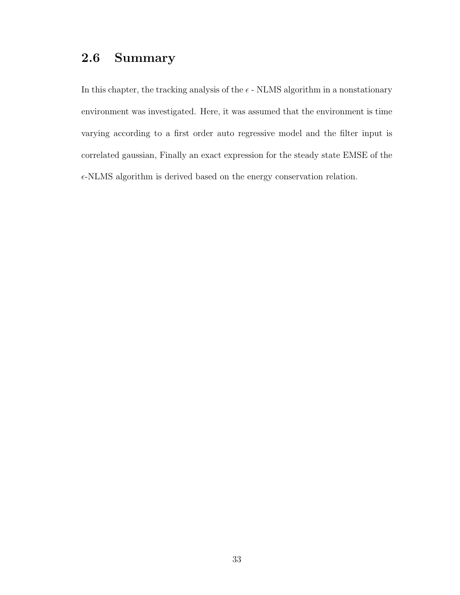#### 2.6 Summary

In this chapter, the tracking analysis of the  $\epsilon$  - NLMS algorithm in a nonstationary environment was investigated. Here, it was assumed that the environment is time varying according to a first order auto regressive model and the filter input is correlated gaussian, Finally an exact expression for the steady state EMSE of the  $\epsilon$ -NLMS algorithm is derived based on the energy conservation relation.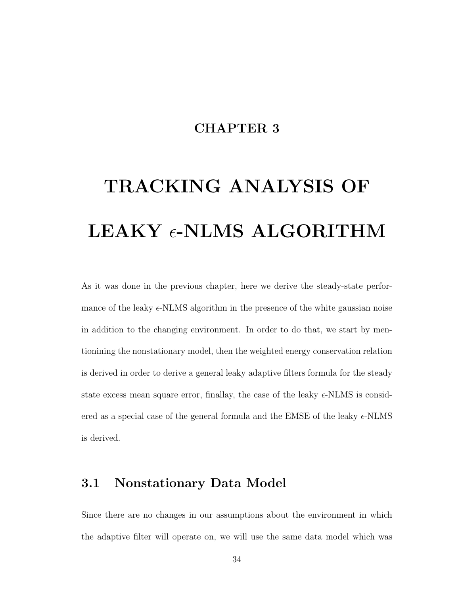#### CHAPTER 3

# TRACKING ANALYSIS OF LEAKY  $\epsilon$ -NLMS ALGORITHM

As it was done in the previous chapter, here we derive the steady-state performance of the leaky  $\epsilon$ -NLMS algorithm in the presence of the white gaussian noise in addition to the changing environment. In order to do that, we start by mentionining the nonstationary model, then the weighted energy conservation relation is derived in order to derive a general leaky adaptive filters formula for the steady state excess mean square error, finallay, the case of the leaky  $\epsilon$ -NLMS is considered as a special case of the general formula and the EMSE of the leaky  $\epsilon$ -NLMS is derived.

#### 3.1 Nonstationary Data Model

Since there are no changes in our assumptions about the environment in which the adaptive filter will operate on, we will use the same data model which was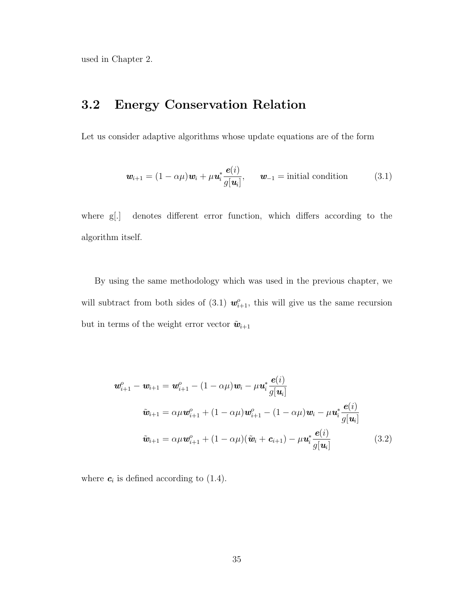used in Chapter 2.

#### 3.2 Energy Conservation Relation

Let us consider adaptive algorithms whose update equations are of the form

$$
\mathbf{w}_{i+1} = (1 - \alpha \mu)\mathbf{w}_i + \mu \mathbf{u}_i^* \frac{\mathbf{e}(i)}{g[\mathbf{u}_i]}, \qquad \mathbf{w}_{-1} = \text{initial condition} \tag{3.1}
$$

where g[.] denotes different error function, which differs according to the algorithm itself.

By using the same methodology which was used in the previous chapter, we will subtract from both sides of (3.1)  $w_{i+1}^o$ , this will give us the same recursion but in terms of the weight error vector  $\tilde{\mathbf{w}}_{i+1}$ 

$$
\mathbf{w}_{i+1}^o - \mathbf{w}_{i+1} = \mathbf{w}_{i+1}^o - (1 - \alpha \mu) \mathbf{w}_i - \mu \mathbf{u}_i^* \frac{\mathbf{e}(i)}{g[\mathbf{u}_i]}
$$
\n
$$
\tilde{\mathbf{w}}_{i+1} = \alpha \mu \mathbf{w}_{i+1}^o + (1 - \alpha \mu) \mathbf{w}_{i+1}^o - (1 - \alpha \mu) \mathbf{w}_i - \mu \mathbf{u}_i^* \frac{\mathbf{e}(i)}{g[\mathbf{u}_i]}
$$
\n
$$
\tilde{\mathbf{w}}_{i+1} = \alpha \mu \mathbf{w}_{i+1}^o + (1 - \alpha \mu) (\tilde{\mathbf{w}}_i + \mathbf{c}_{i+1}) - \mu \mathbf{u}_i^* \frac{\mathbf{e}(i)}{g[\mathbf{u}_i]}
$$
\n(3.2)

where  $c_i$  is defined according to (1.4).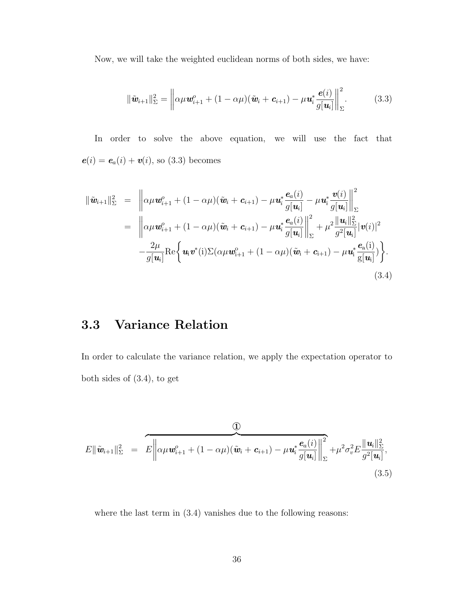Now, we will take the weighted euclidean norms of both sides, we have:

$$
\|\tilde{\boldsymbol{w}}_{i+1}\|_{\Sigma}^{2} = \left\|\alpha\mu \boldsymbol{w}_{i+1}^{o} + (1 - \alpha\mu)(\tilde{\boldsymbol{w}}_{i} + \boldsymbol{c}_{i+1}) - \mu \boldsymbol{u}_{i}^{*} \frac{\boldsymbol{e}(i)}{g[\boldsymbol{u}_{i}]} \right\|_{\Sigma}^{2}.
$$
 (3.3)

In order to solve the above equation, we will use the fact that  $e(i) = e_a(i) + v(i)$ , so (3.3) becomes

$$
\begin{split}\n\|\tilde{\mathbf{w}}_{i+1}\|_{\Sigma}^{2} &= \left\|\alpha\mu\mathbf{w}_{i+1}^{o} + (1 - \alpha\mu)(\tilde{\mathbf{w}}_{i} + \mathbf{c}_{i+1}) - \mu\mathbf{u}_{i}^{*}\frac{\mathbf{e}_{a}(i)}{g[\mathbf{u}_{i}]} - \mu\mathbf{u}_{i}^{*}\frac{\mathbf{v}(i)}{g[\mathbf{u}_{i}]} \right\|_{\Sigma}^{2} \\
&= \left\|\alpha\mu\mathbf{w}_{i+1}^{o} + (1 - \alpha\mu)(\tilde{\mathbf{w}}_{i} + \mathbf{c}_{i+1}) - \mu\mathbf{u}_{i}^{*}\frac{\mathbf{e}_{a}(i)}{g[\mathbf{u}_{i}]} \right\|_{\Sigma}^{2} + \mu^{2}\frac{\|\mathbf{u}_{i}\|_{\Sigma}^{2}}{g^{2}[\mathbf{u}_{i}]}|\mathbf{v}(i)|^{2} \\
&\quad -\frac{2\mu}{g[\mathbf{u}_{i}]} \text{Re}\left\{\mathbf{u}_{i}\mathbf{v}^{*}(i)\Sigma(\alpha\mu\mathbf{w}_{i+1}^{o} + (1 - \alpha\mu)(\tilde{\mathbf{w}}_{i} + \mathbf{c}_{i+1}) - \mu\mathbf{u}_{i}^{*}\frac{\mathbf{e}_{a}(i)}{g[\mathbf{u}_{i}]})\right\}.\n\end{split}
$$
\n(3.4)

# 3.3 Variance Relation

In order to calculate the variance relation, we apply the expectation operator to both sides of (3.4), to get

$$
E\|\tilde{\mathbf{w}}_{i+1}\|_{\Sigma}^{2} = E \left\|\alpha \mu \mathbf{w}_{i+1}^{o} + (1 - \alpha \mu)(\tilde{\mathbf{w}}_{i} + \mathbf{c}_{i+1}) - \mu \mathbf{u}_{i}^{*} \frac{\mathbf{e}_{a}(i)}{g[\mathbf{u}_{i}]} \right\|_{\Sigma}^{2} + \mu^{2} \sigma_{v}^{2} E \frac{\|\mathbf{u}_{i}\|_{\Sigma}^{2}}{g^{2}[\mathbf{u}_{i}]},
$$
\n(3.5)

where the last term in  $(3.4)$  vanishes due to the following reasons: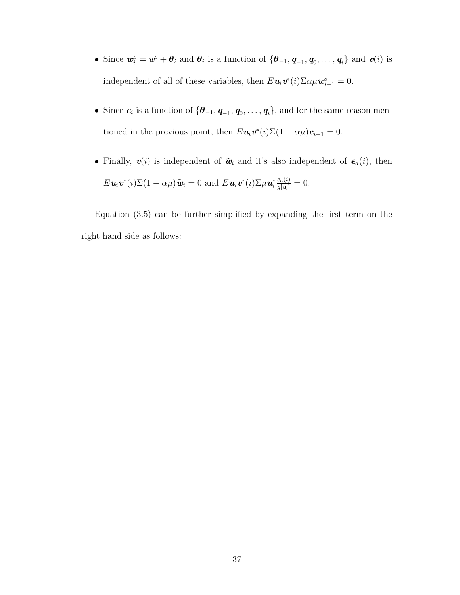- Since  $w_i^o = w^o + \theta_i$  and  $\theta_i$  is a function of  $\{\theta_{-1}, \theta_{-1}, \theta_0, \dots, \theta_i\}$  and  $v(i)$  is independent of all of these variables, then  $E \mathbf{u}_i \mathbf{v}^*(i) \Sigma \alpha \mu \mathbf{w}_{i+1}^o = 0$ .
- Since  $c_i$  is a function of  $\{\theta_{-1}, \mathbf{q}_{-1}, \mathbf{q}_0, \ldots, \mathbf{q}_i\}$ , and for the same reason mentioned in the previous point, then  $E \mathbf{u}_i \mathbf{v}^*(i) \Sigma (1 - \alpha \mu) \mathbf{c}_{i+1} = 0$ .
- Finally,  $v(i)$  is independent of  $\tilde{w}_i$  and it's also independent of  $e_a(i)$ , then  $E \mathbf{u}_i \mathbf{v}^*(i) \Sigma (1 - \alpha \mu) \tilde{\mathbf{w}}_i = 0$  and  $E \mathbf{u}_i \mathbf{v}^*(i) \Sigma \mu \mathbf{u}_i^*$  $\frac{e_a(i)}{g[u_i]}=0.$

Equation (3.5) can be further simplified by expanding the first term on the right hand side as follows: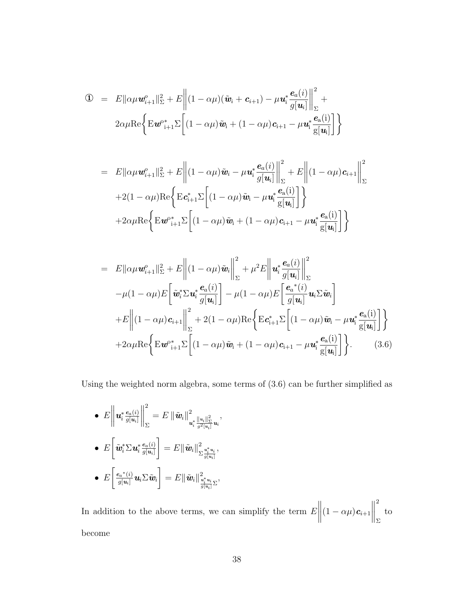$$
\mathbf{D} = E \|\alpha \mu \mathbf{w}_{i+1}^o\|_{\Sigma}^2 + E \left\| (1 - \alpha \mu)(\tilde{\mathbf{w}}_i + \mathbf{c}_{i+1}) - \mu \mathbf{u}_i^* \frac{\mathbf{e}_a(i)}{g[\mathbf{u}_i]} \right\|_{\Sigma}^2 + 2\alpha \mu \text{Re} \left\{ E \mathbf{w}_{i+1}^o \Sigma \left[ (1 - \alpha \mu) \tilde{\mathbf{w}}_i + (1 - \alpha \mu) \mathbf{c}_{i+1} - \mu \mathbf{u}_i^* \frac{\mathbf{e}_a(i)}{g[\mathbf{u}_i]} \right] \right\}
$$

$$
= E \|\alpha \mu \mathbf{w}_{i+1}^o\|_{\Sigma}^2 + E \left\| (1 - \alpha \mu) \tilde{\mathbf{w}}_i - \mu \mathbf{u}_i^* \frac{\mathbf{e}_a(i)}{g[\mathbf{u}_i]} \right\|_{\Sigma}^2 + E \left\| (1 - \alpha \mu) \mathbf{c}_{i+1} \right\|_{\Sigma}^2
$$
  
+2(1 - \alpha \mu) \text{Re} \left\{ \text{E} \mathbf{c}\_{i+1}^\* \Sigma \left[ (1 - \alpha \mu) \tilde{\mathbf{w}}\_i - \mu \mathbf{u}\_i^\* \frac{\mathbf{e}\_a(i)}{g[\mathbf{u}\_i]} \right] \right\}  
+2\alpha \mu \text{Re} \left\{ \text{E} \mathbf{w}\_{i+1}^\* \Sigma \left[ (1 - \alpha \mu) \tilde{\mathbf{w}}\_i + (1 - \alpha \mu) \mathbf{c}\_{i+1} - \mu \mathbf{u}\_i^\* \frac{\mathbf{e}\_a(i)}{g[\mathbf{u}\_i]} \right] \right\}

$$
= E\|\alpha\mu\mathbf{w}_{i+1}^o\|_{\Sigma}^2 + E\left\|(1-\alpha\mu)\tilde{\mathbf{w}}_i\right\|_{\Sigma}^2 + \mu^2 E\left\|\mathbf{u}_i^* \frac{\mathbf{e}_a(i)}{g[\mathbf{u}_i]}\right\|_{\Sigma}^2
$$

$$
-\mu(1-\alpha\mu)E\left[\tilde{\mathbf{w}}_i^* \Sigma \mathbf{u}_i^* \frac{\mathbf{e}_a(i)}{g[\mathbf{u}_i]}\right] - \mu(1-\alpha\mu)E\left[\frac{\mathbf{e}_a^*(i)}{g[\mathbf{u}_i]}\mathbf{u}_i \Sigma \tilde{\mathbf{w}}_i\right]
$$

$$
+ E\left\|(1-\alpha\mu)\mathbf{c}_{i+1}\right\|_{\Sigma}^2 + 2(1-\alpha\mu)\text{Re}\left\{E\mathbf{c}_{i+1}^* \Sigma\left[(1-\alpha\mu)\tilde{\mathbf{w}}_i - \mu\mathbf{u}_i^* \frac{\mathbf{e}_a(i)}{g[\mathbf{u}_i]}\right]\right\}
$$

$$
+ 2\alpha\mu\text{Re}\left\{E\mathbf{w}_{i+1}^* \Sigma\left[(1-\alpha\mu)\tilde{\mathbf{w}}_i + (1-\alpha\mu)\mathbf{c}_{i+1} - \mu\mathbf{u}_i^* \frac{\mathbf{e}_a(i)}{g[\mathbf{u}_i]}\right]\right\}.
$$
(3.6)

Using the weighted norm algebra, some terms of (3.6) can be further simplified as

\n- \n
$$
E\left\|\mathbf{u}_i^* \frac{e_a(i)}{g[\mathbf{u}_i]}\right\|_{\Sigma}^2 = E\left\|\tilde{\mathbf{w}}_i\right\|_{\mathbf{u}_i^* \frac{\|\mathbf{u}_i\|_{\Sigma}^2}{g^2[\mathbf{u}_i]}}^2
$$
\n
\n- \n
$$
E\left[\tilde{\mathbf{w}}_i^* \Sigma \mathbf{u}_i^* \frac{e_a(i)}{g[\mathbf{u}_i]}\right] = E\left\|\tilde{\mathbf{w}}_i\right\|_{\Sigma \frac{\mathbf{u}_i^* \mathbf{u}_i}{g[\mathbf{u}_i]}}^2,
$$
\n
\n- \n
$$
E\left[\frac{e_a^*(i)}{g[\mathbf{u}_i]}\mathbf{u}_i \Sigma \tilde{\mathbf{w}}_i\right] = E\left\|\tilde{\mathbf{w}}_i\right\|_{\frac{\mathbf{u}_i^* \mathbf{u}_i}{g[\mathbf{u}_i]}}^2,
$$
\n
\n

In addition to the above terms, we can simplify the term  $E$  $\begin{array}{c} \begin{array}{c} \begin{array}{c} \begin{array}{c} \end{array}\\ \end{array} \end{array} \end{array}$  $(1-\alpha\mu)\boldsymbol{c}_{i+1}$  2 Σ to become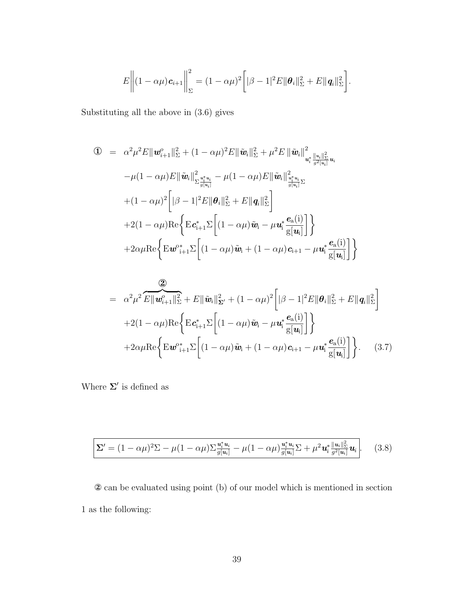$$
E\bigg\|(1-\alpha\mu)\boldsymbol{c}_{i+1}\bigg\|_{\Sigma}^2=(1-\alpha\mu)^2\bigg[\|\beta-1|^2E\|\boldsymbol{\theta}_i\|_{\Sigma}^2+E\|\boldsymbol{q}_i\|_{\Sigma}^2\bigg].
$$

Substituting all the above in (3.6) gives

$$
\begin{split}\n\mathbf{0} &= \alpha^2 \mu^2 E \|\mathbf{w}_{i+1}^o\|_{\Sigma}^2 + (1 - \alpha \mu)^2 E \|\tilde{\mathbf{w}}_i\|_{\Sigma}^2 + \mu^2 E \|\tilde{\mathbf{w}}_i\|_{\mathbf{w}_i^*}^2 \|\mathbf{w}_i\|_{\Sigma}^2 \mathbf{u}_i \\
&\quad - \mu (1 - \alpha \mu) E \|\tilde{\mathbf{w}}_i\|_{\Sigma \frac{\mathbf{w}_i^* \mathbf{u}_i}{g(u_i)}}^2 - \mu (1 - \alpha \mu) E \|\tilde{\mathbf{w}}_i\|_{\frac{\mathbf{w}_i^* \mathbf{u}_i}{g(u_i)}}^2 \mathbf{h}_i \\
&\quad + (1 - \alpha \mu)^2 \left[ |\beta - 1|^2 E \|\mathbf{\theta}_i\|_{\Sigma}^2 + E \|\mathbf{q}_i\|_{\Sigma}^2 \right] \\
&\quad + 2(1 - \alpha \mu) \text{Re} \left\{ \text{E} \mathbf{c}_{i+1}^* \Sigma \left[ (1 - \alpha \mu) \tilde{\mathbf{w}}_i - \mu \mathbf{u}_i^* \frac{\mathbf{e}_a(i)}{g[\mathbf{u}_i]} \right] \right\} \\
&\quad + 2 \alpha \mu \text{Re} \left\{ \text{E} \mathbf{w}_{i+1}^* \Sigma \left[ (1 - \alpha \mu) \tilde{\mathbf{w}}_i + (1 - \alpha \mu) \mathbf{c}_{i+1} - \mu \mathbf{u}_i^* \frac{\mathbf{e}_a(i)}{g[\mathbf{u}_i]} \right] \right\}\n\end{split}
$$

$$
= \alpha^2 \mu^2 \overbrace{E \|\boldsymbol{w}_{i+1}^o\|_{\Sigma}^2}^2 + E \|\tilde{\boldsymbol{w}}_i\|_{\boldsymbol{\Sigma}'}^2 + (1 - \alpha \mu)^2 \left[|\beta - 1|^2 E \|\boldsymbol{\theta}_i\|_{\Sigma}^2 + E \|\boldsymbol{q}_i\|_{\Sigma}^2\right] + 2(1 - \alpha \mu) \text{Re}\left\{E \boldsymbol{c}_{i+1}^* \Sigma \left[(1 - \alpha \mu)\tilde{\boldsymbol{w}}_i - \mu \boldsymbol{u}_i^* \frac{\boldsymbol{e}_a(i)}{g[\boldsymbol{u}_i]}\right]\right\} + 2\alpha \mu \text{Re}\left\{E \boldsymbol{w}_{i+1}^{\circ*} \Sigma \left[(1 - \alpha \mu)\tilde{\boldsymbol{w}}_i + (1 - \alpha \mu)\boldsymbol{c}_{i+1} - \mu \boldsymbol{u}_i^* \frac{\boldsymbol{e}_a(i)}{g[\boldsymbol{u}_i]}\right]\right\}.
$$
 (3.7)

Where  $\Sigma'$  is defined as

$$
\Sigma' = (1 - \alpha \mu)^2 \Sigma - \mu (1 - \alpha \mu) \Sigma \frac{\mathbf{u}_i^* \mathbf{u}_i}{g[\mathbf{u}_i]} - \mu (1 - \alpha \mu) \frac{\mathbf{u}_i^* \mathbf{u}_i}{g[\mathbf{u}_i]} \Sigma + \mu^2 \mathbf{u}_i^* \frac{\|\mathbf{u}_i\|_{\Sigma}^2}{g^2[\mathbf{u}_i]} \mathbf{u}_i.
$$
 (3.8)

② can be evaluated using point (b) of our model which is mentioned in section 1 as the following: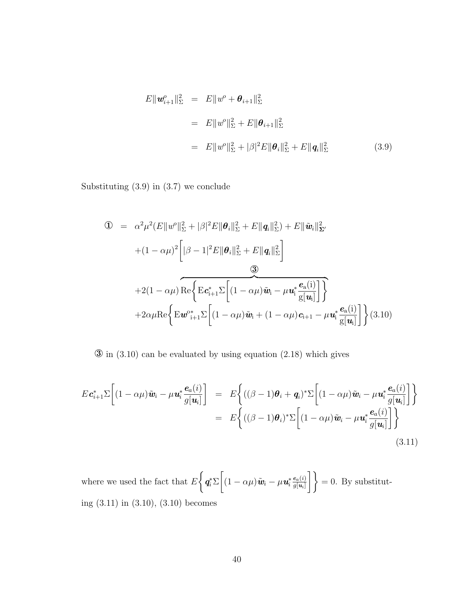$$
E\|\mathbf{w}_{i+1}^o\|_{\Sigma}^2 = E\|w^o + \boldsymbol{\theta}_{i+1}\|_{\Sigma}^2
$$
  
= 
$$
E\|w^o\|_{\Sigma}^2 + E\|\boldsymbol{\theta}_{i+1}\|_{\Sigma}^2
$$
  
= 
$$
E\|w^o\|_{\Sigma}^2 + |\beta|^2 E\|\boldsymbol{\theta}_i\|_{\Sigma}^2 + E\|\mathbf{q}_i\|_{\Sigma}^2
$$
(3.9)

Substituting (3.9) in (3.7) we conclude

$$
\begin{split}\n\mathbf{I} &= \alpha^2 \mu^2 (E \|w^0\|_{\Sigma}^2 + |\beta|^2 E \|\boldsymbol{\theta}_i\|_{\Sigma}^2 + E \|q_i\|_{\Sigma}^2) + E \| \tilde{\boldsymbol{w}}_i \|_{\Sigma'}^2 \\
&\quad + (1 - \alpha \mu)^2 \left[ |\beta - 1|^2 E \|\boldsymbol{\theta}_i\|_{\Sigma}^2 + E \|q_i\|_{\Sigma}^2 \right] \\
&\quad \mathbf{I} &\quad \mathbf{I} &\quad \mathbf{I} &\quad \mathbf{I} &\quad \mathbf{I} &\quad \mathbf{I} &\quad \mathbf{I} &\quad \mathbf{I} &\quad \mathbf{I} &\quad \mathbf{I} &\quad \mathbf{I} &\quad \mathbf{I} &\quad \mathbf{I} &\quad \mathbf{I} &\quad \mathbf{I} &\quad \mathbf{I} &\quad \mathbf{I} &\quad \mathbf{I} &\quad \mathbf{I} &\quad \mathbf{I} &\quad \mathbf{I} &\quad \mathbf{I} &\quad \mathbf{I} &\quad \mathbf{I} &\quad \mathbf{I} &\quad \mathbf{I} &\quad \mathbf{I} &\quad \mathbf{I} &\quad \mathbf{I} &\quad \mathbf{I} &\quad \mathbf{I} &\quad \mathbf{I} &\quad \mathbf{I} &\quad \mathbf{I} &\quad \mathbf{I} &\quad \mathbf{I} &\quad \mathbf{I} &\quad \mathbf{I} &\quad \mathbf{I} &\quad \mathbf{I} &\quad \mathbf{I} &\quad \mathbf{I} &\quad \mathbf{I} &\quad \mathbf{I} &\quad \mathbf{I} &\quad \mathbf{I} &\quad \mathbf{I} &\quad \mathbf{I} &\quad \mathbf{I} &\quad \mathbf{I} &\quad \mathbf{I} &\quad \mathbf{I} &\quad \mathbf{I} &\quad \mathbf{I} &\quad \mathbf{I} &\quad \mathbf{I} &\quad \mathbf{I} &\quad \mathbf{I} &\quad \mathbf{I} &\quad \mathbf{I} &\quad \mathbf{
$$

 $\circled{3}$  in (3.10) can be evaluated by using equation (2.18) which gives

$$
E \mathbf{c}_{i+1}^* \Sigma \left[ (1 - \alpha \mu) \tilde{\mathbf{w}}_i - \mu \mathbf{u}_i^* \frac{\mathbf{e}_a(i)}{g[\mathbf{u}_i]} \right] = E \left\{ ((\beta - 1)\theta_i + \mathbf{q}_i)^* \Sigma \left[ (1 - \alpha \mu) \tilde{\mathbf{w}}_i - \mu \mathbf{u}_i^* \frac{\mathbf{e}_a(i)}{g[\mathbf{u}_i]} \right] \right\}
$$
  
= 
$$
E \left\{ ((\beta - 1)\theta_i)^* \Sigma \left[ (1 - \alpha \mu) \tilde{\mathbf{w}}_i - \mu \mathbf{u}_i^* \frac{\mathbf{e}_a(i)}{g[\mathbf{u}_i]} \right] \right\}
$$
(3.11)

where we used the fact that  $E$  $\int$  $\bm{q}_i^*\Sigma$  $\lceil$  $(1 - \alpha \mu) \tilde{\boldsymbol{w}}_i - \mu \boldsymbol{u}_i^*$  $e_a(i)$  $\left\{\frac{e_a(i)}{g[u_i]}\right\} = 0.$  By substituting (3.11) in (3.10), (3.10) becomes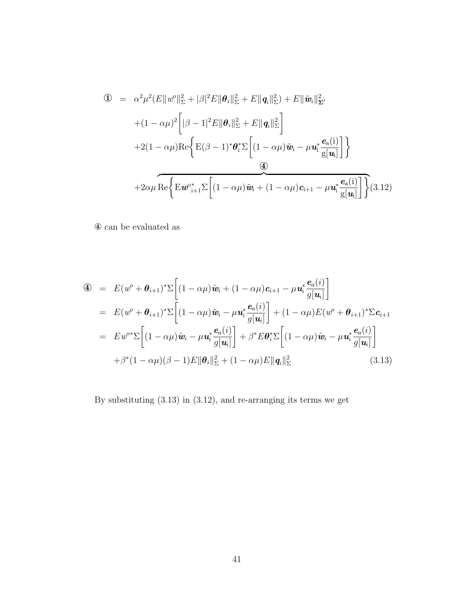$$
\begin{split}\n\mathbf{I} &= \alpha^2 \mu^2 (E \|w^o\|_{\Sigma}^2 + |\beta|^2 E \|\boldsymbol{\theta}_i\|_{\Sigma}^2 + E \|q_i\|_{\Sigma}^2) + E \| \tilde{\boldsymbol{w}}_i \|_{\Sigma'}^2 \\
&\quad + (1 - \alpha \mu)^2 \left[ |\beta - 1|^2 E \|\boldsymbol{\theta}_i\|_{\Sigma}^2 + E \|q_i\|_{\Sigma}^2 \right] \\
&\quad + 2(1 - \alpha \mu) \text{Re} \left\{ E (\beta - 1)^* \boldsymbol{\theta}_i^* \Sigma \left[ (1 - \alpha \mu) \tilde{\boldsymbol{w}}_i - \mu \boldsymbol{u}_i^* \frac{\boldsymbol{e}_a(i)}{g[\boldsymbol{u}_i]} \right] \right\} \\
&\quad + 2 \alpha \mu \text{Re} \left\{ E \boldsymbol{w}^*_{i+1} \Sigma \left[ (1 - \alpha \mu) \tilde{\boldsymbol{w}}_i + (1 - \alpha \mu) \boldsymbol{c}_{i+1} - \mu \boldsymbol{u}_i^* \frac{\boldsymbol{e}_a(i)}{g[\boldsymbol{u}_i]} \right] \right\} (3.12)\n\end{split}
$$

 $\circledast$  can be evaluated as

$$
\begin{split}\n\mathbf{\Phi} &= E(w^o + \boldsymbol{\theta}_{i+1})^* \Sigma \left[ (1 - \alpha \mu) \tilde{\boldsymbol{w}}_i + (1 - \alpha \mu) \boldsymbol{c}_{i+1} - \mu \boldsymbol{u}_i^* \frac{\boldsymbol{e}_a(i)}{g[\boldsymbol{u}_i]} \right] \\
&= E(w^o + \boldsymbol{\theta}_{i+1})^* \Sigma \left[ (1 - \alpha \mu) \tilde{\boldsymbol{w}}_i - \mu \boldsymbol{u}_i^* \frac{\boldsymbol{e}_a(i)}{g[\boldsymbol{u}_i]} \right] + (1 - \alpha \mu) E(w^o + \boldsymbol{\theta}_{i+1})^* \Sigma \boldsymbol{c}_{i+1} \\
&= Ew^{o*} \Sigma \left[ (1 - \alpha \mu) \tilde{\boldsymbol{w}}_i - \mu \boldsymbol{u}_i^* \frac{\boldsymbol{e}_a(i)}{g[\boldsymbol{u}_i]} \right] + \beta^* E \boldsymbol{\theta}_i^* \Sigma \left[ (1 - \alpha \mu) \tilde{\boldsymbol{w}}_i - \mu \boldsymbol{u}_i^* \frac{\boldsymbol{e}_a(i)}{g[\boldsymbol{u}_i]} \right] \\
&\quad + \beta^* (1 - \alpha \mu) (\beta - 1) E \|\boldsymbol{\theta}_i\|_{\Sigma}^2 + (1 - \alpha \mu) E \|\boldsymbol{q}_i\|_{\Sigma}^2 \n\end{split} \tag{3.13}
$$

By substituting (3.13) in (3.12), and re-arranging its terms we get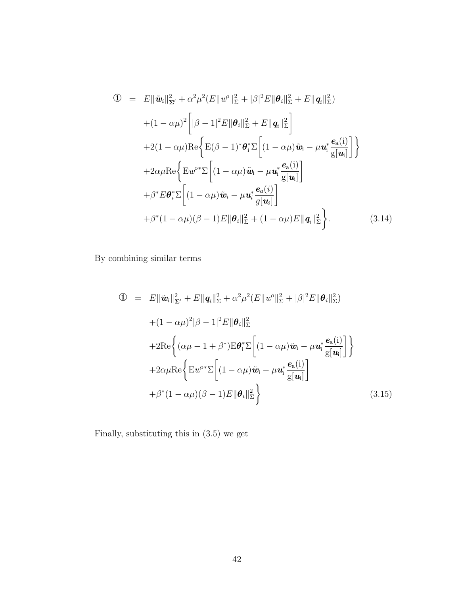$$
\begin{split}\n\mathbf{D} &= E \|\tilde{\mathbf{w}}_{i}\|_{\Sigma'}^{2} + \alpha^{2} \mu^{2} (E \|w^{\circ}\|_{\Sigma}^{2} + |\beta|^{2} E \|\theta_{i}\|_{\Sigma}^{2} + E \|q_{i}\|_{\Sigma}^{2}) \\
&\quad + (1 - \alpha \mu)^{2} \bigg[ |\beta - 1|^{2} E \|\theta_{i}\|_{\Sigma}^{2} + E \|q_{i}\|_{\Sigma}^{2} \bigg] \\
&\quad + 2(1 - \alpha \mu) \text{Re} \bigg\{ \text{E}(\beta - 1)^{*} \theta_{i}^{*} \Sigma \bigg[ (1 - \alpha \mu) \tilde{\mathbf{w}}_{i} - \mu \mathbf{u}_{i}^{*} \frac{\mathbf{e}_{\text{a}}(i)}{\mathbf{g}[\mathbf{u}_{i}]} \bigg] \bigg\} \\
&\quad + 2 \alpha \mu \text{Re} \bigg\{ \text{E} w^{\text{o}*} \Sigma \bigg[ (1 - \alpha \mu) \tilde{\mathbf{w}}_{i} - \mu \mathbf{u}_{i}^{*} \frac{\mathbf{e}_{\text{a}}(i)}{\mathbf{g}[\mathbf{u}_{i}]} \bigg] \\
&\quad + \beta^{*} E \theta_{i}^{*} \Sigma \bigg[ (1 - \alpha \mu) \tilde{\mathbf{w}}_{i} - \mu \mathbf{u}_{i}^{*} \frac{\mathbf{e}_{\text{a}}(i)}{\mathbf{g}[\mathbf{u}_{i}]} \bigg] \\
&\quad + \beta^{*} (1 - \alpha \mu) (\beta - 1) E \| \theta_{i} \|_{\Sigma}^{2} + (1 - \alpha \mu) E \|q_{i} \|_{\Sigma}^{2} \bigg\}.\n\end{split} \tag{3.14}
$$

By combining similar terms

$$
\begin{split}\n\mathbf{D} &= E \|\tilde{\mathbf{w}}_{i}\|_{\Sigma'}^{2} + E \|\mathbf{q}_{i}\|_{\Sigma}^{2} + \alpha^{2} \mu^{2} (E \|\mathbf{w}^{o}\|_{\Sigma}^{2} + |\beta|^{2} E \|\mathbf{\theta}_{i}\|_{\Sigma}^{2}) \\
&\quad + (1 - \alpha \mu)^{2} |\beta - 1|^{2} E \|\mathbf{\theta}_{i}\|_{\Sigma}^{2} \\
&\quad + 2 \text{Re} \bigg\{ (\alpha \mu - 1 + \beta^{*}) \text{E} \mathbf{\theta}_{i}^{*} \Sigma \bigg[ (1 - \alpha \mu) \tilde{\mathbf{w}}_{i} - \mu \mathbf{u}_{i}^{*} \frac{\mathbf{e}_{\text{a}}(i)}{\mathbf{g}[\mathbf{u}_{i}]} \bigg] \bigg\} \\
&\quad + 2 \alpha \mu \text{Re} \bigg\{ \text{E} \mathbf{w}^{o*} \Sigma \bigg[ (1 - \alpha \mu) \tilde{\mathbf{w}}_{i} - \mu \mathbf{u}_{i}^{*} \frac{\mathbf{e}_{\text{a}}(i)}{\mathbf{g}[\mathbf{u}_{i}]} \bigg] \\
&\quad + \beta^{*} (1 - \alpha \mu) (\beta - 1) E \|\mathbf{\theta}_{i}\|_{\Sigma}^{2} \bigg\} \n\end{split} \tag{3.15}
$$

Finally, substituting this in (3.5) we get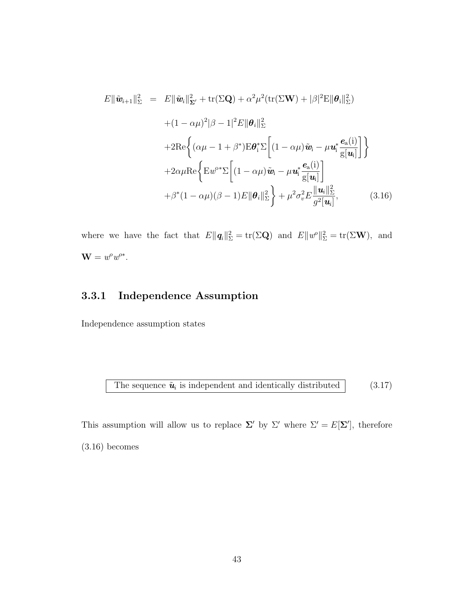$$
E\|\tilde{\mathbf{w}}_{i+1}\|_{\Sigma}^{2} = E\|\tilde{\mathbf{w}}_{i}\|_{\Sigma'}^{2} + \text{tr}(\Sigma \mathbf{Q}) + \alpha^{2} \mu^{2} (\text{tr}(\Sigma \mathbf{W}) + |\beta|^{2} \text{E} \|\boldsymbol{\theta}_{i}\|_{\Sigma}^{2})
$$
  
+ 
$$
(1 - \alpha \mu)^{2} |\beta - 1|^{2} E \|\boldsymbol{\theta}_{i}\|_{\Sigma}^{2}
$$
  
+ 
$$
2 \text{Re} \left\{ (\alpha \mu - 1 + \beta^{*}) \text{E} \boldsymbol{\theta}_{i}^{*} \Sigma \left[ (1 - \alpha \mu) \tilde{\mathbf{w}}_{i} - \mu \mathbf{u}_{i}^{*} \frac{\boldsymbol{e}_{\text{a}}(i)}{g[\mathbf{u}_{i}]} \right] \right\}
$$
  
+ 
$$
2 \alpha \mu \text{Re} \left\{ \text{E} \boldsymbol{w}^{o*} \Sigma \left[ (1 - \alpha \mu) \tilde{\mathbf{w}}_{i} - \mu \mathbf{u}_{i}^{*} \frac{\boldsymbol{e}_{\text{a}}(i)}{g[\mathbf{u}_{i}]} \right] + \beta^{*} (1 - \alpha \mu) (\beta - 1) E \|\boldsymbol{\theta}_{i}\|_{\Sigma}^{2} \right\} + \mu^{2} \sigma_{v}^{2} E \frac{\|\mathbf{u}_{i}\|_{\Sigma}^{2}}{g^{2}[\mathbf{u}_{i}]}, \qquad (3.16)
$$

where we have the fact that  $E\|\mathbf{q}_i\|_{\Sigma}^2 = \text{tr}(\Sigma \mathbf{Q})$  and  $E\|w^o\|_{\Sigma}^2 = \text{tr}(\Sigma \mathbf{W})$ , and  $\mathbf{W} = w^{\rho}w^{\rho*}.$ 

#### 3.3.1 Independence Assumption

Independence assumption states

The sequence 
$$
\tilde{u}_i
$$
 is independent and identically distributed  $(3.17)$ 

This assumption will allow us to replace  $\Sigma'$  by  $\Sigma'$  where  $\Sigma' = E[\Sigma']$ , therefore (3.16) becomes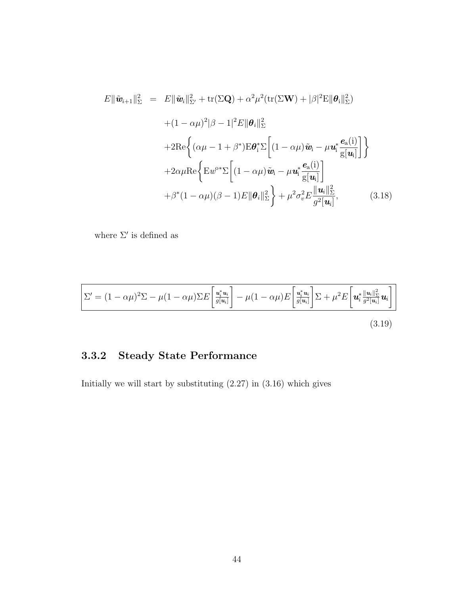$$
E\|\tilde{\mathbf{w}}_{i+1}\|_{\Sigma}^{2} = E\|\tilde{\mathbf{w}}_{i}\|_{\Sigma'}^{2} + \text{tr}(\Sigma \mathbf{Q}) + \alpha^{2} \mu^{2} (\text{tr}(\Sigma \mathbf{W}) + |\beta|^{2} \text{E} \|\boldsymbol{\theta}_{i}\|_{\Sigma}^{2})
$$
  
+ 
$$
(1 - \alpha \mu)^{2} |\beta - 1|^{2} E \|\boldsymbol{\theta}_{i}\|_{\Sigma}^{2}
$$
  
+ 
$$
2 \text{Re} \left\{ (\alpha \mu - 1 + \beta^{*}) \text{E} \boldsymbol{\theta}_{i}^{*} \Sigma \left[ (1 - \alpha \mu) \tilde{\mathbf{w}}_{i} - \mu \mathbf{u}_{i}^{*} \frac{\boldsymbol{e}_{a}(i)}{g[\mathbf{u}_{i}]} \right] \right\}
$$
  
+ 
$$
2 \alpha \mu \text{Re} \left\{ \text{E} \boldsymbol{w}^{o*} \Sigma \left[ (1 - \alpha \mu) \tilde{\mathbf{w}}_{i} - \mu \mathbf{u}_{i}^{*} \frac{\boldsymbol{e}_{a}(i)}{g[\mathbf{u}_{i}]} \right]
$$
  
+ 
$$
\beta^{*} (1 - \alpha \mu) (\beta - 1) E \|\boldsymbol{\theta}_{i}\|_{\Sigma}^{2} \right\} + \mu^{2} \sigma_{v}^{2} E \frac{\|\mathbf{u}_{i}\|_{\Sigma}^{2}}{g^{2}[\mathbf{u}_{i}]}, \qquad (3.18)
$$

where  $\Sigma'$  is defined as

$$
\Sigma' = (1 - \alpha \mu)^2 \Sigma - \mu (1 - \alpha \mu) \Sigma E \left[ \frac{\mathbf{u}_i^* \mathbf{u}_i}{g[\mathbf{u}_i]} \right] - \mu (1 - \alpha \mu) E \left[ \frac{\mathbf{u}_i^* \mathbf{u}_i}{g[\mathbf{u}_i]} \right] \Sigma + \mu^2 E \left[ \mathbf{u}_i^* \frac{\|\mathbf{u}_i\|_{\Sigma}^2}{g^2[\mathbf{u}_i]} \mathbf{u}_i \right]
$$
\n(3.19)

# 3.3.2 Steady State Performance

Initially we will start by substituting  $(2.27)$  in  $(3.16)$  which gives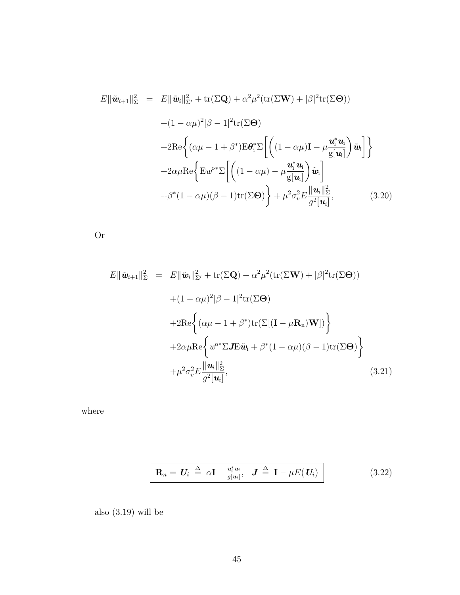$$
E \|\tilde{\mathbf{w}}_{i+1}\|_{\Sigma}^{2} = E \|\tilde{\mathbf{w}}_{i}\|_{\Sigma'}^{2} + \text{tr}(\Sigma \mathbf{Q}) + \alpha^{2} \mu^{2} (\text{tr}(\Sigma \mathbf{W}) + |\beta|^{2} \text{tr}(\Sigma \Theta))
$$
  
+  $(1 - \alpha \mu)^{2} |\beta - 1|^{2} \text{tr}(\Sigma \Theta)$   
+  $2 \text{Re} \left\{ (\alpha \mu - 1 + \beta^{*}) \text{E} \boldsymbol{\theta}_{i}^{*} \Sigma \left[ \left( (1 - \alpha \mu) \mathbf{I} - \mu \frac{\mathbf{u}_{i}^{*} \mathbf{u}_{i}}{g[\mathbf{u}_{i}} \right) \tilde{\mathbf{w}}_{i} \right] \right\}$   
+  $2 \alpha \mu \text{Re} \left\{ \text{E} \boldsymbol{w}^{o*} \Sigma \left[ \left( (1 - \alpha \mu) - \mu \frac{\mathbf{u}_{i}^{*} \mathbf{u}_{i}}{g[\mathbf{u}_{i}} \right) \tilde{\mathbf{w}}_{i} \right] + \beta^{*} (1 - \alpha \mu) (\beta - 1) \text{tr}(\Sigma \Theta) \right\} + \mu^{2} \sigma_{v}^{2} E \frac{\|\mathbf{u}_{i}\|_{\Sigma}^{2}}{g^{2}[\mathbf{u}_{i}]}, \qquad (3.20)$ 

Or

$$
E \|\tilde{\mathbf{w}}_{i+1}\|_{\Sigma}^{2} = E \|\tilde{\mathbf{w}}_{i}\|_{\Sigma'}^{2} + \text{tr}(\Sigma \mathbf{Q}) + \alpha^{2} \mu^{2} (\text{tr}(\Sigma \mathbf{W}) + |\beta|^{2} \text{tr}(\Sigma \Theta))
$$
  
+  $(1 - \alpha \mu)^{2} |\beta - 1|^{2} \text{tr}(\Sigma \Theta)$   
+  $2 \text{Re} \left\{ (\alpha \mu - 1 + \beta^{*}) \text{tr}(\Sigma[(\mathbf{I} - \mu \mathbf{R}_{n}) \mathbf{W}]) \right\}$   
+  $2 \alpha \mu \text{Re} \left\{ w^{\alpha*} \Sigma J E \tilde{\mathbf{w}}_{i} + \beta^{*} (1 - \alpha \mu)(\beta - 1) \text{tr}(\Sigma \Theta) \right\}$   
+  $\mu^{2} \sigma_{v}^{2} E \frac{\|\mathbf{u}_{i}\|_{\Sigma}^{2}}{g^{2}[\mathbf{u}_{i}]},$  (3.21)

where

$$
\boxed{\mathbf{R}_n = \mathbf{U}_i \stackrel{\Delta}{=} \alpha \mathbf{I} + \frac{\mathbf{u}_i^* \mathbf{u}_i}{g[\mathbf{u}_i]}, \quad \mathbf{J} \stackrel{\Delta}{=} \mathbf{I} - \mu E(\mathbf{U}_i)}
$$
(3.22)

also (3.19) will be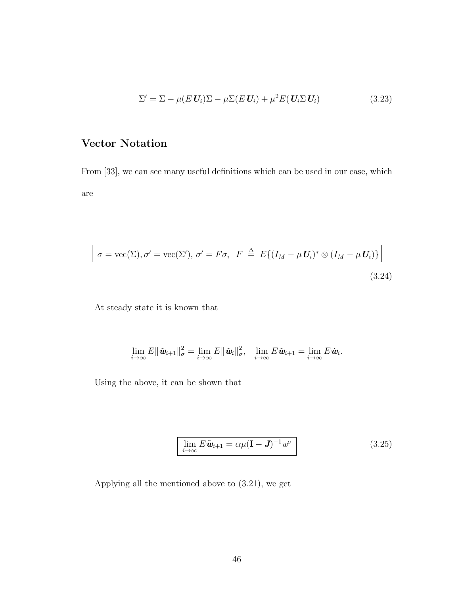$$
\Sigma' = \Sigma - \mu(E \mathbf{U}_i) \Sigma - \mu \Sigma(E \mathbf{U}_i) + \mu^2 E(\mathbf{U}_i \Sigma \mathbf{U}_i)
$$
(3.23)

#### Vector Notation

From [33], we can see many useful definitions which can be used in our case, which are

$$
\sigma = \text{vec}(\Sigma), \sigma' = \text{vec}(\Sigma'), \sigma' = F\sigma, \quad F \stackrel{\Delta}{=} E\{(I_M - \mu U_i)^* \otimes (I_M - \mu U_i)\}
$$
\n(3.24)

At steady state it is known that

$$
\lim_{i\to\infty}E\|\tilde{\boldsymbol{w}}_{i+1}\|_\sigma^2=\lim_{i\to\infty}E\|\tilde{\boldsymbol{w}}_{i}\|_\sigma^2,\quad \lim_{i\to\infty}E\tilde{\boldsymbol{w}}_{i+1}=\lim_{i\to\infty}E\tilde{\boldsymbol{w}}_{i}.
$$

Using the above, it can be shown that

$$
\lim_{i \to \infty} E \tilde{\mathbf{w}}_{i+1} = \alpha \mu (\mathbf{I} - \mathbf{J})^{-1} w^o
$$
\n(3.25)

Applying all the mentioned above to (3.21), we get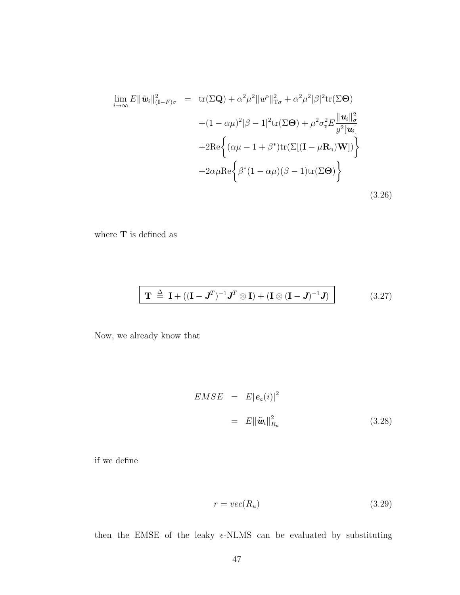$$
\lim_{i \to \infty} E \|\tilde{\mathbf{w}}_i\|_{(\mathbf{I} - F)\sigma}^2 = \text{tr}(\Sigma \mathbf{Q}) + \alpha^2 \mu^2 \|w^0\|_{\mathbf{T}\sigma}^2 + \alpha^2 \mu^2 |\beta|^2 \text{tr}(\Sigma \Theta)
$$

$$
+ (1 - \alpha \mu)^2 |\beta - 1|^2 \text{tr}(\Sigma \Theta) + \mu^2 \sigma_v^2 E \frac{\|\mathbf{u}_i\|_{\sigma}^2}{g^2[\mathbf{u}_i]}
$$

$$
+ 2 \text{Re} \left\{ (\alpha \mu - 1 + \beta^*) \text{tr}(\Sigma[(\mathbf{I} - \mu \mathbf{R}_n)\mathbf{W}]) \right\}
$$

$$
+ 2 \alpha \mu \text{Re} \left\{ \beta^*(1 - \alpha \mu)(\beta - 1) \text{tr}(\Sigma \Theta) \right\}
$$
(3.26)

where  ${\bf T}$  is defined as

$$
\mathbf{T} \stackrel{\Delta}{=} \mathbf{I} + ((\mathbf{I} - \mathbf{J}^T)^{-1} \mathbf{J}^T \otimes \mathbf{I}) + (\mathbf{I} \otimes (\mathbf{I} - \mathbf{J})^{-1} \mathbf{J})
$$
(3.27)

Now, we already know that

 $\lfloor$ 

$$
EMSE = E|\mathbf{e}_a(i)|^2
$$
  
= 
$$
E\|\tilde{\mathbf{w}}_i\|_{R_u}^2
$$
 (3.28)

if we define

$$
r = vec(R_u) \tag{3.29}
$$

then the EMSE of the leaky  $\epsilon$ -NLMS can be evaluated by substituting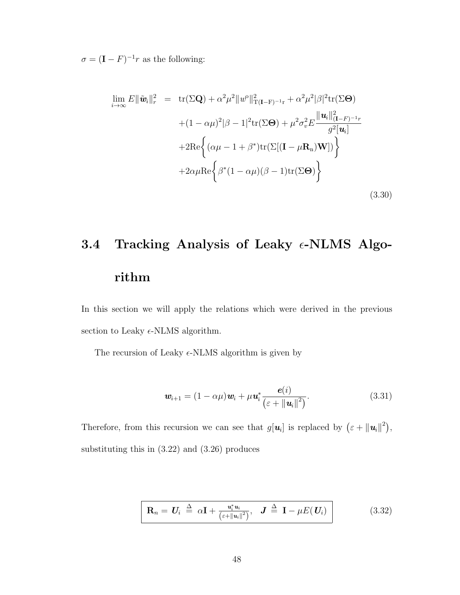$\sigma = (\mathbf{I} - F)^{-1}r$  as the following:

$$
\lim_{i \to \infty} E \|\tilde{\mathbf{w}}_i\|_r^2 = \text{tr}(\Sigma \mathbf{Q}) + \alpha^2 \mu^2 \|w^0\|_{\mathbf{T}(\mathbf{I} - \mathbf{F})^{-1} \mathbf{r}}^2 + \alpha^2 \mu^2 |\beta|^2 \text{tr}(\Sigma \Theta)
$$
  
+  $(1 - \alpha \mu)^2 |\beta - 1|^2 \text{tr}(\Sigma \Theta) + \mu^2 \sigma_v^2 E \frac{\|\mathbf{u}_i\|_{(\mathbf{I} - F)^{-1} \mathbf{r}}^2}{g^2[\mathbf{u}_i]}$   
+  $2 \text{Re} \left\{ (\alpha \mu - 1 + \beta^*) \text{tr}(\Sigma [(\mathbf{I} - \mu \mathbf{R}_n) \mathbf{W}]) \right\}$   
+  $2 \alpha \mu \text{Re} \left\{ \beta^* (1 - \alpha \mu) (\beta - 1) \text{tr}(\Sigma \Theta) \right\}$  (3.30)

# 3.4 Tracking Analysis of Leaky  $\epsilon$ -NLMS Algorithm

In this section we will apply the relations which were derived in the previous section to Leaky  $\epsilon$ -NLMS algorithm.

The recursion of Leaky  $\epsilon$ -NLMS algorithm is given by

$$
\boldsymbol{w}_{i+1} = (1 - \alpha \mu) \boldsymbol{w}_i + \mu \boldsymbol{u}_i^* \frac{\boldsymbol{e}(i)}{\left(\varepsilon + {\Vert \boldsymbol{u}_i \Vert}^2\right)}.
$$
(3.31)

Therefore, from this recursion we can see that  $g[\mathbf{u}_i]$  is replaced by  $(\varepsilon + ||\mathbf{u}_i||^2)$ , substituting this in (3.22) and (3.26) produces

$$
\mathbf{R}_n = \mathbf{U}_i \stackrel{\Delta}{=} \alpha \mathbf{I} + \frac{\mathbf{u}_i^* \mathbf{u}_i}{(\varepsilon + ||\mathbf{u}_i||^2)}, \quad \mathbf{J} \stackrel{\Delta}{=} \mathbf{I} - \mu E(\mathbf{U}_i) \tag{3.32}
$$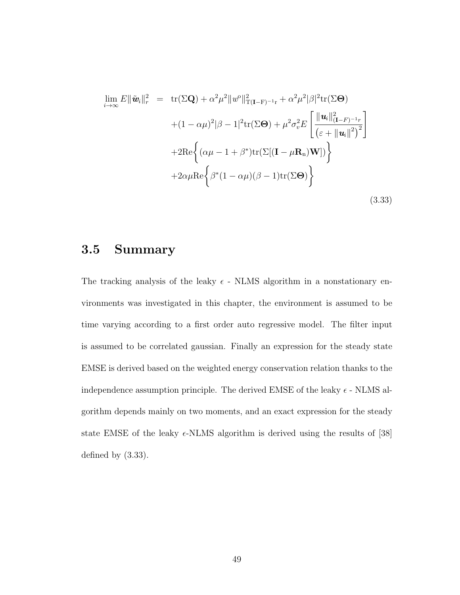$$
\lim_{i \to \infty} E \|\tilde{\mathbf{w}}_i\|_r^2 = \text{tr}(\Sigma \mathbf{Q}) + \alpha^2 \mu^2 \|w^0\|_{\mathbf{T}(\mathbf{I}-\mathbf{F})^{-1}\mathbf{r}}^2 + \alpha^2 \mu^2 |\beta|^2 \text{tr}(\Sigma \Theta)
$$
  
 
$$
+ (1 - \alpha \mu)^2 |\beta - 1|^2 \text{tr}(\Sigma \Theta) + \mu^2 \sigma_v^2 E \left[ \frac{\|\mathbf{u}_i\|_{(\mathbf{I}-\mathbf{F})^{-1}\mathbf{r}}^2}{(\varepsilon + \|\mathbf{u}_i\|^2)^2} \right]
$$
  
 
$$
+ 2 \text{Re} \left\{ (\alpha \mu - 1 + \beta^*) \text{tr}(\Sigma[(\mathbf{I} - \mu \mathbf{R}_n)\mathbf{W}]) \right\}
$$
  
 
$$
+ 2 \alpha \mu \text{Re} \left\{ \beta^*(1 - \alpha \mu)(\beta - 1) \text{tr}(\Sigma \Theta) \right\}
$$
(3.33)

#### 3.5 Summary

The tracking analysis of the leaky  $\epsilon$  - NLMS algorithm in a nonstationary environments was investigated in this chapter, the environment is assumed to be time varying according to a first order auto regressive model. The filter input is assumed to be correlated gaussian. Finally an expression for the steady state EMSE is derived based on the weighted energy conservation relation thanks to the independence assumption principle. The derived EMSE of the leaky  $\epsilon$  - NLMS algorithm depends mainly on two moments, and an exact expression for the steady state EMSE of the leaky  $\epsilon$ -NLMS algorithm is derived using the results of [38] defined by (3.33).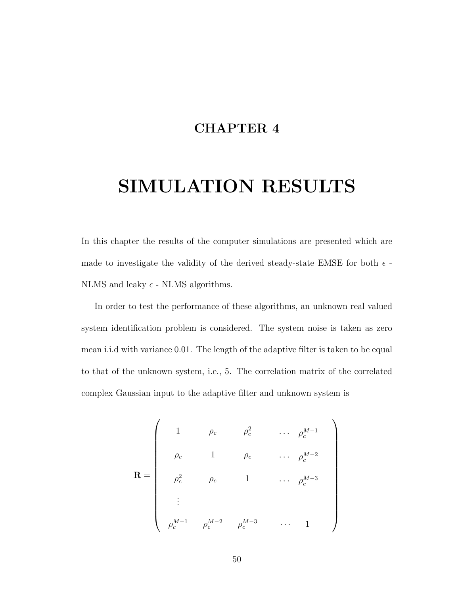#### CHAPTER 4

# SIMULATION RESULTS

In this chapter the results of the computer simulations are presented which are made to investigate the validity of the derived steady-state EMSE for both  $\epsilon$ . NLMS and leaky  $\epsilon$  - NLMS algorithms.

In order to test the performance of these algorithms, an unknown real valued system identification problem is considered. The system noise is taken as zero mean i.i.d with variance 0.01. The length of the adaptive filter is taken to be equal to that of the unknown system, i.e., 5. The correlation matrix of the correlated complex Gaussian input to the adaptive filter and unknown system is

$$
\mathbf{R} = \begin{pmatrix}\n1 & \rho_c & \rho_c^2 & \cdots & \rho_c^{M-1} \\
\rho_c & 1 & \rho_c & \cdots & \rho_c^{M-2} \\
\rho_c^2 & \rho_c & 1 & \cdots & \rho_c^{M-3} \\
\vdots & & & & \\
\rho_c^{M-1} & \rho_c^{M-2} & \rho_c^{M-3} & \cdots & 1\n\end{pmatrix}
$$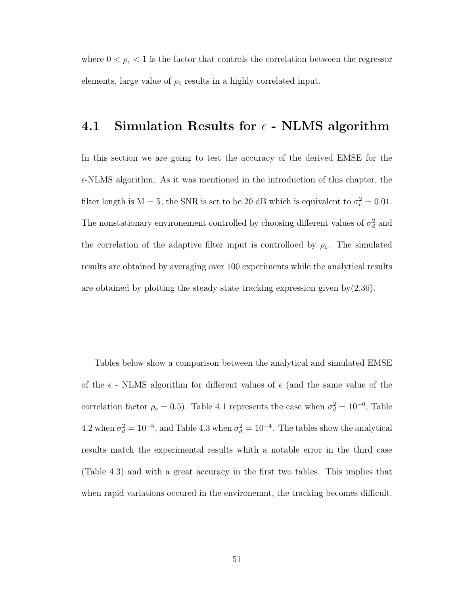where  $0 < \rho_c < 1$  is the factor that controls the correlation between the regressor elements, large value of  $\rho_c$  results in a highly correlated input.

#### 4.1 Simulation Results for  $\epsilon$  - NLMS algorithm

In this section we are going to test the accuracy of the derived EMSE for the  $\epsilon$ -NLMS algorithm. As it was mentioned in the introduction of this chapter, the filter length is  $M = 5$ , the SNR is set to be 20 dB which is equivalent to  $\sigma_v^2 = 0.01$ . The nonstationary environement controlled by choosing different values of  $\sigma_d^2$  and the correlation of the adaptive filter input is controlloed by  $\rho_c$ . The simulated results are obtained by averaging over 100 experiments while the analytical results are obtained by plotting the steady state tracking expression given by(2.36).

Tables below show a comparison between the analytical and simulated EMSE of the  $\epsilon$  - NLMS algorithm for different values of  $\epsilon$  (and the same value of the correlation factor  $\rho_c = 0.5$ ). Table 4.1 represents the case when  $\sigma_d^2 = 10^{-6}$ , Table 4.2 when  $\sigma_d^2 = 10^{-5}$ , and Table 4.3 when  $\sigma_d^2 = 10^{-4}$ . The tables show the analytical results match the experimental results whith a notable error in the third case (Table 4.3) and with a great accuracy in the first two tables. This implies that when rapid variations occured in the environemnt, the tracking becomes difficult.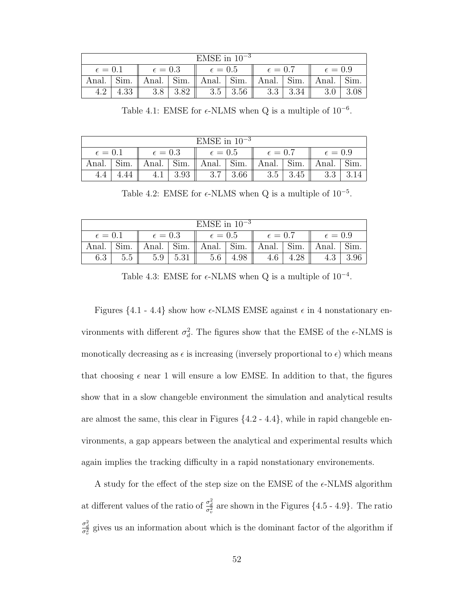| EMSE in $10^{-3}$  |      |                  |                |                |                  |              |                 |                                                                                                                                             |      |  |  |
|--------------------|------|------------------|----------------|----------------|------------------|--------------|-----------------|---------------------------------------------------------------------------------------------------------------------------------------------|------|--|--|
| $\epsilon = 0.1$   |      | $\epsilon = 0.3$ |                | $\epsilon=0.5$ |                  | $\ell = 0.7$ |                 | $\epsilon=0.9$                                                                                                                              |      |  |  |
| Anal. $\vert$ Sim. |      |                  |                |                |                  |              |                 | $\parallel$ Anal. $\parallel$ Sim. $\parallel$ Anal. $\parallel$ Sim. $\parallel$ Anal. $\parallel$ Sim. $\parallel$ Anal. $\parallel$ Sim. |      |  |  |
| 4.2                | 4.33 |                  | $3.8$   $3.82$ |                | $3.5 \, \, 3.56$ |              | $3.3 \mid 3.34$ | 3.0                                                                                                                                         | 3.08 |  |  |

Table 4.1: EMSE for  $\epsilon$ -NLMS when Q is a multiple of 10<sup>-6</sup>.

| $EMSE$ in $10^{-3}$ |  |                  |      |                                                                                                     |      |                  |                    |                  |  |  |  |
|---------------------|--|------------------|------|-----------------------------------------------------------------------------------------------------|------|------------------|--------------------|------------------|--|--|--|
| $\epsilon = 0.1$    |  | $\epsilon = 0.3$ |      | $\epsilon=0.5$                                                                                      |      | $\epsilon = 0.7$ |                    | $\epsilon = 0.9$ |  |  |  |
| Anal. $\vert$ Sim.  |  |                  |      | Anal. $\vert$ Sim. $\vert$ Anal. $\vert$ Sim. $\vert$ Anal. $\vert$ Sim. $\vert$ Anal. $\vert$ Sim. |      |                  |                    |                  |  |  |  |
|                     |  |                  | 3.93 | 3.7                                                                                                 | 3.66 | 3.5              | $\vert 3.45 \vert$ | 3.3              |  |  |  |

Table 4.2: EMSE for  $\epsilon$ -NLMS when Q is a multiple of 10<sup>-5</sup>.

| EMSE in $10^{-3}$ |      |                  |      |                  |  |                  |            |                  |                 |  |  |
|-------------------|------|------------------|------|------------------|--|------------------|------------|------------------|-----------------|--|--|
| $\epsilon = 0.1$  |      | $\epsilon = 0.3$ |      | $\epsilon = 0.5$ |  | $\epsilon = 0.7$ |            | $\epsilon = 0.9$ |                 |  |  |
| Anal.             | Sim. | Anal.            | Sim. | Anal. Sim.       |  | Anal.            | $\pm$ Sim. | Anal.            | $^{\circ}$ Sim. |  |  |
| 6.3               | 5.5  | 5.9              | 5.31 | 5.6              |  |                  |            |                  |                 |  |  |

Table 4.3: EMSE for  $\epsilon$ -NLMS when Q is a multiple of  $10^{-4}$ .

Figures  $\{4.1 - 4.4\}$  show how  $\epsilon$ -NLMS EMSE against  $\epsilon$  in 4 nonstationary environments with different  $\sigma_d^2$ . The figures show that the EMSE of the  $\epsilon$ -NLMS is monotically decreasing as  $\epsilon$  is increasing (inversely proportional to  $\epsilon$ ) which means that choosing  $\epsilon$  near 1 will ensure a low EMSE. In addition to that, the figures show that in a slow changeble environment the simulation and analytical results are almost the same, this clear in Figures {4.2 - 4.4}, while in rapid changeble environments, a gap appears between the analytical and experimental results which again implies the tracking difficulty in a rapid nonstationary environements.

A study for the effect of the step size on the EMSE of the  $\epsilon$ -NLMS algorithm at different values of the ratio of  $\frac{\sigma_d^2}{\sigma_v^2}$  are shown in the Figures {4.5 - 4.9}. The ratio  $\frac{\sigma_d^2}{\sigma_v^2}$  gives us an information about which is the dominant factor of the algorithm if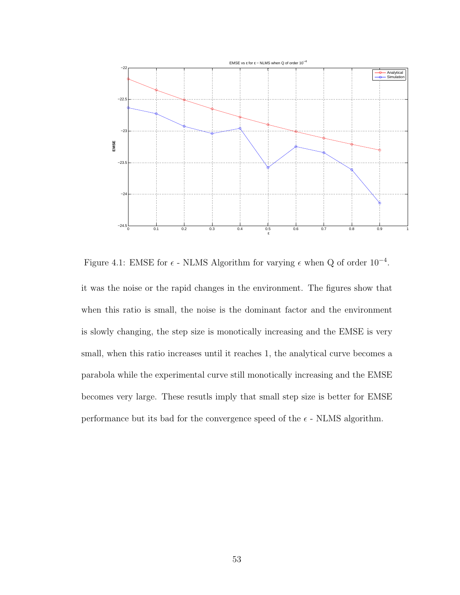

Figure 4.1: EMSE for  $\epsilon$  - NLMS Algorithm for varying  $\epsilon$  when Q of order  $10^{-4}$ .

it was the noise or the rapid changes in the environment. The figures show that when this ratio is small, the noise is the dominant factor and the environment is slowly changing, the step size is monotically increasing and the EMSE is very small, when this ratio increases until it reaches 1, the analytical curve becomes a parabola while the experimental curve still monotically increasing and the EMSE becomes very large. These resutls imply that small step size is better for EMSE performance but its bad for the convergence speed of the  $\epsilon$  - NLMS algorithm.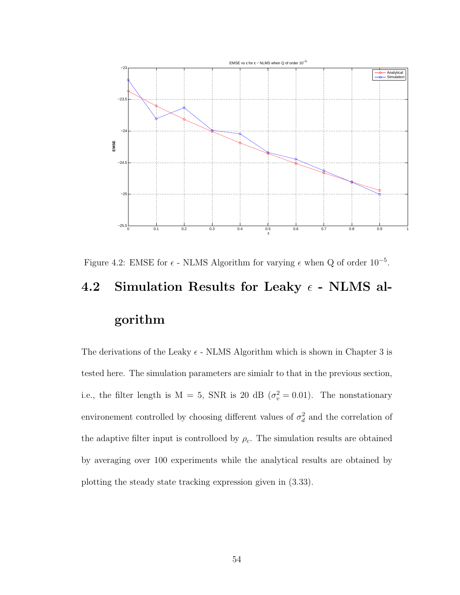

Figure 4.2: EMSE for  $\epsilon$  - NLMS Algorithm for varying  $\epsilon$  when Q of order  $10^{-5}$ . 4.2 Simulation Results for Leaky  $\epsilon$  - NLMS al-

# gorithm

The derivations of the Leaky  $\epsilon$  - NLMS Algorithm which is shown in Chapter 3 is tested here. The simulation parameters are simialr to that in the previous section, i.e., the filter length is  $M = 5$ , SNR is 20 dB ( $\sigma_v^2 = 0.01$ ). The nonstationary environement controlled by choosing different values of  $\sigma_d^2$  and the correlation of the adaptive filter input is controlloed by  $\rho_c$ . The simulation results are obtained by averaging over 100 experiments while the analytical results are obtained by plotting the steady state tracking expression given in (3.33).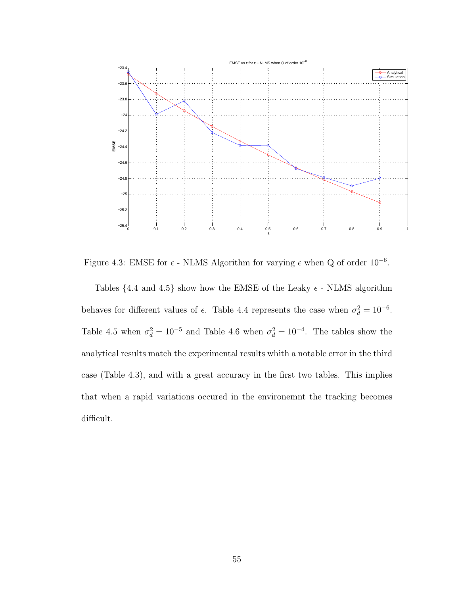

Figure 4.3: EMSE for  $\epsilon$  - NLMS Algorithm for varying  $\epsilon$  when Q of order  $10^{-6}$ .

Tables {4.4 and 4.5} show how the EMSE of the Leaky  $\epsilon$  - NLMS algorithm behaves for different values of  $\epsilon$ . Table 4.4 represents the case when  $\sigma_d^2 = 10^{-6}$ . Table 4.5 when  $\sigma_d^2 = 10^{-5}$  and Table 4.6 when  $\sigma_d^2 = 10^{-4}$ . The tables show the analytical results match the experimental results whith a notable error in the third case (Table 4.3), and with a great accuracy in the first two tables. This implies that when a rapid variations occured in the environemnt the tracking becomes difficult.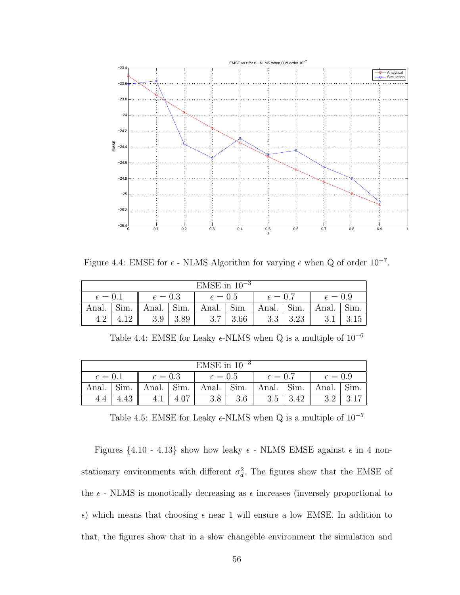

Figure 4.4: EMSE for  $\epsilon$  - NLMS Algorithm for varying  $\epsilon$  when Q of order  $10^{-7}$ .

| EMSE in $10^{-3}$ |      |                  |                 |                |      |                  |      |                  |      |  |  |
|-------------------|------|------------------|-----------------|----------------|------|------------------|------|------------------|------|--|--|
| $\epsilon = 0.1$  |      | $\epsilon = 0.3$ |                 | $\epsilon=0.5$ |      | $\epsilon = 0.7$ |      | $\epsilon = 0.9$ |      |  |  |
| Anal.             | Sim. | Anal.            | $\mathrm{Sim.}$ | Anal.          | Sim. | Anal.            | Sim. | Anal.            | Sim. |  |  |
|                   |      |                  | 3.89            | 3.7            | 3.66 | 3.3              | 3.23 |                  |      |  |  |

Table 4.4: EMSE for Leaky  $\epsilon$ -NLMS when Q is a multiple of  $10^{-6}$ 

| EMSE in $10^{-3}$ |      |                  |      |                  |      |                  |      |                  |      |  |  |
|-------------------|------|------------------|------|------------------|------|------------------|------|------------------|------|--|--|
| $\epsilon = 0.1$  |      | $\epsilon = 0.3$ |      | $\epsilon = 0.5$ |      | $\epsilon = 0.7$ |      | $\epsilon = 0.9$ |      |  |  |
| Anal.             | Sım. | Anal.            | Sim. | Anal.            | Sim. | Anal.            | Sim. | Anal.            | Sım. |  |  |
|                   |      |                  |      |                  |      | 3.5              |      |                  |      |  |  |

Table 4.5: EMSE for Leaky  $\epsilon\text{-NLMS}$  when Q is a multiple of  $10^{-5}$ 

Figures  $\{4.10 - 4.13\}$  show how leaky  $\epsilon$  - NLMS EMSE against  $\epsilon$  in 4 nonstationary environments with different  $\sigma_d^2$ . The figures show that the EMSE of the  $\epsilon$  - NLMS is monotically decreasing as  $\epsilon$  increases (inversely proportional to  $\epsilon$ ) which means that choosing  $\epsilon$  near 1 will ensure a low EMSE. In addition to that, the figures show that in a slow changeble environment the simulation and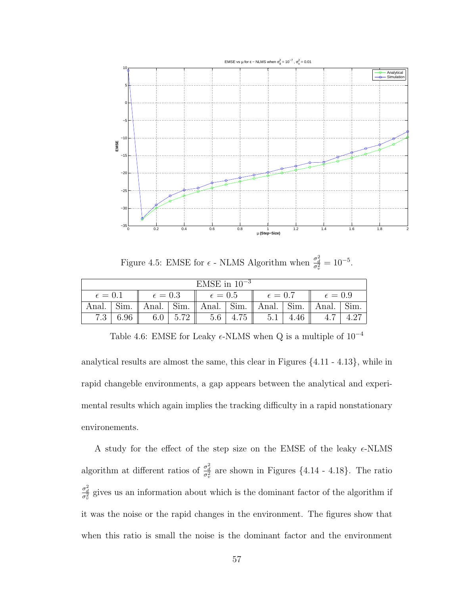

Figure 4.5: EMSE for  $\epsilon$  - NLMS Algorithm when  $\frac{\sigma_d^2}{\sigma_v^2} = 10^{-5}$ .

| EMSE in $10^{-3}$ |      |                  |                    |                |                  |              |      |                                                                              |  |  |  |
|-------------------|------|------------------|--------------------|----------------|------------------|--------------|------|------------------------------------------------------------------------------|--|--|--|
| $\epsilon = 0.1$  |      | $\epsilon = 0.3$ |                    | $\epsilon=0.5$ |                  | $\ell = 0.7$ |      | $\epsilon = 0.9$                                                             |  |  |  |
|                   |      |                  |                    |                |                  |              |      | Anal.   Sim.    Anal.   Sim.    Anal.   Sim.    Anal.   Sim.    Anal.   Sim. |  |  |  |
| 7.3               | 6.96 | 6.0              | $\vert 5.72 \vert$ |                | $5.6 \, \, 4.75$ | 5.1          | 4.46 |                                                                              |  |  |  |

Table 4.6: EMSE for Leaky  $\epsilon\text{-NLMS}$  when Q is a multiple of  $10^{-4}$ 

analytical results are almost the same, this clear in Figures {4.11 - 4.13}, while in rapid changeble environments, a gap appears between the analytical and experimental results which again implies the tracking difficulty in a rapid nonstationary environements.

A study for the effect of the step size on the EMSE of the leaky  $\epsilon$ -NLMS algorithm at different ratios of  $\frac{\sigma_d^2}{\sigma_v^2}$  are shown in Figures {4.14 - 4.18}. The ratio  $\frac{\sigma_d^2}{\sigma_v^2}$  gives us an information about which is the dominant factor of the algorithm if it was the noise or the rapid changes in the environment. The figures show that when this ratio is small the noise is the dominant factor and the environment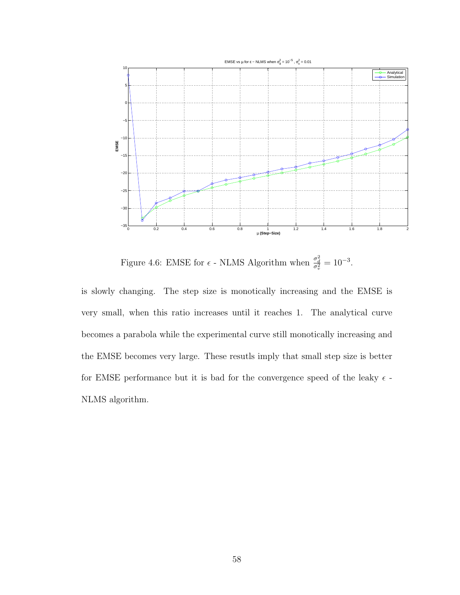

Figure 4.6: EMSE for  $\epsilon$  - NLMS Algorithm when  $\frac{\sigma_d^2}{\sigma_v^2} = 10^{-3}$ .

is slowly changing. The step size is monotically increasing and the EMSE is very small, when this ratio increases until it reaches 1. The analytical curve becomes a parabola while the experimental curve still monotically increasing and the EMSE becomes very large. These resutls imply that small step size is better for EMSE performance but it is bad for the convergence speed of the leaky  $\epsilon$  -NLMS algorithm.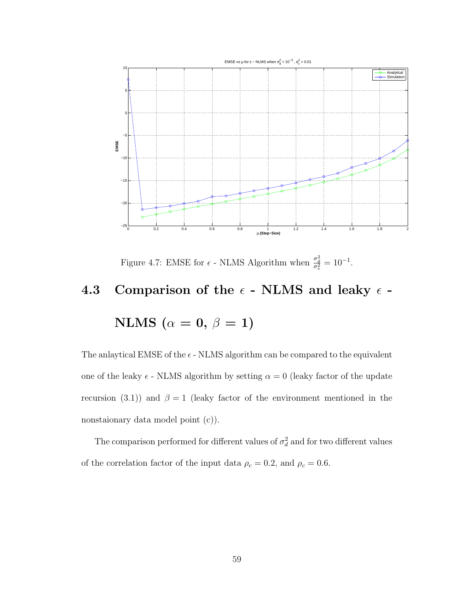

Figure 4.7: EMSE for  $\epsilon$  - NLMS Algorithm when  $\frac{\sigma_d^2}{\sigma_v^2} = 10^{-1}$ .

### 4.3 Comparison of the  $\epsilon$  - NLMS and leaky  $\epsilon$  -

$$
\mathrm{NLMS}~(\alpha=0,\,\beta=1)
$$

The anlaytical EMSE of the  $\epsilon$  - NLMS algorithm can be compared to the equivalent one of the leaky  $\epsilon$  - NLMS algorithm by setting  $\alpha = 0$  (leaky factor of the update recursion (3.1)) and  $\beta = 1$  (leaky factor of the environment mentioned in the nonstaionary data model point (c)).

The comparison performed for different values of  $\sigma_d^2$  and for two different values of the correlation factor of the input data  $\rho_c = 0.2$ , and  $\rho_c = 0.6$ .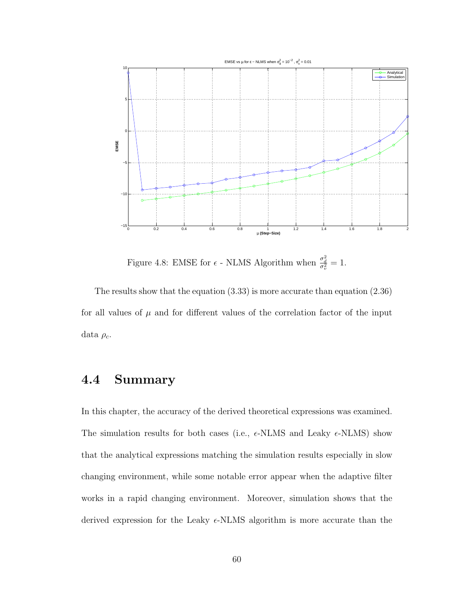

Figure 4.8: EMSE for  $\epsilon$  - NLMS Algorithm when  $\frac{\sigma_d^2}{\sigma_v^2} = 1$ .

The results show that the equation (3.33) is more accurate than equation (2.36) for all values of  $\mu$  and for different values of the correlation factor of the input data  $\rho_c$ .

#### 4.4 Summary

In this chapter, the accuracy of the derived theoretical expressions was examined. The simulation results for both cases (i.e.,  $\epsilon$ -NLMS and Leaky  $\epsilon$ -NLMS) show that the analytical expressions matching the simulation results especially in slow changing environment, while some notable error appear when the adaptive filter works in a rapid changing environment. Moreover, simulation shows that the derived expression for the Leaky  $\epsilon$ -NLMS algorithm is more accurate than the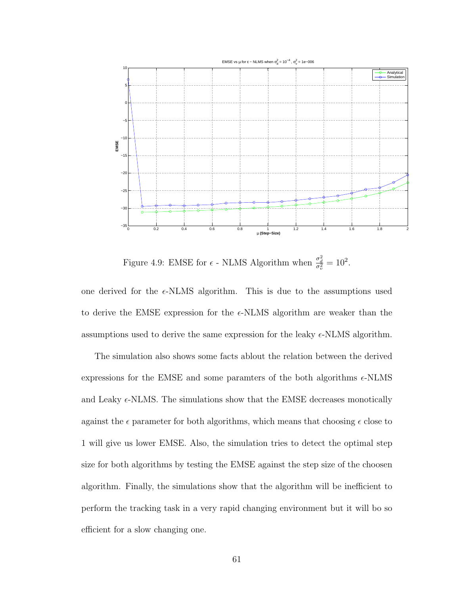

Figure 4.9: EMSE for  $\epsilon$  - NLMS Algorithm when  $\frac{\sigma_d^2}{\sigma_v^2} = 10^2$ .

one derived for the  $\epsilon$ -NLMS algorithm. This is due to the assumptions used to derive the EMSE expression for the  $\epsilon$ -NLMS algorithm are weaker than the assumptions used to derive the same expression for the leaky  $\epsilon$ -NLMS algorithm.

The simulation also shows some facts ablout the relation between the derived expressions for the EMSE and some paramters of the both algorithms  $\epsilon$ -NLMS and Leaky  $\epsilon$ -NLMS. The simulations show that the EMSE decreases monotically against the  $\epsilon$  parameter for both algorithms, which means that choosing  $\epsilon$  close to 1 will give us lower EMSE. Also, the simulation tries to detect the optimal step size for both algorithms by testing the EMSE against the step size of the choosen algorithm. Finally, the simulations show that the algorithm will be inefficient to perform the tracking task in a very rapid changing environment but it will bo so efficient for a slow changing one.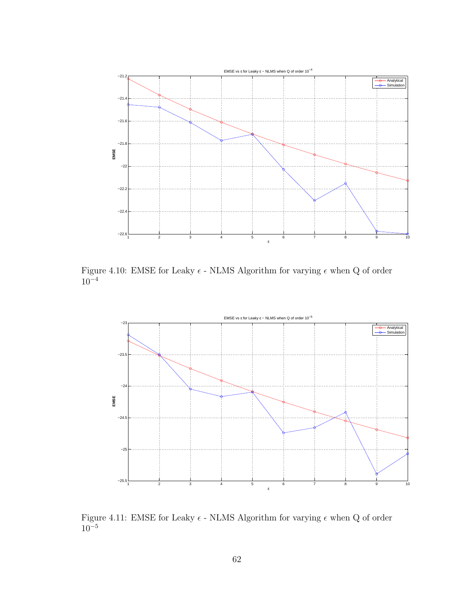

Figure 4.10: EMSE for Leaky  $\epsilon$  - NLMS Algorithm for varying  $\epsilon$  when Q of order  $10^{-4}$ 



Figure 4.11: EMSE for Leaky  $\epsilon$  - NLMS Algorithm for varying  $\epsilon$  when Q of order  $10^{-5}$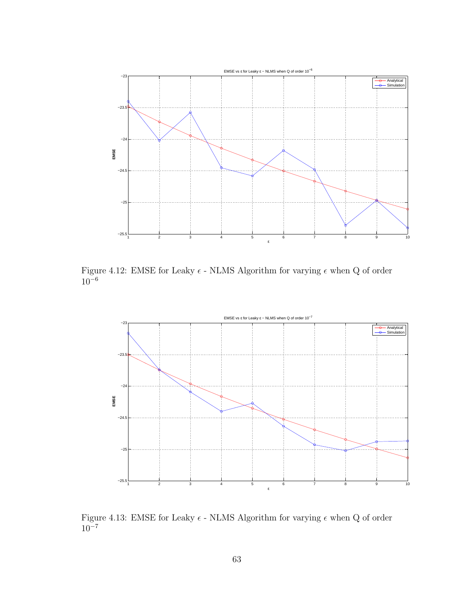

Figure 4.12: EMSE for Leaky  $\epsilon$  - NLMS Algorithm for varying  $\epsilon$  when Q of order  $10^{-6}$ 



Figure 4.13: EMSE for Leaky  $\epsilon$  - NLMS Algorithm for varying  $\epsilon$  when Q of order  $10^{-7}$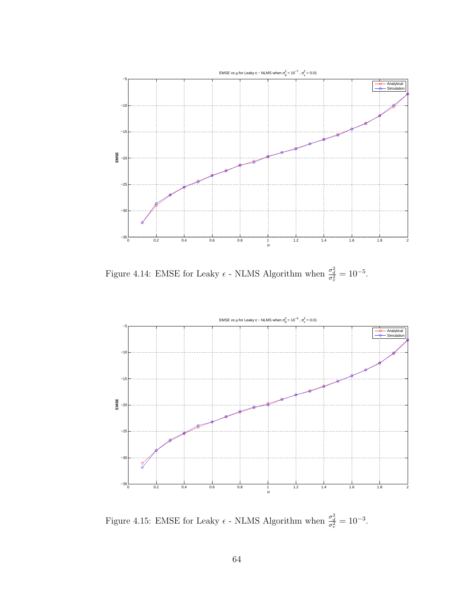

Figure 4.14: EMSE for Leaky  $\epsilon$  - NLMS Algorithm when  $\frac{\sigma_d^2}{\sigma_v^2} = 10^{-5}$ .



Figure 4.15: EMSE for Leaky  $\epsilon$  - NLMS Algorithm when  $\frac{\sigma_d^2}{\sigma_v^2} = 10^{-3}$ .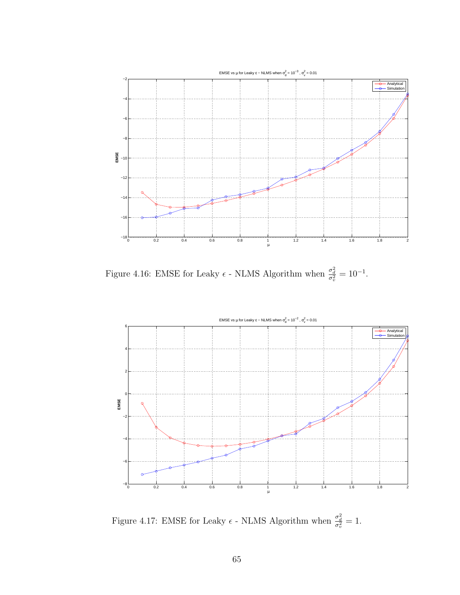

Figure 4.16: EMSE for Leaky  $\epsilon$  - NLMS Algorithm when  $\frac{\sigma_d^2}{\sigma_v^2} = 10^{-1}$ .



Figure 4.17: EMSE for Leaky  $\epsilon$  - NLMS Algorithm when  $\frac{\sigma_d^2}{\sigma_v^2} = 1$ .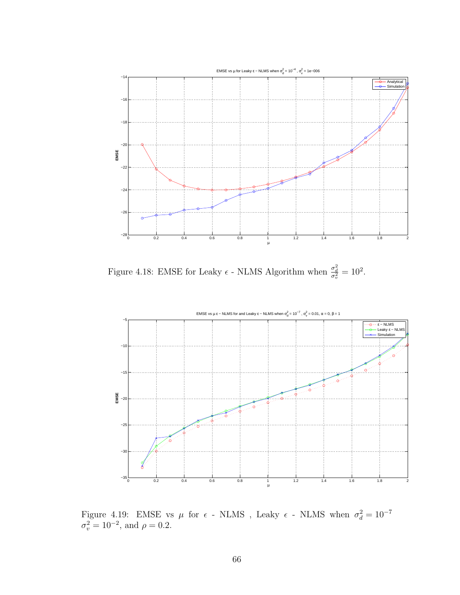

Figure 4.18: EMSE for Leaky  $\epsilon$  - NLMS Algorithm when  $\frac{\sigma_d^2}{\sigma_v^2} = 10^2$ .



Figure 4.19: EMSE vs  $\mu$  for  $\epsilon$  - NLMS , Leaky  $\epsilon$  - NLMS when  $\sigma_d^2 = 10^{-7}$  $\sigma_v^2 = 10^{-2}$ , and  $\rho = 0.2$ .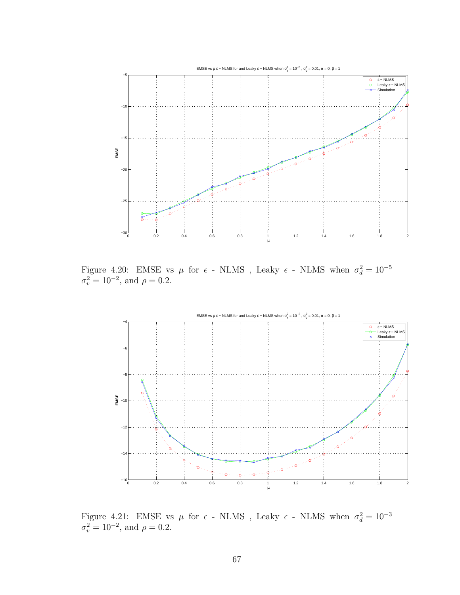

Figure 4.20: EMSE vs  $\mu$  for  $\epsilon$  - NLMS , Leaky  $\epsilon$  - NLMS when  $\sigma_d^2 = 10^{-5}$  $\sigma_v^2 = 10^{-2}$ , and  $\rho = 0.2$ .



Figure 4.21: EMSE vs  $\mu$  for  $\epsilon$  - NLMS , Leaky  $\epsilon$  - NLMS when  $\sigma_d^2 = 10^{-3}$  $\sigma_v^2 = 10^{-2}$ , and  $\rho = 0.2$ .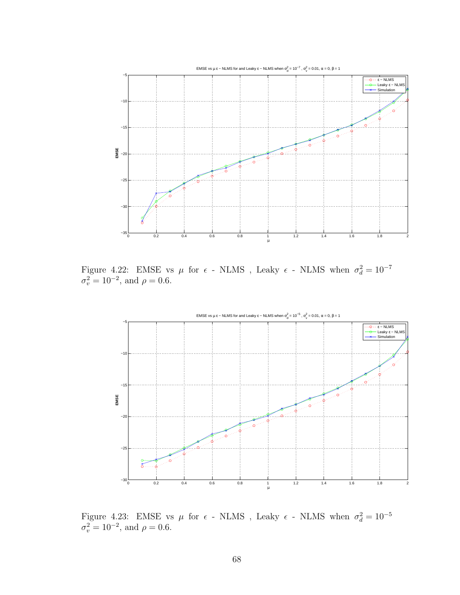

Figure 4.22: EMSE vs  $\mu$  for  $\epsilon$  - NLMS , Leaky  $\epsilon$  - NLMS when  $\sigma_d^2 = 10^{-7}$  $\sigma_v^2 = 10^{-2}$ , and  $\rho = 0.6$ .



Figure 4.23: EMSE vs  $\mu$  for  $\epsilon$  - NLMS , Leaky  $\epsilon$  - NLMS when  $\sigma_d^2 = 10^{-5}$  $\sigma_v^2 = 10^{-2}$ , and  $\rho = 0.6$ .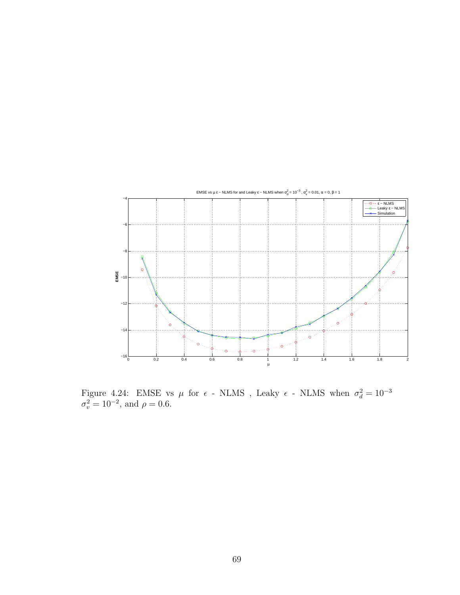

Figure 4.24: EMSE vs  $\mu$  for  $\epsilon$  - NLMS , Leaky  $\epsilon$  - NLMS when  $\sigma_d^2 = 10^{-3}$  $\sigma_v^2 = 10^{-2}$ , and  $\rho = 0.6$ .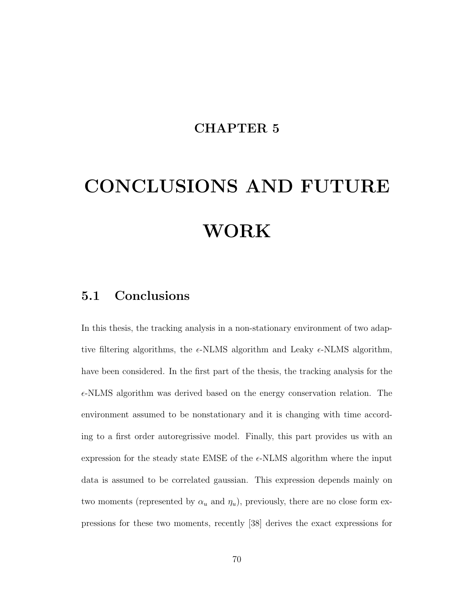#### CHAPTER 5

# CONCLUSIONS AND FUTURE WORK

#### 5.1 Conclusions

In this thesis, the tracking analysis in a non-stationary environment of two adaptive filtering algorithms, the  $\epsilon$ -NLMS algorithm and Leaky  $\epsilon$ -NLMS algorithm, have been considered. In the first part of the thesis, the tracking analysis for the  $\epsilon$ -NLMS algorithm was derived based on the energy conservation relation. The environment assumed to be nonstationary and it is changing with time according to a first order autoregrissive model. Finally, this part provides us with an expression for the steady state EMSE of the  $\epsilon$ -NLMS algorithm where the input data is assumed to be correlated gaussian. This expression depends mainly on two moments (represented by  $\alpha_u$  and  $\eta_u$ ), previously, there are no close form expressions for these two moments, recently [38] derives the exact expressions for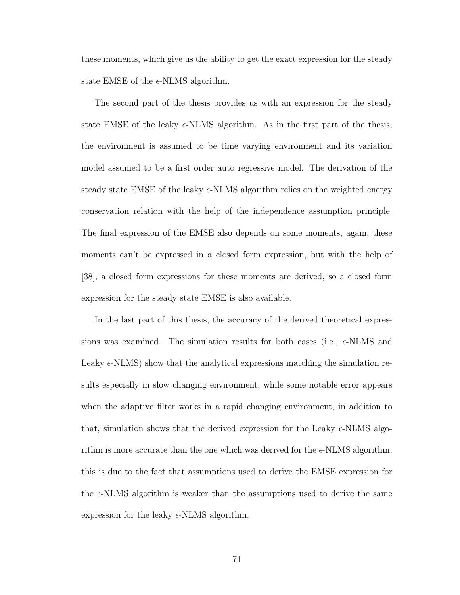these moments, which give us the ability to get the exact expression for the steady state EMSE of the  $\epsilon$ -NLMS algorithm.

The second part of the thesis provides us with an expression for the steady state EMSE of the leaky  $\epsilon$ -NLMS algorithm. As in the first part of the thesis, the environment is assumed to be time varying environment and its variation model assumed to be a first order auto regressive model. The derivation of the steady state EMSE of the leaky  $\epsilon$ -NLMS algorithm relies on the weighted energy conservation relation with the help of the independence assumption principle. The final expression of the EMSE also depends on some moments, again, these moments can't be expressed in a closed form expression, but with the help of [38], a closed form expressions for these moments are derived, so a closed form expression for the steady state EMSE is also available.

In the last part of this thesis, the accuracy of the derived theoretical expressions was examined. The simulation results for both cases (i.e.,  $\epsilon$ -NLMS and Leaky  $\epsilon$ -NLMS) show that the analytical expressions matching the simulation results especially in slow changing environment, while some notable error appears when the adaptive filter works in a rapid changing environment, in addition to that, simulation shows that the derived expression for the Leaky  $\epsilon$ -NLMS algorithm is more accurate than the one which was derived for the  $\epsilon$ -NLMS algorithm, this is due to the fact that assumptions used to derive the EMSE expression for the  $\epsilon$ -NLMS algorithm is weaker than the assumptions used to derive the same expression for the leaky  $\epsilon$ -NLMS algorithm.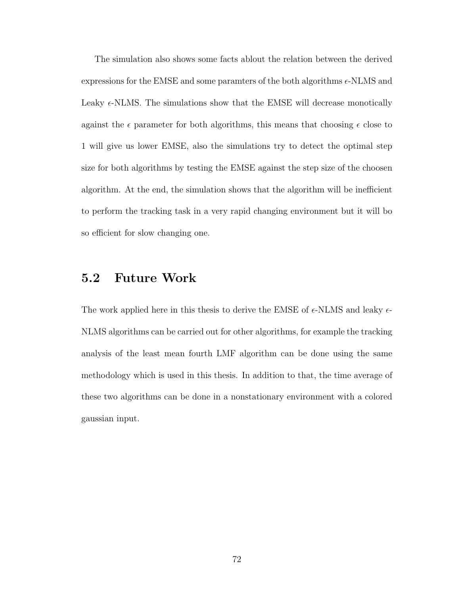The simulation also shows some facts ablout the relation between the derived expressions for the EMSE and some paramters of the both algorithms  $\epsilon$ -NLMS and Leaky  $\epsilon$ -NLMS. The simulations show that the EMSE will decrease monotically against the  $\epsilon$  parameter for both algorithms, this means that choosing  $\epsilon$  close to 1 will give us lower EMSE, also the simulations try to detect the optimal step size for both algorithms by testing the EMSE against the step size of the choosen algorithm. At the end, the simulation shows that the algorithm will be inefficient to perform the tracking task in a very rapid changing environment but it will bo so efficient for slow changing one.

#### 5.2 Future Work

The work applied here in this thesis to derive the EMSE of  $\epsilon$ -NLMS and leaky  $\epsilon$ -NLMS algorithms can be carried out for other algorithms, for example the tracking analysis of the least mean fourth LMF algorithm can be done using the same methodology which is used in this thesis. In addition to that, the time average of these two algorithms can be done in a nonstationary environment with a colored gaussian input.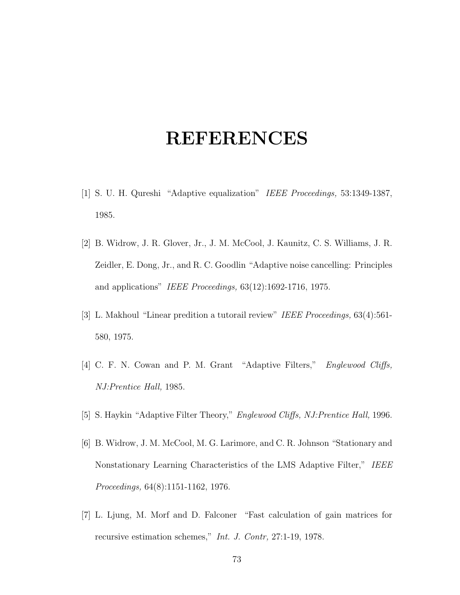## REFERENCES

- [1] S. U. H. Qureshi "Adaptive equalization" IEEE Proceedings, 53:1349-1387, 1985.
- [2] B. Widrow, J. R. Glover, Jr., J. M. McCool, J. Kaunitz, C. S. Williams, J. R. Zeidler, E. Dong, Jr., and R. C. Goodlin "Adaptive noise cancelling: Principles and applications" IEEE Proceedings, 63(12):1692-1716, 1975.
- [3] L. Makhoul "Linear predition a tutorail review" IEEE Proceedings, 63(4):561- 580, 1975.
- [4] C. F. N. Cowan and P. M. Grant "Adaptive Filters," Englewood Cliffs, NJ:Prentice Hall, 1985.
- [5] S. Haykin "Adaptive Filter Theory," Englewood Cliffs, NJ:Prentice Hall, 1996.
- [6] B. Widrow, J. M. McCool, M. G. Larimore, and C. R. Johnson "Stationary and Nonstationary Learning Characteristics of the LMS Adaptive Filter," IEEE Proceedings, 64(8):1151-1162, 1976.
- [7] L. Ljung, M. Morf and D. Falconer "Fast calculation of gain matrices for recursive estimation schemes," Int. J. Contr, 27:1-19, 1978.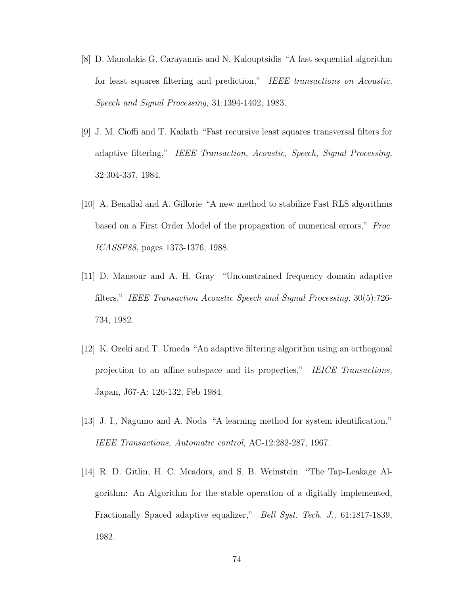- [8] D. Manolakis G. Carayannis and N. Kalouptsidis "A fast sequential algorithm for least squares filtering and prediction," IEEE transactions on Acoustic, Speech and Signal Processing, 31:1394-1402, 1983.
- [9] J. M. Cioffi and T. Kailath "Fast recursive least squares transversal filters for adaptive filtering," IEEE Transaction, Acoustic, Speech, Signal Processing, 32:304-337, 1984.
- [10] A. Benallal and A. Gillorie "A new method to stabilize Fast RLS algorithms based on a First Order Model of the propagation of numerical errors," Proc. ICASSP88, pages 1373-1376, 1988.
- [11] D. Mansour and A. H. Gray "Unconstrained frequency domain adaptive filters," IEEE Transaction Acoustic Speech and Signal Processing, 30(5):726- 734, 1982.
- [12] K. Ozeki and T. Umeda "An adaptive filtering algorithm using an orthogonal projection to an affine subspace and its properties," IEICE Transactions, Japan, J67-A: 126-132, Feb 1984.
- [13] J. I., Nagumo and A. Noda "A learning method for system identification," IEEE Transactions, Automatic control, AC-12:282-287, 1967.
- [14] R. D. Gitlin, H. C. Meadors, and S. B. Weinstein "The Tap-Leakage Algorithm: An Algorithm for the stable operation of a digitally implemented, Fractionally Spaced adaptive equalizer," Bell Syst. Tech. J., 61:1817-1839, 1982.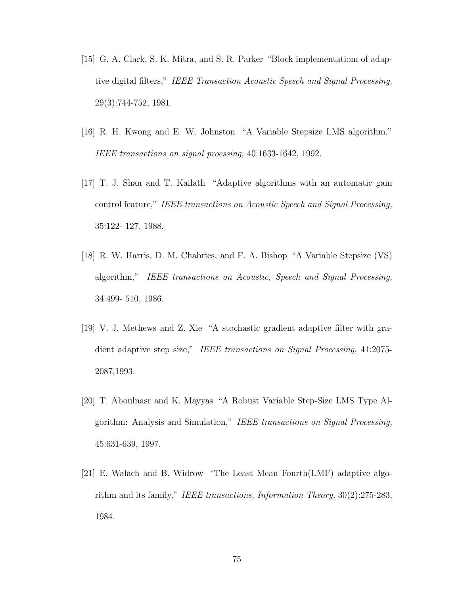- [15] G. A. Clark, S. K. Mitra, and S. R. Parker "Block implementatiom of adaptive digital filters," IEEE Transaction Acoustic Speech and Signal Processing, 29(3):744-752, 1981.
- [16] R. H. Kwong and E. W. Johnston "A Variable Stepsize LMS algorithm," IEEE transactions on signal procssing, 40:1633-1642, 1992.
- [17] T. J. Shan and T. Kailath "Adaptive algorithms with an automatic gain control feature," IEEE transactions on Acoustic Speech and Signal Processing, 35:122- 127, 1988.
- [18] R. W. Harris, D. M. Chabries, and F. A. Bishop "A Variable Stepsize (VS) algorithm," IEEE transactions on Acoustic, Speech and Signal Processing, 34:499- 510, 1986.
- [19] V. J. Methews and Z. Xie "A stochastic gradient adaptive filter with gradient adaptive step size," IEEE transactions on Signal Processing, 41:2075-2087,1993.
- [20] T. Aboulnasr and K. Mayyas "A Robust Variable Step-Size LMS Type Algorithm: Analysis and Simulation," IEEE transactions on Signal Processing, 45:631-639, 1997.
- [21] E. Walach and B. Widrow "The Least Mean Fourth(LMF) adaptive algorithm and its family," IEEE transactions, Information Theory, 30(2):275-283, 1984.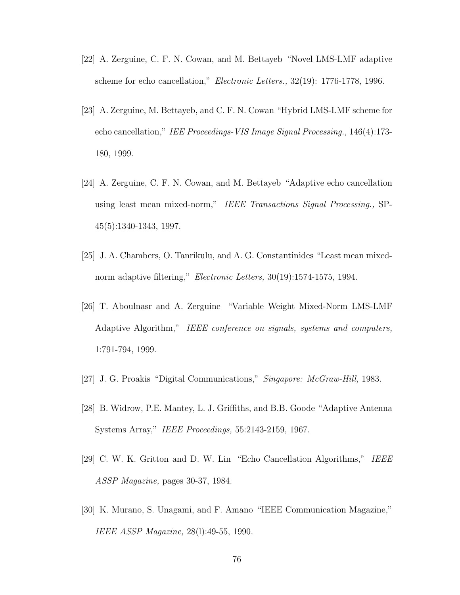- [22] A. Zerguine, C. F. N. Cowan, and M. Bettayeb "Novel LMS-LMF adaptive scheme for echo cancellation," Electronic Letters., 32(19): 1776-1778, 1996.
- [23] A. Zerguine, M. Bettayeb, and C. F. N. Cowan "Hybrid LMS-LMF scheme for echo cancellation," IEE Proceedings-VIS Image Signal Processing., 146(4):173- 180, 1999.
- [24] A. Zerguine, C. F. N. Cowan, and M. Bettayeb "Adaptive echo cancellation using least mean mixed-norm," IEEE Transactions Signal Processing., SP-45(5):1340-1343, 1997.
- [25] J. A. Chambers, O. Tanrikulu, and A. G. Constantinides "Least mean mixednorm adaptive filtering," *Electronic Letters*, 30(19):1574-1575, 1994.
- [26] T. Aboulnasr and A. Zerguine "Variable Weight Mixed-Norm LMS-LMF Adaptive Algorithm," IEEE conference on signals, systems and computers, 1:791-794, 1999.
- [27] J. G. Proakis "Digital Communications," *Singapore: McGraw-Hill*, 1983.
- [28] B. Widrow, P.E. Mantey, L. J. Griffiths, and B.B. Goode "Adaptive Antenna Systems Array," IEEE Proceedings, 55:2143-2159, 1967.
- [29] C. W. K. Gritton and D. W. Lin "Echo Cancellation Algorithms," IEEE ASSP Magazine, pages 30-37, 1984.
- [30] K. Murano, S. Unagami, and F. Amano "IEEE Communication Magazine," IEEE ASSP Magazine, 28(l):49-55, 1990.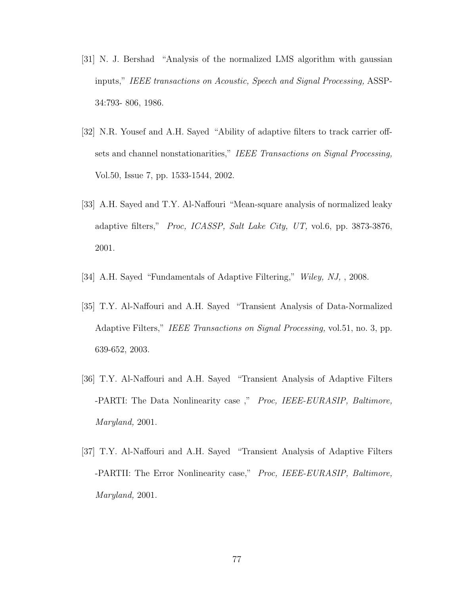- [31] N. J. Bershad "Analysis of the normalized LMS algorithm with gaussian inputs," IEEE transactions on Acoustic, Speech and Signal Processing, ASSP-34:793- 806, 1986.
- [32] N.R. Yousef and A.H. Sayed "Ability of adaptive filters to track carrier offsets and channel nonstationarities," IEEE Transactions on Signal Processing, Vol.50, Issue 7, pp. 1533-1544, 2002.
- [33] A.H. Sayed and T.Y. Al-Naffouri "Mean-square analysis of normalized leaky adaptive filters," Proc, ICASSP, Salt Lake City, UT, vol.6, pp. 3873-3876, 2001.
- [34] A.H. Sayed "Fundamentals of Adaptive Filtering," Wiley, NJ, , 2008.
- [35] T.Y. Al-Naffouri and A.H. Sayed "Transient Analysis of Data-Normalized Adaptive Filters," IEEE Transactions on Signal Processing, vol.51, no. 3, pp. 639-652, 2003.
- [36] T.Y. Al-Naffouri and A.H. Sayed "Transient Analysis of Adaptive Filters -PARTI: The Data Nonlinearity case," Proc, IEEE-EURASIP, Baltimore, Maryland, 2001.
- [37] T.Y. Al-Naffouri and A.H. Sayed "Transient Analysis of Adaptive Filters -PARTII: The Error Nonlinearity case," Proc, IEEE-EURASIP, Baltimore, Maryland, 2001.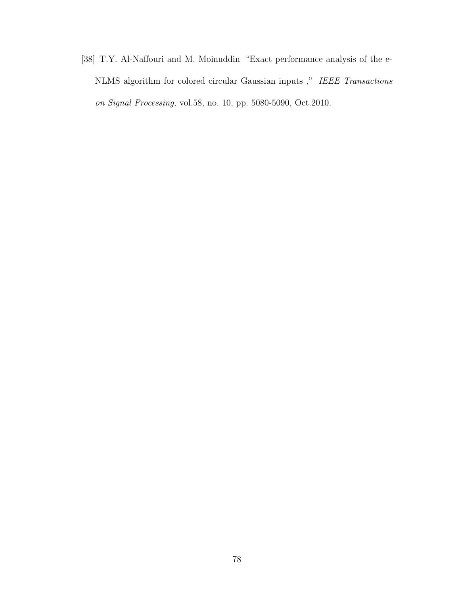[38] T.Y. Al-Naffouri and M. Moinuddin "Exact performance analysis of the e-NLMS algorithm for colored circular Gaussian inputs ," IEEE Transactions on Signal Processing, vol.58, no. 10, pp. 5080-5090, Oct.2010.